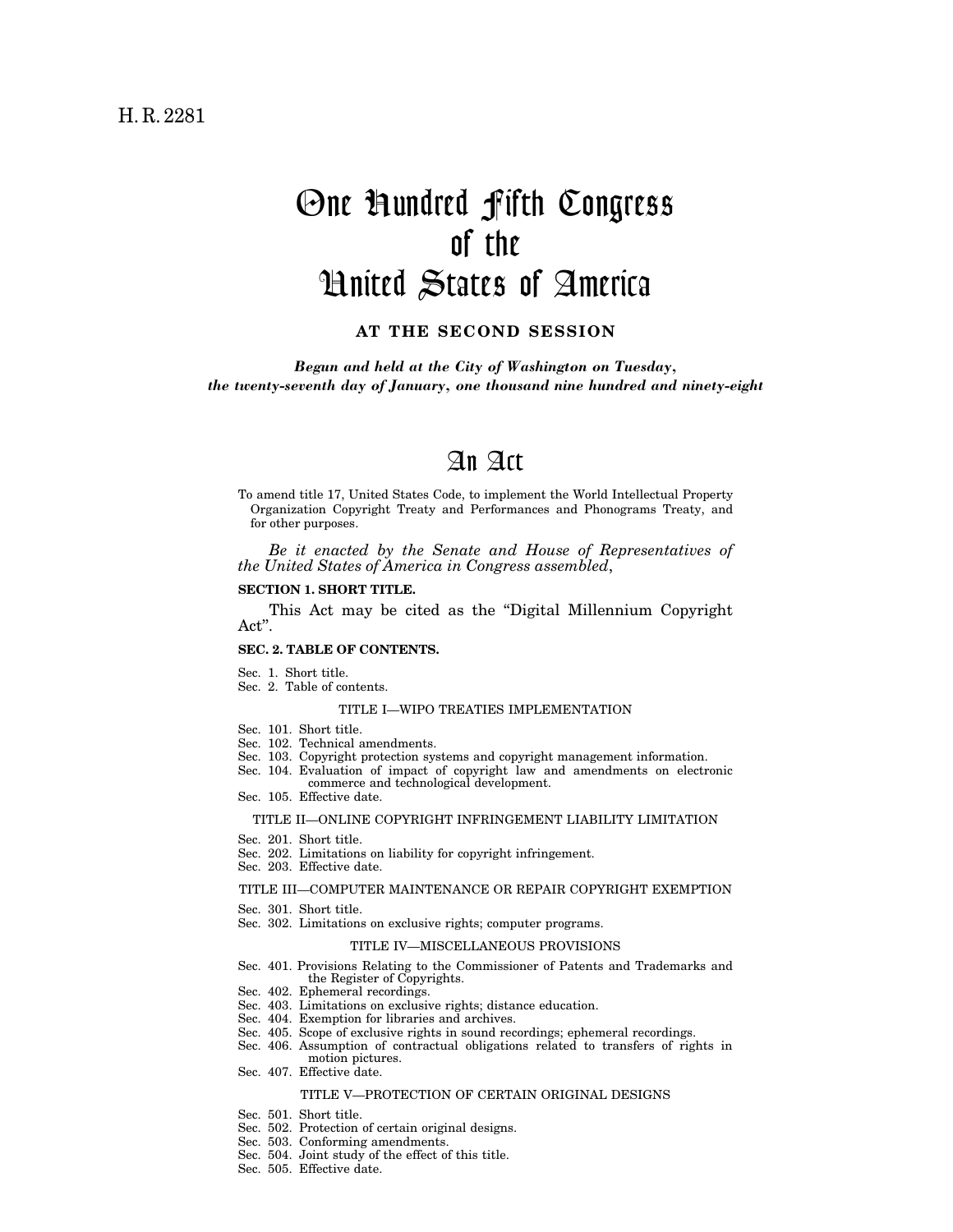# One Hundred Fifth Congress of the United States of America

# **AT THE SECOND SESSION**

*Begun and held at the City of Washington on Tuesday, the twenty-seventh day of January, one thousand nine hundred and ninety-eight*

# An Act

To amend title 17, United States Code, to implement the World Intellectual Property Organization Copyright Treaty and Performances and Phonograms Treaty, and for other purposes.

*Be it enacted by the Senate and House of Representatives of the United States of America in Congress assembled*,

## **SECTION 1. SHORT TITLE.**

This Act may be cited as the ''Digital Millennium Copyright Act''.

#### **SEC. 2. TABLE OF CONTENTS.**

- Sec. 1. Short title.
- Sec. 2. Table of contents.

#### TITLE I—WIPO TREATIES IMPLEMENTATION

- Sec. 101. Short title.
- Sec. 102. Technical amendments.
- Sec. 103. Copyright protection systems and copyright management information.
- Sec. 104. Evaluation of impact of copyright law and amendments on electronic commerce and technological development.
- Sec. 105. Effective date.

#### TITLE II—ONLINE COPYRIGHT INFRINGEMENT LIABILITY LIMITATION

- Sec. 201. Short title.
- Sec. 202. Limitations on liability for copyright infringement.
- Sec. 203. Effective date.

#### TITLE III—COMPUTER MAINTENANCE OR REPAIR COPYRIGHT EXEMPTION

- Sec. 301. Short title.
- Sec. 302. Limitations on exclusive rights; computer programs.

#### TITLE IV—MISCELLANEOUS PROVISIONS

- Sec. 401. Provisions Relating to the Commissioner of Patents and Trademarks and the Register of Copyrights.
- Sec. 402. Ephemeral recordings.
- Sec. 403. Limitations on exclusive rights; distance education.
- Sec. 404. Exemption for libraries and archives.
- Sec. 405. Scope of exclusive rights in sound recordings; ephemeral recordings.
- Sec. 406. Assumption of contractual obligations related to transfers of rights in motion pictures.
- Sec. 407. Effective date.

# TITLE V—PROTECTION OF CERTAIN ORIGINAL DESIGNS

- Sec. 501. Short title.
- Sec. 502. Protection of certain original designs.
- Sec. 503. Conforming amendments.
- Sec. 504. Joint study of the effect of this title.
- Sec. 505. Effective date.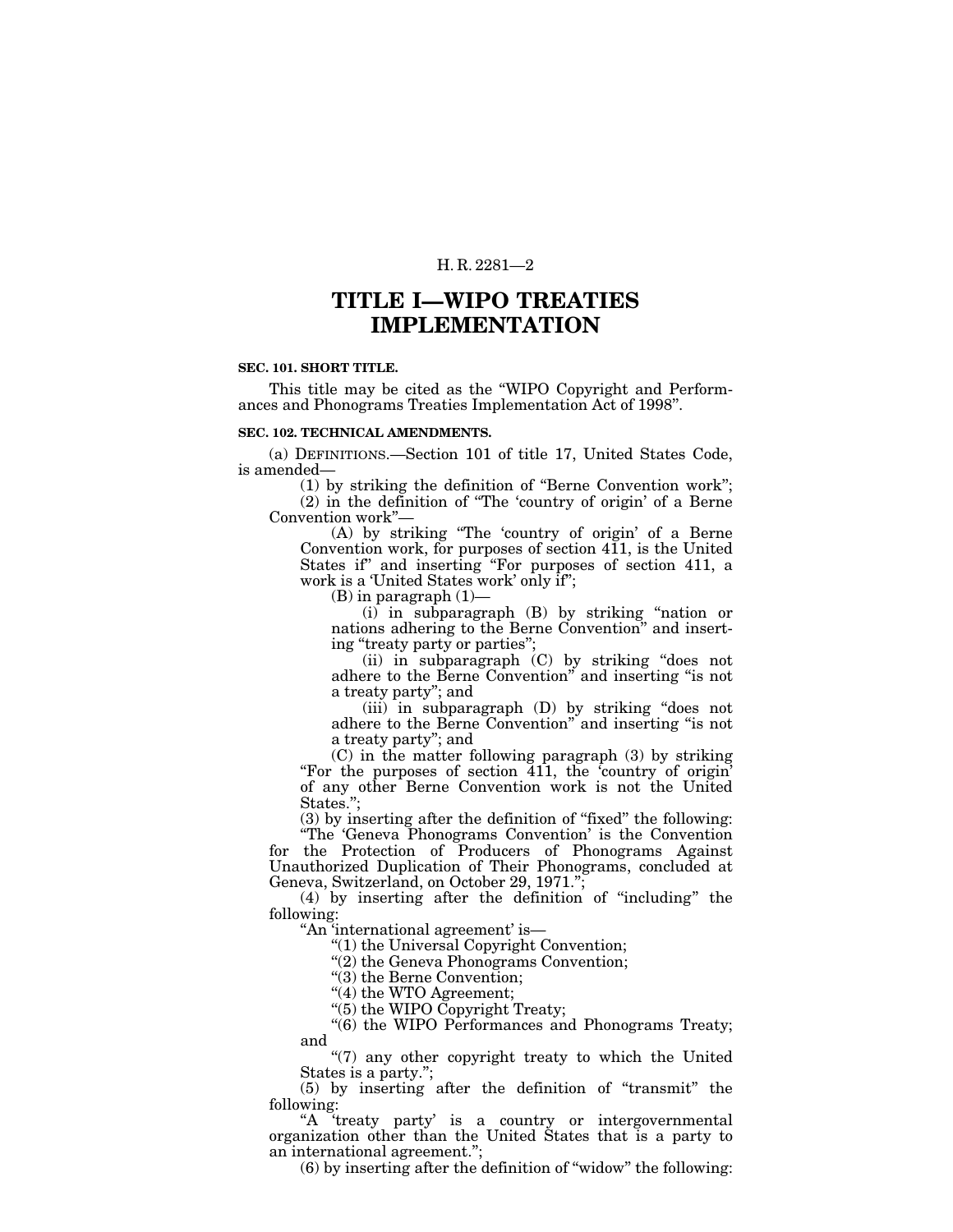# **TITLE I—WIPO TREATIES IMPLEMENTATION**

#### **SEC. 101. SHORT TITLE.**

This title may be cited as the ''WIPO Copyright and Performances and Phonograms Treaties Implementation Act of 1998''.

#### **SEC. 102. TECHNICAL AMENDMENTS.**

(a) DEFINITIONS.—Section 101 of title 17, United States Code, is amended—

(1) by striking the definition of ''Berne Convention work''; (2) in the definition of ''The 'country of origin' of a Berne Convention work''—

(A) by striking ''The 'country of origin' of a Berne Convention work, for purposes of section 411, is the United States if" and inserting "For purposes of section 411, a work is a 'United States work' only if'';

 $(B)$  in paragraph  $(1)$ —

(i) in subparagraph (B) by striking ''nation or nations adhering to the Berne Convention'' and inserting ''treaty party or parties'';

(ii) in subparagraph (C) by striking ''does not adhere to the Berne Convention'' and inserting ''is not a treaty party''; and

(iii) in subparagraph (D) by striking ''does not adhere to the Berne Convention'' and inserting ''is not a treaty party''; and

(C) in the matter following paragraph (3) by striking ''For the purposes of section 411, the 'country of origin' of any other Berne Convention work is not the United States.'';

(3) by inserting after the definition of ''fixed'' the following:

''The 'Geneva Phonograms Convention' is the Convention for the Protection of Producers of Phonograms Against Unauthorized Duplication of Their Phonograms, concluded at Geneva, Switzerland, on October 29, 1971.'';

(4) by inserting after the definition of ''including'' the following:

''An 'international agreement' is—

''(1) the Universal Copyright Convention;

''(2) the Geneva Phonograms Convention;

"(3) the Berne Convention;

''(4) the WTO Agreement;

''(5) the WIPO Copyright Treaty;

"(6) the WIPO Performances and Phonograms Treaty; and

"(7) any other copyright treaty to which the United States is a party.'';

(5) by inserting after the definition of ''transmit'' the following:

"A 'treaty party' is a country or intergovernmental organization other than the United States that is a party to an international agreement.'';

(6) by inserting after the definition of ''widow'' the following: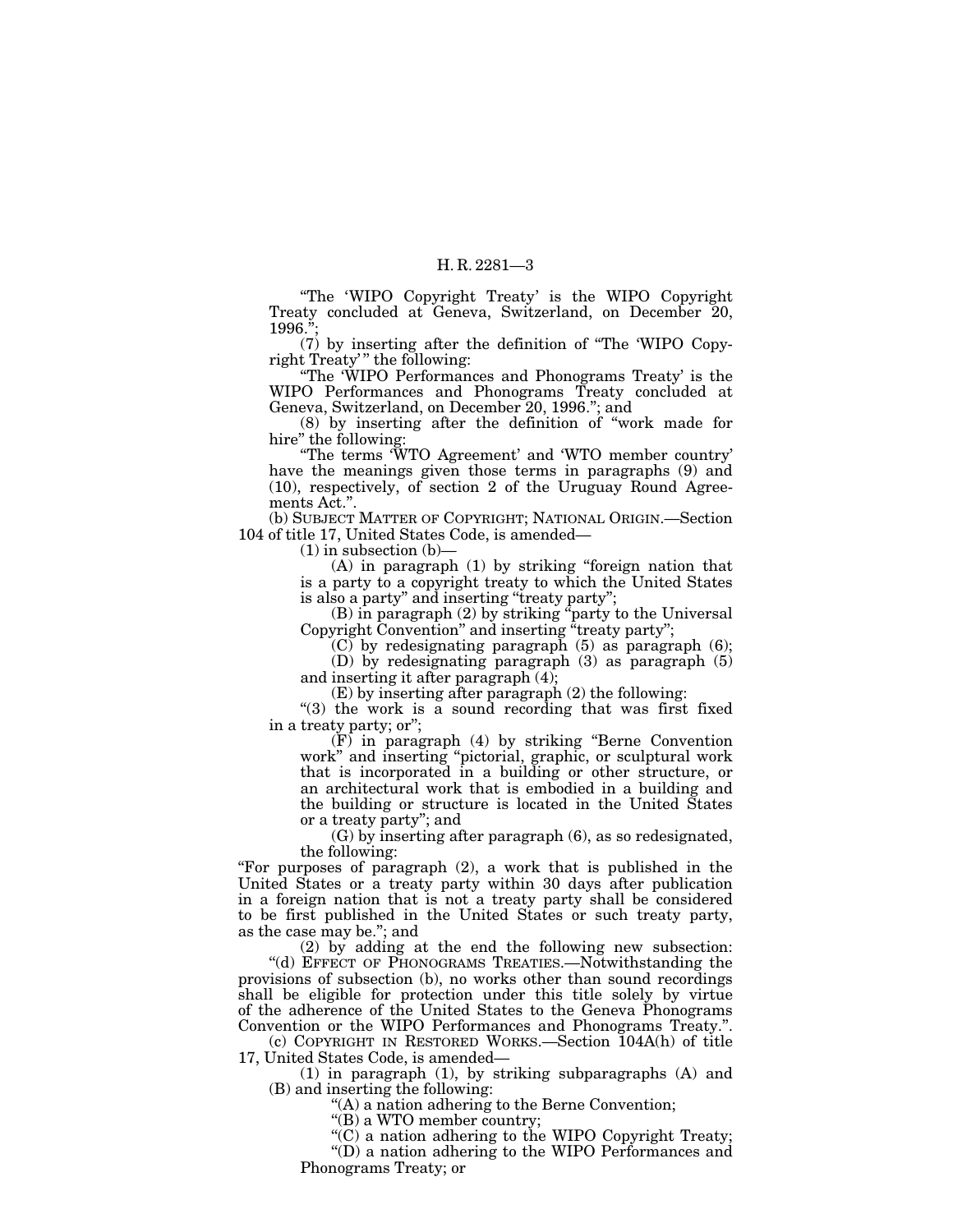''The 'WIPO Copyright Treaty' is the WIPO Copyright Treaty concluded at Geneva, Switzerland, on December 20, 1996.'';

(7) by inserting after the definition of ''The 'WIPO Copyright Treaty' '' the following:

''The 'WIPO Performances and Phonograms Treaty' is the WIPO Performances and Phonograms Treaty concluded at Geneva, Switzerland, on December 20, 1996.''; and

(8) by inserting after the definition of ''work made for hire" the following:

''The terms 'WTO Agreement' and 'WTO member country' have the meanings given those terms in paragraphs (9) and (10), respectively, of section 2 of the Uruguay Round Agreements Act.''.

(b) SUBJECT MATTER OF COPYRIGHT; NATIONAL ORIGIN.—Section 104 of title 17, United States Code, is amended—

 $(1)$  in subsection  $(b)$ –

(A) in paragraph (1) by striking ''foreign nation that is a party to a copyright treaty to which the United States is also a party" and inserting "treaty party";

(B) in paragraph (2) by striking ''party to the Universal Copyright Convention" and inserting "treaty party";

 $(C)$  by redesignating paragraph (5) as paragraph (6);

(D) by redesignating paragraph (3) as paragraph (5) and inserting it after paragraph (4);

(E) by inserting after paragraph (2) the following:

"(3) the work is a sound recording that was first fixed in a treaty party; or'';

(F) in paragraph (4) by striking ''Berne Convention work'' and inserting ''pictorial, graphic, or sculptural work that is incorporated in a building or other structure, or an architectural work that is embodied in a building and the building or structure is located in the United States or a treaty party''; and

(G) by inserting after paragraph (6), as so redesignated, the following:

''For purposes of paragraph (2), a work that is published in the United States or a treaty party within 30 days after publication in a foreign nation that is not a treaty party shall be considered to be first published in the United States or such treaty party, as the case may be.''; and

(2) by adding at the end the following new subsection: ''(d) EFFECT OF PHONOGRAMS TREATIES.—Notwithstanding the provisions of subsection (b), no works other than sound recordings shall be eligible for protection under this title solely by virtue of the adherence of the United States to the Geneva Phonograms Convention or the WIPO Performances and Phonograms Treaty.''.

(c) COPYRIGHT IN RESTORED WORKS.—Section 104A(h) of title 17, United States Code, is amended—

(1) in paragraph (1), by striking subparagraphs (A) and (B) and inserting the following:

''(A) a nation adhering to the Berne Convention;

"(B) a WTO member country;

''(C) a nation adhering to the WIPO Copyright Treaty; ''(D) a nation adhering to the WIPO Performances and Phonograms Treaty; or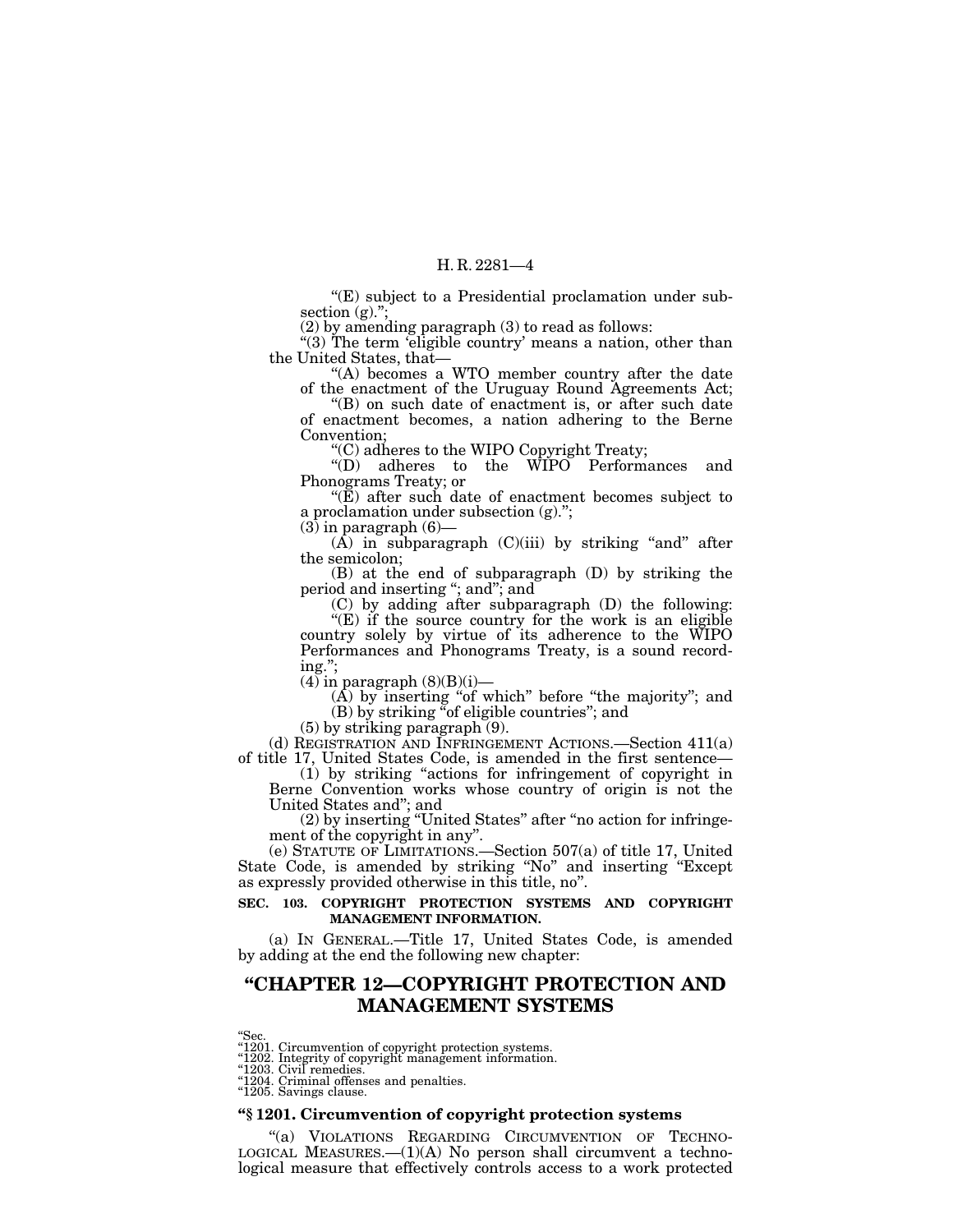"(E) subject to a Presidential proclamation under subsection (g).";

(2) by amending paragraph (3) to read as follows:

''(3) The term 'eligible country' means a nation, other than the United States, that—

"(A) becomes a WTO member country after the date of the enactment of the Uruguay Round Agreements Act;

''(B) on such date of enactment is, or after such date of enactment becomes, a nation adhering to the Berne Convention;

''(C) adheres to the WIPO Copyright Treaty;

''(D) adheres to the WIPO Performances and Phonograms Treaty; or

" $(\mathbf{E})$  after such date of enactment becomes subject to a proclamation under subsection (g).'';

 $(3)$  in paragraph  $(6)$ —

 $(A)$  in subparagraph  $(C)(iii)$  by striking "and" after the semicolon;

(B) at the end of subparagraph (D) by striking the period and inserting ''; and''; and

(C) by adding after subparagraph (D) the following:

"(E) if the source country for the work is an eligible country solely by virtue of its adherence to the WIPO Performances and Phonograms Treaty, is a sound recording.'';

 $(4)$  in paragraph  $(8)(B)(i)$ —

 $(A)$  by inserting "of which" before "the majority"; and (B) by striking ''of eligible countries''; and

(5) by striking paragraph (9).

(d) REGISTRATION AND INFRINGEMENT ACTIONS.—Section 411(a) of title 17, United States Code, is amended in the first sentence—

(1) by striking ''actions for infringement of copyright in Berne Convention works whose country of origin is not the United States and''; and

(2) by inserting ''United States'' after ''no action for infringement of the copyright in any''.

(e) STATUTE OF LIMITATIONS.—Section 507(a) of title 17, United State Code, is amended by striking ''No'' and inserting ''Except as expressly provided otherwise in this title, no''.

#### **SEC. 103. COPYRIGHT PROTECTION SYSTEMS AND COPYRIGHT MANAGEMENT INFORMATION.**

(a) IN GENERAL.—Title 17, United States Code, is amended by adding at the end the following new chapter:

# **''CHAPTER 12—COPYRIGHT PROTECTION AND MANAGEMENT SYSTEMS**

''Sec. ''1201. Circumvention of copyright protection systems. ''1202. Integrity of copyright management information. ''1203. Civil remedies. ''1204. Criminal offenses and penalties.

"1205. Savings clause.

#### **''§ 1201. Circumvention of copyright protection systems**

"(a) VIOLATIONS REGARDING CIRCUMVENTION OF TECHNO-LOGICAL MEASURES. $-(1)(A)$  No person shall circumvent a technological measure that effectively controls access to a work protected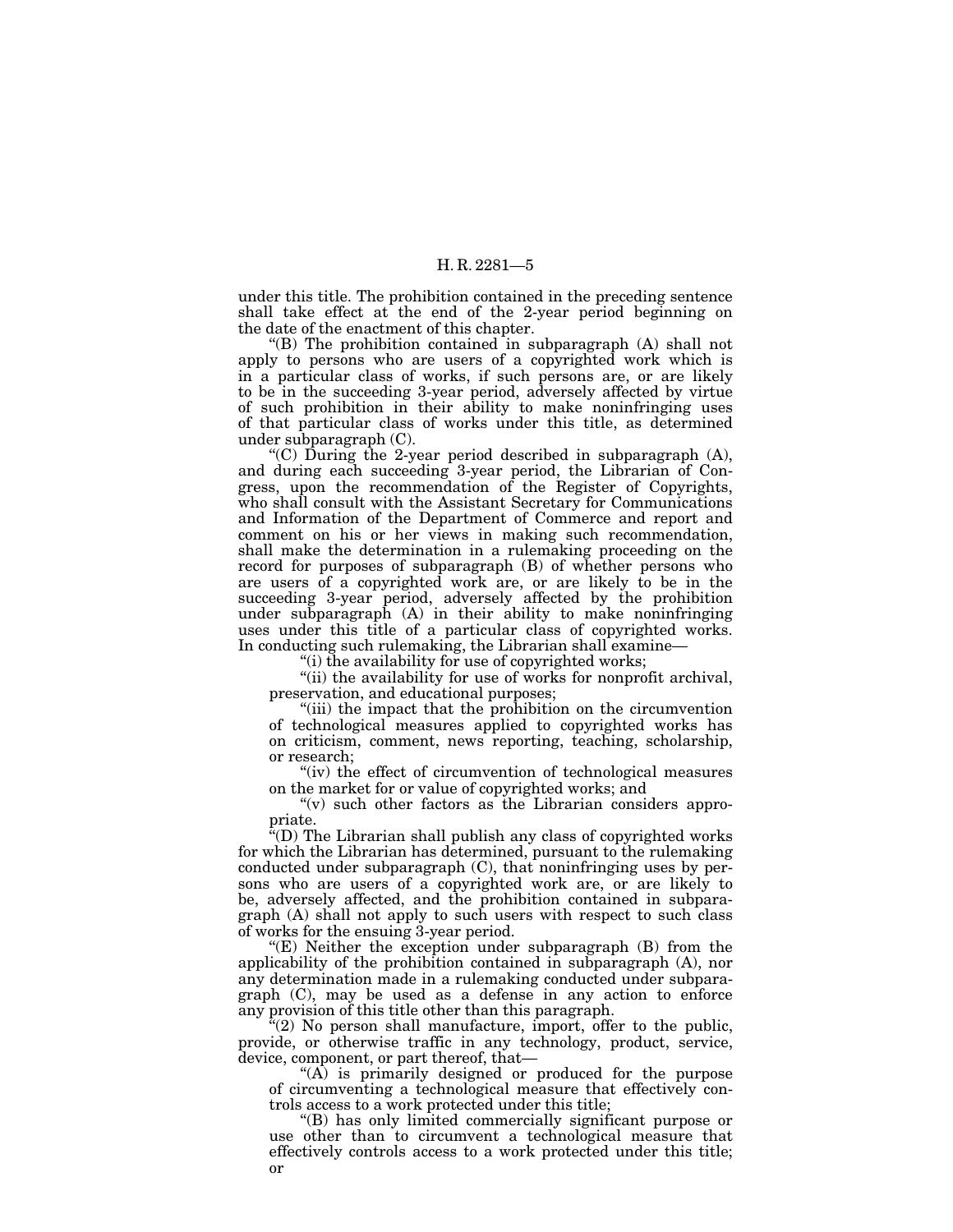under this title. The prohibition contained in the preceding sentence shall take effect at the end of the 2-year period beginning on the date of the enactment of this chapter.

''(B) The prohibition contained in subparagraph (A) shall not apply to persons who are users of a copyrighted work which is in a particular class of works, if such persons are, or are likely to be in the succeeding 3-year period, adversely affected by virtue of such prohibition in their ability to make noninfringing uses of that particular class of works under this title, as determined under subparagraph (C).

"(C) During the 2-year period described in subparagraph  $(A)$ , and during each succeeding 3-year period, the Librarian of Congress, upon the recommendation of the Register of Copyrights, who shall consult with the Assistant Secretary for Communications and Information of the Department of Commerce and report and comment on his or her views in making such recommendation, shall make the determination in a rulemaking proceeding on the record for purposes of subparagraph (B) of whether persons who are users of a copyrighted work are, or are likely to be in the succeeding 3-year period, adversely affected by the prohibition under subparagraph (A) in their ability to make noninfringing uses under this title of a particular class of copyrighted works. In conducting such rulemaking, the Librarian shall examine—

"(i) the availability for use of copyrighted works;

"(ii) the availability for use of works for nonprofit archival, preservation, and educational purposes;

''(iii) the impact that the prohibition on the circumvention of technological measures applied to copyrighted works has on criticism, comment, news reporting, teaching, scholarship, or research;

"(iv) the effect of circumvention of technological measures on the market for or value of copyrighted works; and

" $(v)$  such other factors as the Librarian considers appropriate.

''(D) The Librarian shall publish any class of copyrighted works for which the Librarian has determined, pursuant to the rulemaking conducted under subparagraph (C), that noninfringing uses by persons who are users of a copyrighted work are, or are likely to be, adversely affected, and the prohibition contained in subparagraph (A) shall not apply to such users with respect to such class of works for the ensuing 3-year period.

" $(E)$  Neither the exception under subparagraph  $(B)$  from the applicability of the prohibition contained in subparagraph (A), nor any determination made in a rulemaking conducted under subparagraph (C), may be used as a defense in any action to enforce any provision of this title other than this paragraph.

"(2) No person shall manufacture, import, offer to the public, provide, or otherwise traffic in any technology, product, service, device, component, or part thereof, that—

''(A) is primarily designed or produced for the purpose of circumventing a technological measure that effectively controls access to a work protected under this title;

''(B) has only limited commercially significant purpose or use other than to circumvent a technological measure that effectively controls access to a work protected under this title; or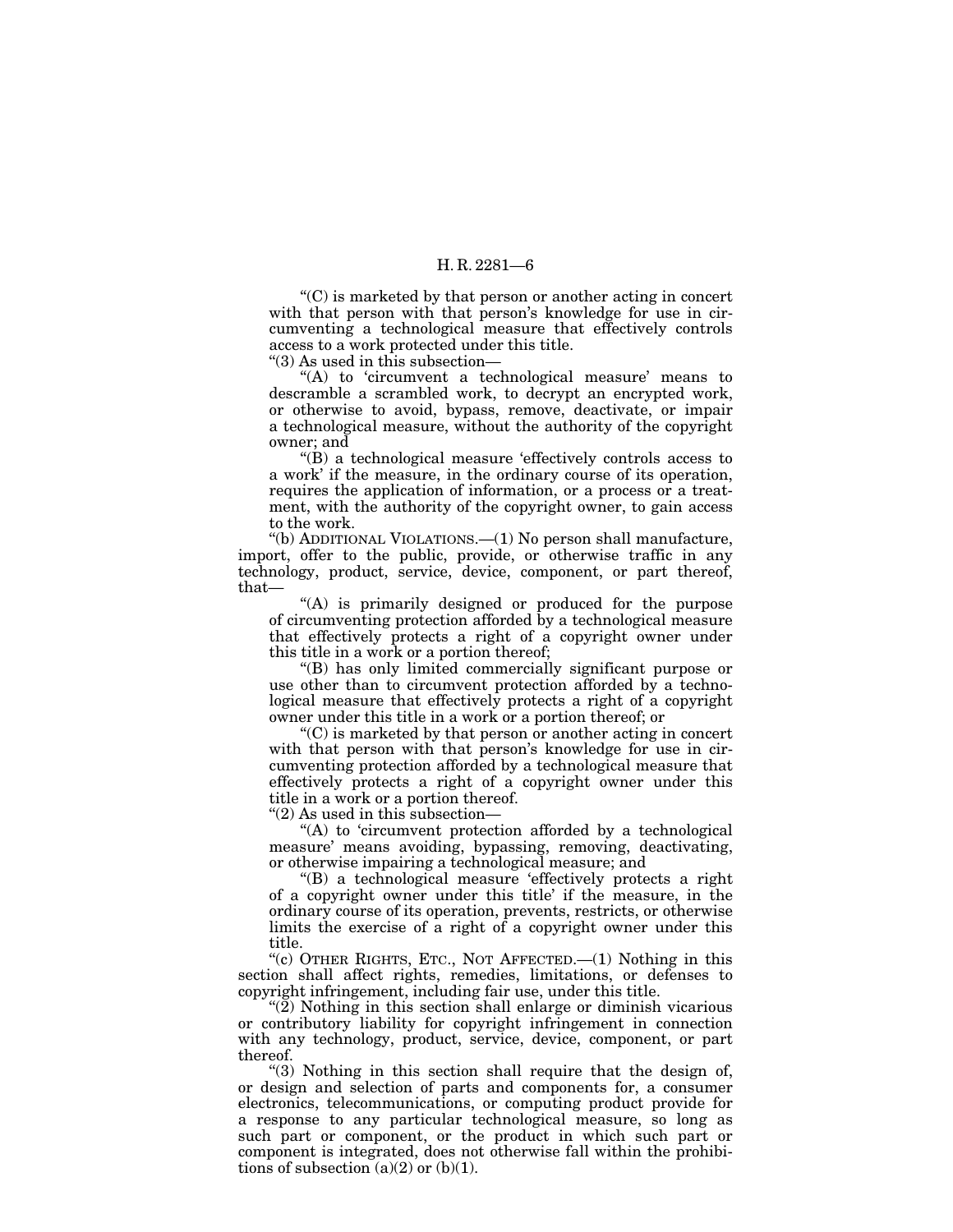''(C) is marketed by that person or another acting in concert with that person with that person's knowledge for use in circumventing a technological measure that effectively controls access to a work protected under this title.

''(3) As used in this subsection—

"(A) to 'circumvent a technological measure' means to descramble a scrambled work, to decrypt an encrypted work, or otherwise to avoid, bypass, remove, deactivate, or impair a technological measure, without the authority of the copyright owner; and

''(B) a technological measure 'effectively controls access to a work' if the measure, in the ordinary course of its operation, requires the application of information, or a process or a treatment, with the authority of the copyright owner, to gain access to the work.

''(b) ADDITIONAL VIOLATIONS.—(1) No person shall manufacture, import, offer to the public, provide, or otherwise traffic in any technology, product, service, device, component, or part thereof, that—

''(A) is primarily designed or produced for the purpose of circumventing protection afforded by a technological measure that effectively protects a right of a copyright owner under this title in a work or a portion thereof;

''(B) has only limited commercially significant purpose or use other than to circumvent protection afforded by a technological measure that effectively protects a right of a copyright owner under this title in a work or a portion thereof; or

''(C) is marketed by that person or another acting in concert with that person with that person's knowledge for use in circumventing protection afforded by a technological measure that effectively protects a right of a copyright owner under this title in a work or a portion thereof.

''(2) As used in this subsection—

 $f(A)$  to 'circumvent protection afforded by a technological measure' means avoiding, bypassing, removing, deactivating, or otherwise impairing a technological measure; and

''(B) a technological measure 'effectively protects a right of a copyright owner under this title' if the measure, in the ordinary course of its operation, prevents, restricts, or otherwise limits the exercise of a right of a copyright owner under this title.

"(c) OTHER RIGHTS, ETC., NOT AFFECTED.  $-(1)$  Nothing in this section shall affect rights, remedies, limitations, or defenses to copyright infringement, including fair use, under this title.

" $(2)$  Nothing in this section shall enlarge or diminish vicarious or contributory liability for copyright infringement in connection with any technology, product, service, device, component, or part thereof.

"(3) Nothing in this section shall require that the design of, or design and selection of parts and components for, a consumer electronics, telecommunications, or computing product provide for a response to any particular technological measure, so long as such part or component, or the product in which such part or component is integrated, does not otherwise fall within the prohibitions of subsection  $(a)(2)$  or  $(b)(1)$ .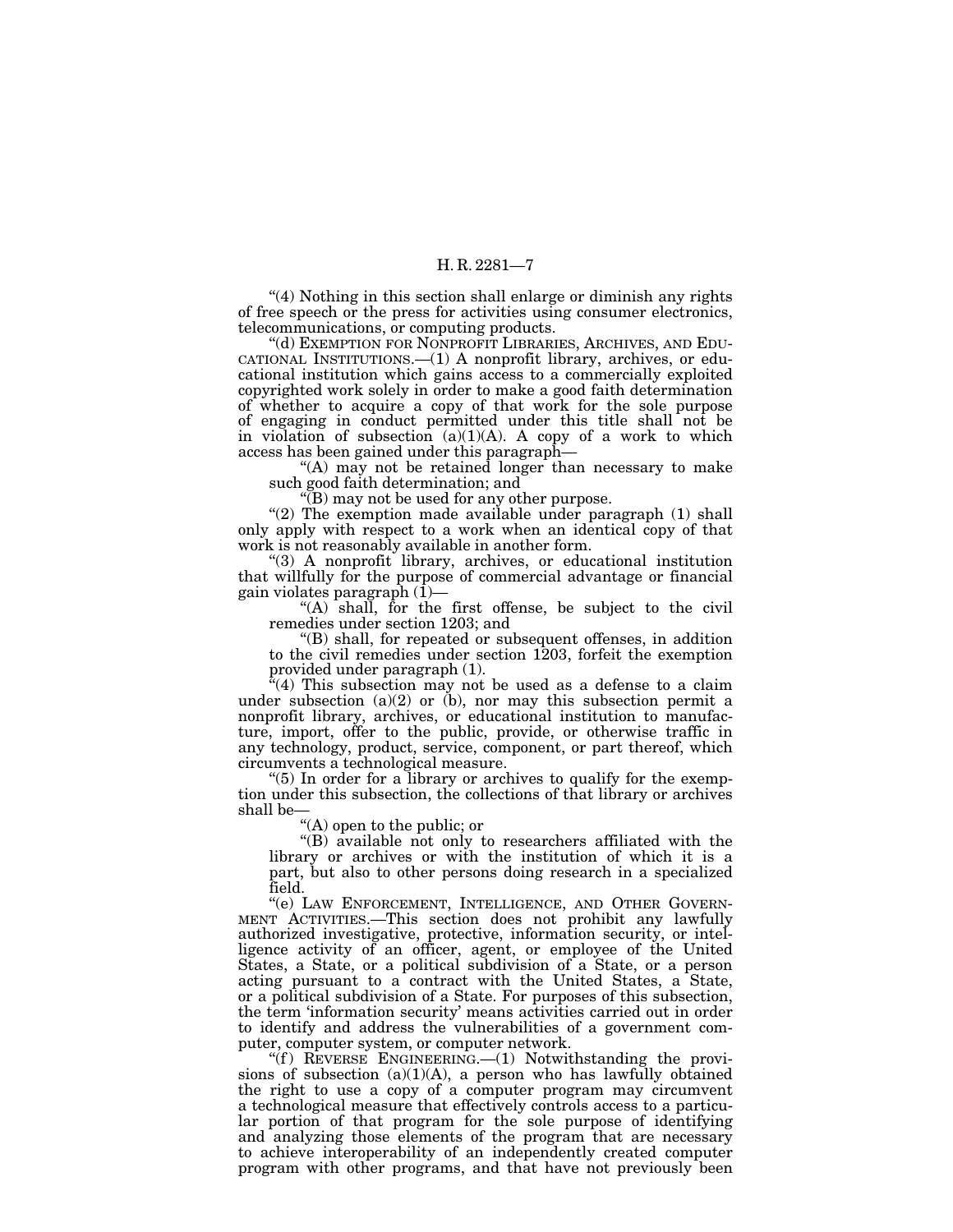''(4) Nothing in this section shall enlarge or diminish any rights of free speech or the press for activities using consumer electronics, telecommunications, or computing products.

''(d) EXEMPTION FOR NONPROFIT LIBRARIES, ARCHIVES, AND EDU-CATIONAL INSTITUTIONS.—(1) A nonprofit library, archives, or educational institution which gains access to a commercially exploited copyrighted work solely in order to make a good faith determination of whether to acquire a copy of that work for the sole purpose of engaging in conduct permitted under this title shall not be in violation of subsection  $(a)(1)(A)$ . A copy of a work to which access has been gained under this paragraph—

"(A) may not be retained longer than necessary to make such good faith determination; and

''(B) may not be used for any other purpose.

" $(2)$  The exemption made available under paragraph  $(1)$  shall only apply with respect to a work when an identical copy of that work is not reasonably available in another form.

''(3) A nonprofit library, archives, or educational institution that willfully for the purpose of commercial advantage or financial gain violates paragraph (1)—

"(A) shall, for the first offense, be subject to the civil remedies under section 1203; and

''(B) shall, for repeated or subsequent offenses, in addition to the civil remedies under section 1203, forfeit the exemption provided under paragraph (1).

"(4) This subsection may not be used as a defense to a claim under subsection  $(a)(2)$  or  $(b)$ , nor may this subsection permit a nonprofit library, archives, or educational institution to manufacture, import, offer to the public, provide, or otherwise traffic in any technology, product, service, component, or part thereof, which circumvents a technological measure.

" $(5)$  In order for a library or archives to qualify for the exemption under this subsection, the collections of that library or archives shall be—

''(A) open to the public; or

''(B) available not only to researchers affiliated with the library or archives or with the institution of which it is a part, but also to other persons doing research in a specialized field.

''(e) LAW ENFORCEMENT, INTELLIGENCE, AND OTHER GOVERN- MENT ACTIVITIES.—This section does not prohibit any lawfully authorized investigative, protective, information security, or intelligence activity of an officer, agent, or employee of the United States, a State, or a political subdivision of a State, or a person acting pursuant to a contract with the United States, a State, or a political subdivision of a State. For purposes of this subsection, the term 'information security' means activities carried out in order to identify and address the vulnerabilities of a government computer, computer system, or computer network.

" $(f)$  REVERSE ENGINEERING.— $(1)$  Notwithstanding the provisions of subsection  $(a)(1)(A)$ , a person who has lawfully obtained the right to use a copy of a computer program may circumvent a technological measure that effectively controls access to a particular portion of that program for the sole purpose of identifying and analyzing those elements of the program that are necessary to achieve interoperability of an independently created computer program with other programs, and that have not previously been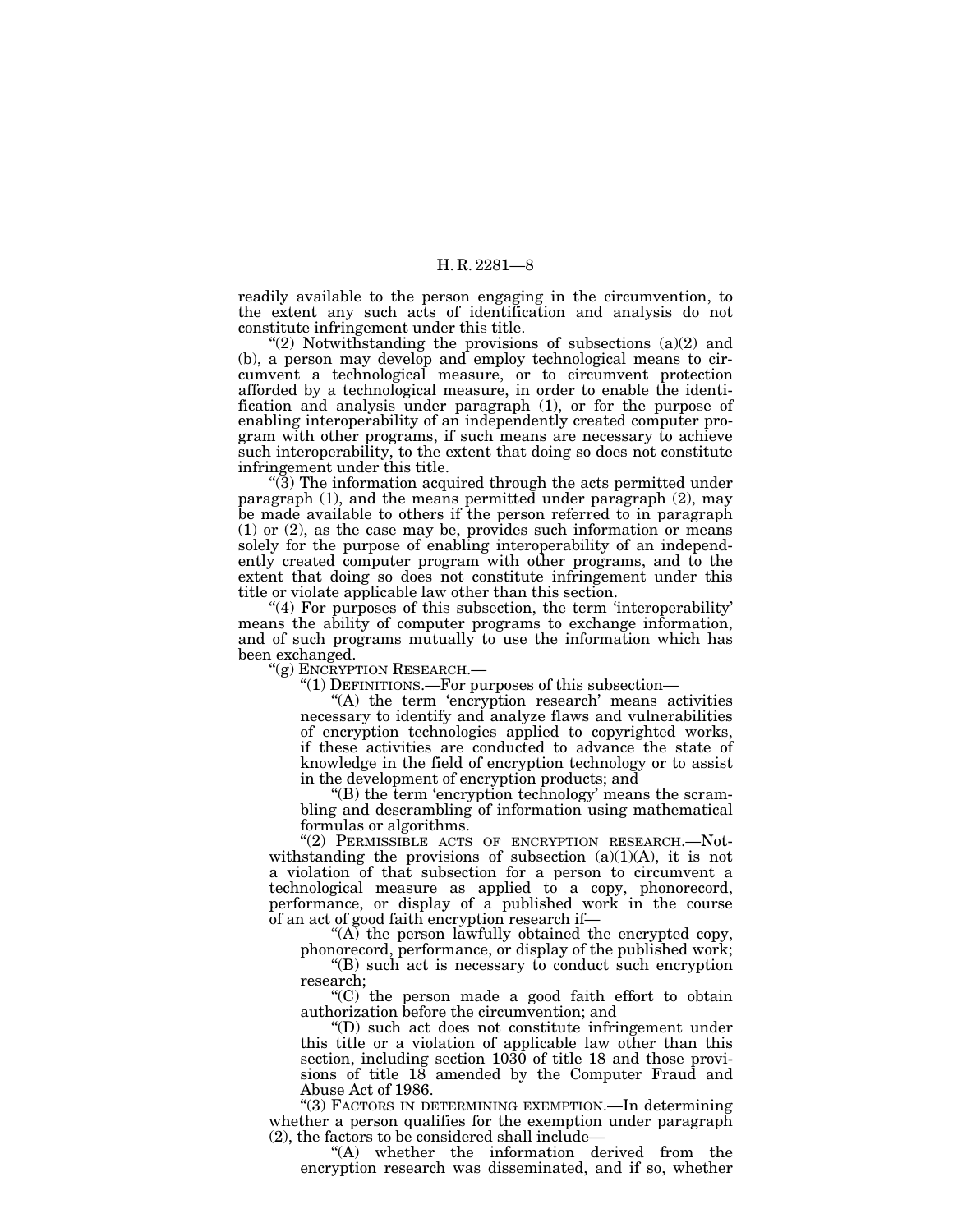readily available to the person engaging in the circumvention, to the extent any such acts of identification and analysis do not constitute infringement under this title.

"(2) Notwithstanding the provisions of subsections  $(a)(2)$  and (b), a person may develop and employ technological means to circumvent a technological measure, or to circumvent protection afforded by a technological measure, in order to enable the identification and analysis under paragraph (1), or for the purpose of enabling interoperability of an independently created computer program with other programs, if such means are necessary to achieve such interoperability, to the extent that doing so does not constitute infringement under this title.

 $(3)$  The information acquired through the acts permitted under paragraph (1), and the means permitted under paragraph (2), may be made available to others if the person referred to in paragraph (1) or (2), as the case may be, provides such information or means solely for the purpose of enabling interoperability of an independently created computer program with other programs, and to the extent that doing so does not constitute infringement under this title or violate applicable law other than this section.

 $(4)$  For purposes of this subsection, the term 'interoperability' means the ability of computer programs to exchange information, and of such programs mutually to use the information which has been exchanged.

''(g) ENCRYPTION RESEARCH.—

 $!(1)$  DEFINITIONS.—For purposes of this subsection—

"(A) the term 'encryption research' means activities necessary to identify and analyze flaws and vulnerabilities of encryption technologies applied to copyrighted works, if these activities are conducted to advance the state of knowledge in the field of encryption technology or to assist in the development of encryption products; and

"(B) the term 'encryption technology' means the scrambling and descrambling of information using mathematical formulas or algorithms.

"(2) PERMISSIBLE ACTS OF ENCRYPTION RESEARCH.—Notwithstanding the provisions of subsection  $(a)(1)(A)$ , it is not a violation of that subsection for a person to circumvent a technological measure as applied to a copy, phonorecord, performance, or display of a published work in the course of an act of good faith encryption research if—

" $(A)$  the person lawfully obtained the encrypted copy, phonorecord, performance, or display of the published work;

''(B) such act is necessary to conduct such encryption

research;

''(C) the person made a good faith effort to obtain authorization before the circumvention; and

''(D) such act does not constitute infringement under this title or a violation of applicable law other than this section, including section 1030 of title 18 and those provisions of title 18 amended by the Computer Fraud and Abuse Act of 1986.

''(3) FACTORS IN DETERMINING EXEMPTION.—In determining whether a person qualifies for the exemption under paragraph (2), the factors to be considered shall include—

''(A) whether the information derived from the encryption research was disseminated, and if so, whether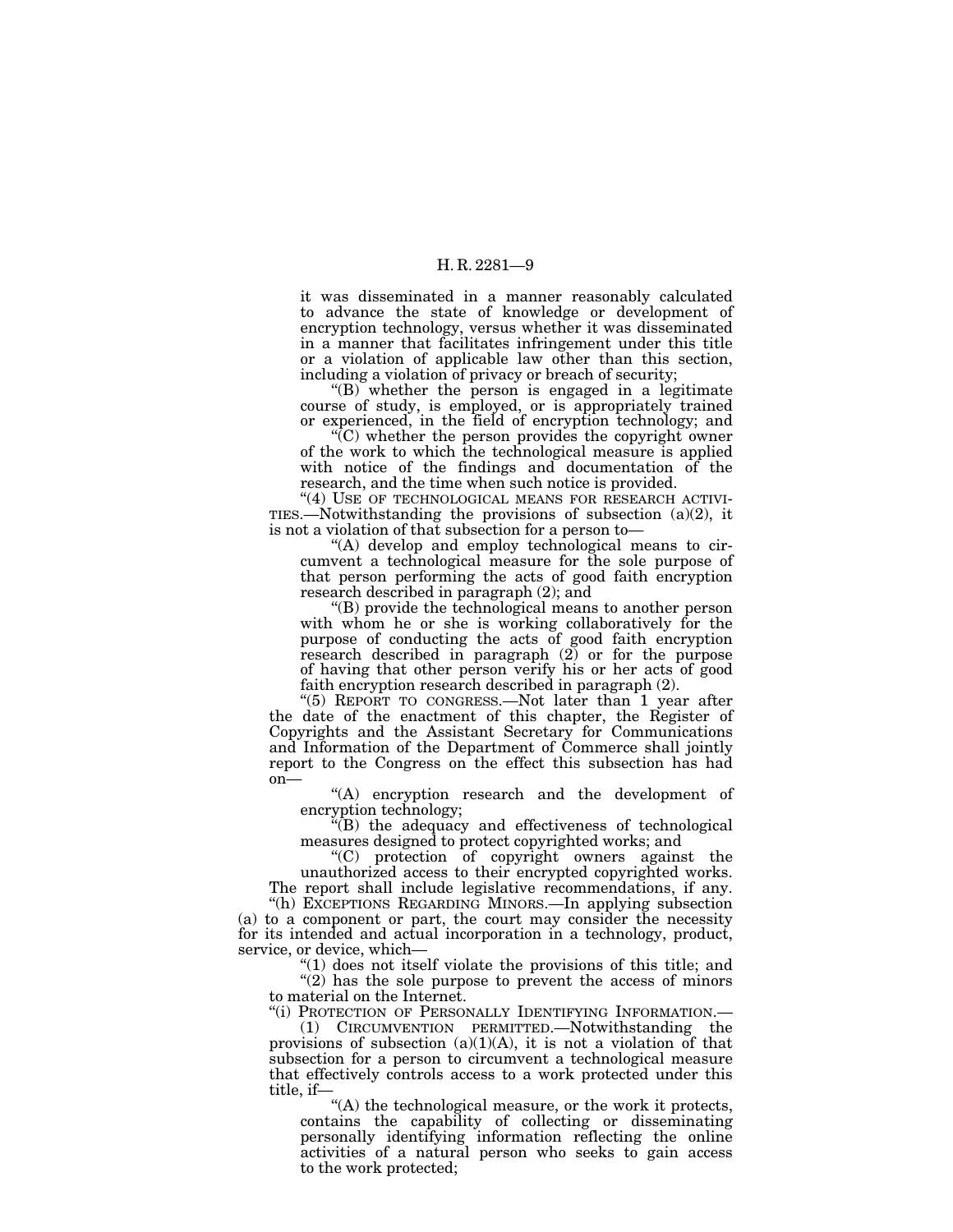it was disseminated in a manner reasonably calculated to advance the state of knowledge or development of encryption technology, versus whether it was disseminated in a manner that facilitates infringement under this title or a violation of applicable law other than this section, including a violation of privacy or breach of security;

 $'(B)$  whether the person is engaged in a legitimate course of study, is employed, or is appropriately trained or experienced, in the field of encryption technology; and

''(C) whether the person provides the copyright owner of the work to which the technological measure is applied with notice of the findings and documentation of the research, and the time when such notice is provided.

"(4) USE OF TECHNOLOGICAL MEANS FOR RESEARCH ACTIVI-TIES.—Notwithstanding the provisions of subsection  $(a)(2)$ , it is not a violation of that subsection for a person to—

''(A) develop and employ technological means to circumvent a technological measure for the sole purpose of that person performing the acts of good faith encryption research described in paragraph (2); and

''(B) provide the technological means to another person with whom he or she is working collaboratively for the purpose of conducting the acts of good faith encryption research described in paragraph (2) or for the purpose of having that other person verify his or her acts of good faith encryption research described in paragraph (2).

"(5) REPORT TO CONGRESS.—Not later than 1 year after the date of the enactment of this chapter, the Register of Copyrights and the Assistant Secretary for Communications and Information of the Department of Commerce shall jointly report to the Congress on the effect this subsection has had on—

''(A) encryption research and the development of encryption technology;

''(B) the adequacy and effectiveness of technological measures designed to protect copyrighted works; and

''(C) protection of copyright owners against the unauthorized access to their encrypted copyrighted works. The report shall include legislative recommendations, if any.

''(h) EXCEPTIONS REGARDING MINORS.—In applying subsection (a) to a component or part, the court may consider the necessity for its intended and actual incorporation in a technology, product, service, or device, which—

''(1) does not itself violate the provisions of this title; and  $''(2)$  has the sole purpose to prevent the access of minors to material on the Internet.

''(i) PROTECTION OF PERSONALLY IDENTIFYING INFORMATION.—

(1) CIRCUMVENTION PERMITTED.—Notwithstanding the provisions of subsection  $(a)(1)(A)$ , it is not a violation of that subsection for a person to circumvent a technological measure that effectively controls access to a work protected under this title, if—

"(A) the technological measure, or the work it protects, contains the capability of collecting or disseminating personally identifying information reflecting the online activities of a natural person who seeks to gain access to the work protected;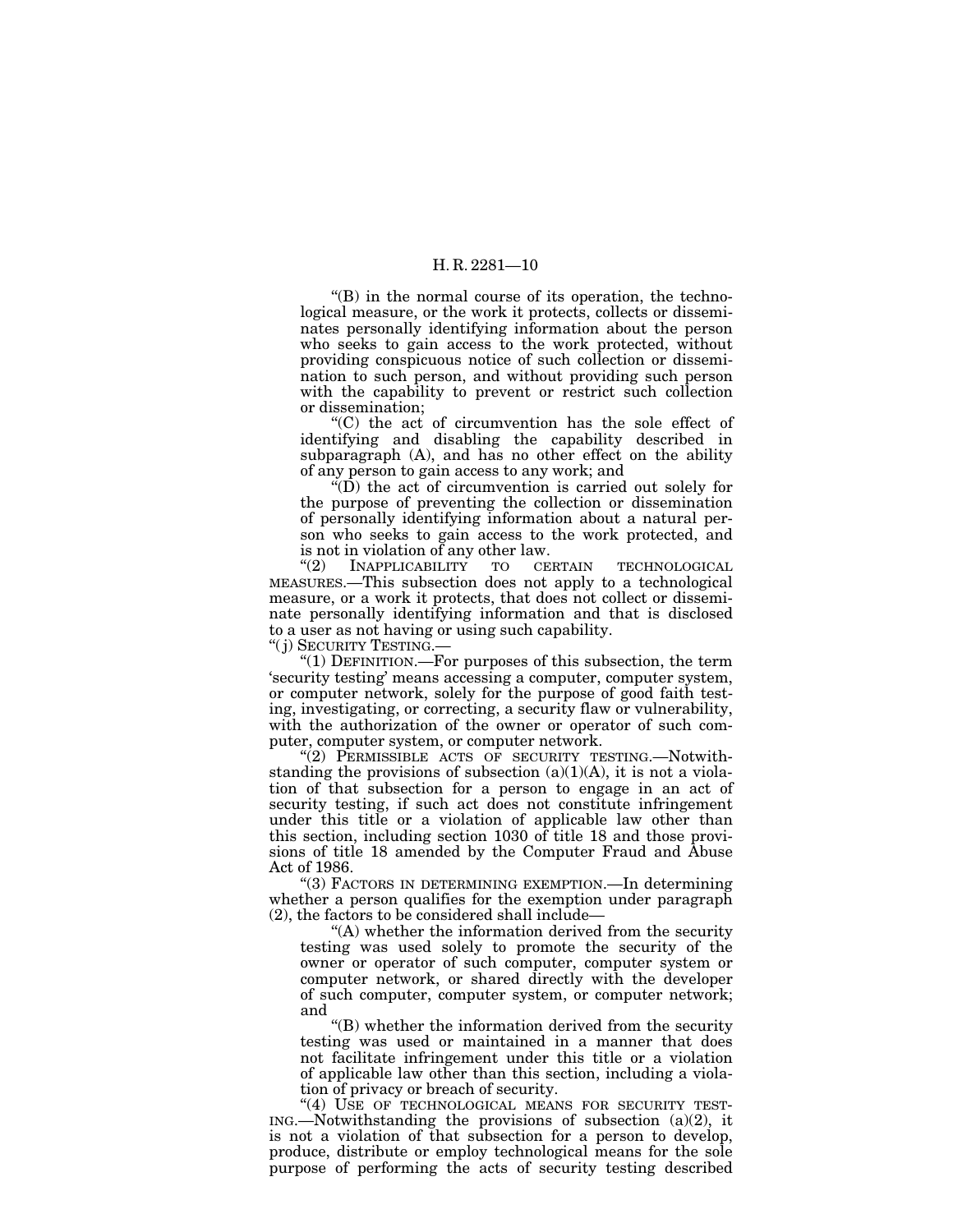$f(B)$  in the normal course of its operation, the technological measure, or the work it protects, collects or disseminates personally identifying information about the person who seeks to gain access to the work protected, without providing conspicuous notice of such collection or dissemination to such person, and without providing such person with the capability to prevent or restrict such collection or dissemination;

''(C) the act of circumvention has the sole effect of identifying and disabling the capability described in subparagraph (A), and has no other effect on the ability of any person to gain access to any work; and

 $\cdot$ <sup>"(D)</sup> the act of circumvention is carried out solely for the purpose of preventing the collection or dissemination of personally identifying information about a natural person who seeks to gain access to the work protected, and is not in violation of any other law.<br>
"(2) INAPPLICABILITY TO CERTAIN

INAPPLICABILITY TO CERTAIN TECHNOLOGICAL MEASURES.—This subsection does not apply to a technological measure, or a work it protects, that does not collect or disseminate personally identifying information and that is disclosed to a user as not having or using such capability.

''( j) SECURITY TESTING.—

" $(1)$  DEFINITION.—For purposes of this subsection, the term 'security testing' means accessing a computer, computer system, or computer network, solely for the purpose of good faith testing, investigating, or correcting, a security flaw or vulnerability, with the authorization of the owner or operator of such computer, computer system, or computer network.

"(2) PERMISSIBLE ACTS OF SECURITY TESTING.—Notwithstanding the provisions of subsection  $(a)(1)(A)$ , it is not a violation of that subsection for a person to engage in an act of security testing, if such act does not constitute infringement under this title or a violation of applicable law other than this section, including section 1030 of title 18 and those provisions of title 18 amended by the Computer Fraud and Abuse Act of 1986.

''(3) FACTORS IN DETERMINING EXEMPTION.—In determining whether a person qualifies for the exemption under paragraph (2), the factors to be considered shall include—

''(A) whether the information derived from the security testing was used solely to promote the security of the owner or operator of such computer, computer system or computer network, or shared directly with the developer of such computer, computer system, or computer network; and

''(B) whether the information derived from the security testing was used or maintained in a manner that does not facilitate infringement under this title or a violation of applicable law other than this section, including a violation of privacy or breach of security.

"(4) USE OF TECHNOLOGICAL MEANS FOR SECURITY TEST- $ING.$ —Notwithstanding the provisions of subsection  $(a)(2)$ , it is not a violation of that subsection for a person to develop, produce, distribute or employ technological means for the sole purpose of performing the acts of security testing described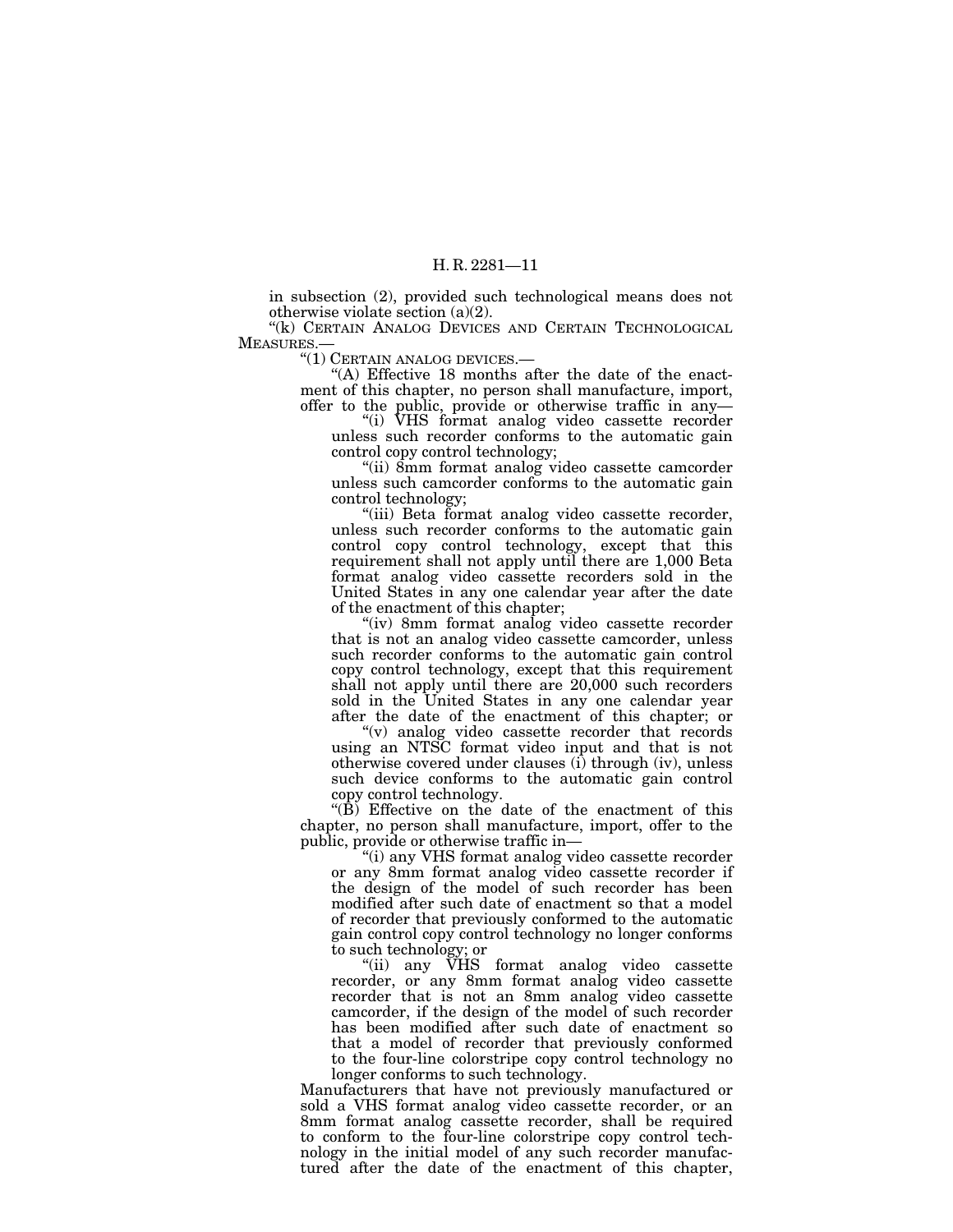in subsection (2), provided such technological means does not otherwise violate section (a)(2).

"(k) CERTAIN ANALOG DEVICES AND CERTAIN TECHNOLOGICAL MEASURES.—

''(1) CERTAIN ANALOG DEVICES.—

"(A) Effective 18 months after the date of the enactment of this chapter, no person shall manufacture, import, offer to the public, provide or otherwise traffic in any—

''(i) VHS format analog video cassette recorder unless such recorder conforms to the automatic gain control copy control technology;

''(ii) 8mm format analog video cassette camcorder unless such camcorder conforms to the automatic gain control technology;

''(iii) Beta format analog video cassette recorder, unless such recorder conforms to the automatic gain control copy control technology, except that this requirement shall not apply until there are 1,000 Beta format analog video cassette recorders sold in the United States in any one calendar year after the date of the enactment of this chapter;

''(iv) 8mm format analog video cassette recorder that is not an analog video cassette camcorder, unless such recorder conforms to the automatic gain control copy control technology, except that this requirement shall not apply until there are 20,000 such recorders sold in the United States in any one calendar year after the date of the enactment of this chapter; or

''(v) analog video cassette recorder that records using an NTSC format video input and that is not otherwise covered under clauses (i) through (iv), unless such device conforms to the automatic gain control copy control technology.

''(B) Effective on the date of the enactment of this chapter, no person shall manufacture, import, offer to the public, provide or otherwise traffic in—

''(i) any VHS format analog video cassette recorder or any 8mm format analog video cassette recorder if the design of the model of such recorder has been modified after such date of enactment so that a model of recorder that previously conformed to the automatic gain control copy control technology no longer conforms to such technology; or

"(ii) any  $\tilde{V}$ HS format analog video cassette recorder, or any 8mm format analog video cassette recorder that is not an 8mm analog video cassette camcorder, if the design of the model of such recorder has been modified after such date of enactment so that a model of recorder that previously conformed to the four-line colorstripe copy control technology no longer conforms to such technology.

Manufacturers that have not previously manufactured or sold a VHS format analog video cassette recorder, or an 8mm format analog cassette recorder, shall be required to conform to the four-line colorstripe copy control technology in the initial model of any such recorder manufactured after the date of the enactment of this chapter,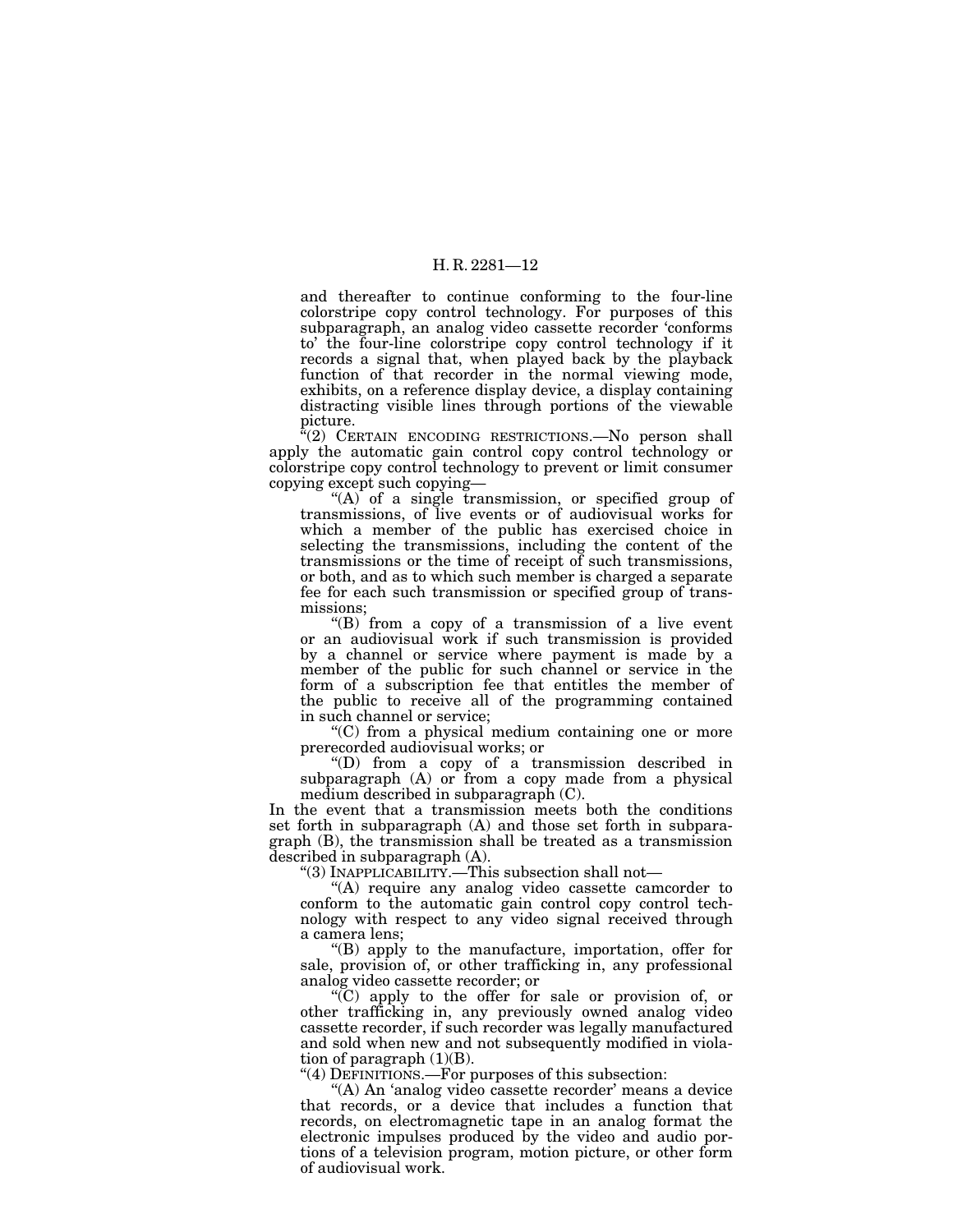and thereafter to continue conforming to the four-line colorstripe copy control technology. For purposes of this subparagraph, an analog video cassette recorder 'conforms to' the four-line colorstripe copy control technology if it records a signal that, when played back by the playback function of that recorder in the normal viewing mode, exhibits, on a reference display device, a display containing distracting visible lines through portions of the viewable picture.

''(2) CERTAIN ENCODING RESTRICTIONS.—No person shall apply the automatic gain control copy control technology or colorstripe copy control technology to prevent or limit consumer copying except such copying—

''(A) of a single transmission, or specified group of transmissions, of live events or of audiovisual works for which a member of the public has exercised choice in selecting the transmissions, including the content of the transmissions or the time of receipt of such transmissions, or both, and as to which such member is charged a separate fee for each such transmission or specified group of transmissions;

''(B) from a copy of a transmission of a live event or an audiovisual work if such transmission is provided by a channel or service where payment is made by a member of the public for such channel or service in the form of a subscription fee that entitles the member of the public to receive all of the programming contained in such channel or service;

''(C) from a physical medium containing one or more prerecorded audiovisual works; or

''(D) from a copy of a transmission described in subparagraph (A) or from a copy made from a physical medium described in subparagraph (C).

In the event that a transmission meets both the conditions set forth in subparagraph (A) and those set forth in subparagraph (B), the transmission shall be treated as a transmission described in subparagraph (A).

''(3) INAPPLICABILITY.—This subsection shall not—

''(A) require any analog video cassette camcorder to conform to the automatic gain control copy control technology with respect to any video signal received through a camera lens;

''(B) apply to the manufacture, importation, offer for sale, provision of, or other trafficking in, any professional analog video cassette recorder; or

''(C) apply to the offer for sale or provision of, or other trafficking in, any previously owned analog video cassette recorder, if such recorder was legally manufactured and sold when new and not subsequently modified in violation of paragraph  $(1)(B)$ .

" $(4)$  DEFINITIONS.—For purposes of this subsection:

"(A) An 'analog video cassette recorder' means a device that records, or a device that includes a function that records, on electromagnetic tape in an analog format the electronic impulses produced by the video and audio portions of a television program, motion picture, or other form of audiovisual work.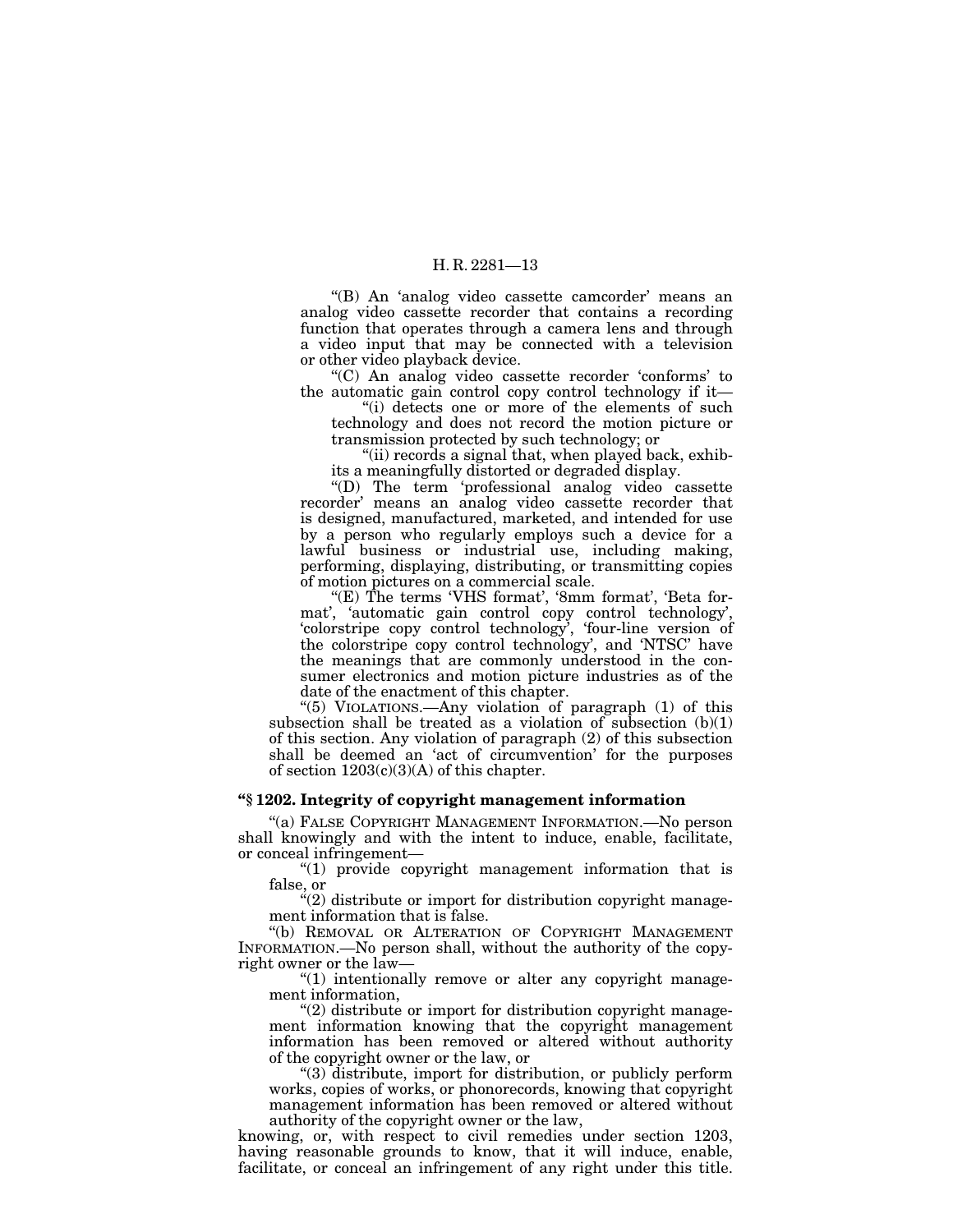"(B) An 'analog video cassette camcorder' means an analog video cassette recorder that contains a recording function that operates through a camera lens and through a video input that may be connected with a television or other video playback device.

''(C) An analog video cassette recorder 'conforms' to the automatic gain control copy control technology if it—

"(i) detects one or more of the elements of such technology and does not record the motion picture or transmission protected by such technology; or

''(ii) records a signal that, when played back, exhibits a meaningfully distorted or degraded display.

''(D) The term 'professional analog video cassette recorder' means an analog video cassette recorder that is designed, manufactured, marketed, and intended for use by a person who regularly employs such a device for a lawful business or industrial use, including making, performing, displaying, distributing, or transmitting copies of motion pictures on a commercial scale.

(E) The terms 'VHS format', '8mm format', 'Beta format', 'automatic gain control copy control technology', 'colorstripe copy control technology', 'four-line version of the colorstripe copy control technology', and 'NTSC' have the meanings that are commonly understood in the consumer electronics and motion picture industries as of the date of the enactment of this chapter.

''(5) VIOLATIONS.—Any violation of paragraph (1) of this subsection shall be treated as a violation of subsection  $(b)(1)$ of this section. Any violation of paragraph (2) of this subsection shall be deemed an 'act of circumvention' for the purposes of section  $1203(c)(3)(A)$  of this chapter.

#### **''§ 1202. Integrity of copyright management information**

''(a) FALSE COPYRIGHT MANAGEMENT INFORMATION.—No person shall knowingly and with the intent to induce, enable, facilitate, or conceal infringement—

''(1) provide copyright management information that is false, or

 $\cdot$ (2) distribute or import for distribution copyright management information that is false.

''(b) REMOVAL OR ALTERATION OF COPYRIGHT MANAGEMENT INFORMATION.—No person shall, without the authority of the copyright owner or the law—

"(1) intentionally remove or alter any copyright management information,

''(2) distribute or import for distribution copyright management information knowing that the copyright management information has been removed or altered without authority of the copyright owner or the law, or

''(3) distribute, import for distribution, or publicly perform works, copies of works, or phonorecords, knowing that copyright management information has been removed or altered without authority of the copyright owner or the law,

knowing, or, with respect to civil remedies under section 1203, having reasonable grounds to know, that it will induce, enable, facilitate, or conceal an infringement of any right under this title.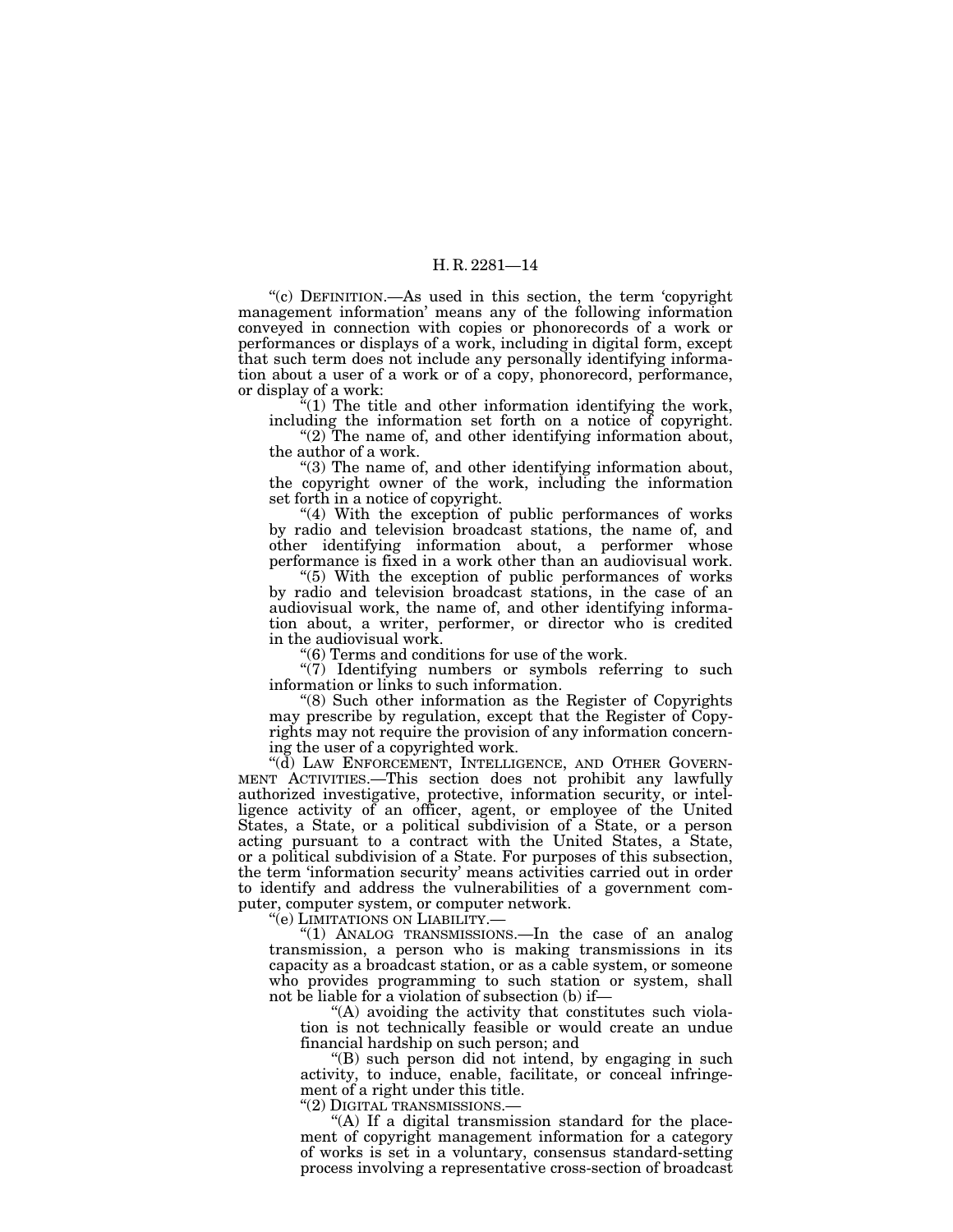''(c) DEFINITION.—As used in this section, the term 'copyright management information' means any of the following information conveyed in connection with copies or phonorecords of a work or performances or displays of a work, including in digital form, except that such term does not include any personally identifying information about a user of a work or of a copy, phonorecord, performance, or display of a work:

 $f''(1)$  The title and other information identifying the work, including the information set forth on a notice of copyright.

" $(2)$  The name of, and other identifying information about, the author of a work.

''(3) The name of, and other identifying information about, the copyright owner of the work, including the information set forth in a notice of copyright.

" $(4)$  With the exception of public performances of works by radio and television broadcast stations, the name of, and other identifying information about, a performer whose performance is fixed in a work other than an audiovisual work.

"(5) With the exception of public performances of works" by radio and television broadcast stations, in the case of an audiovisual work, the name of, and other identifying information about, a writer, performer, or director who is credited in the audiovisual work.

''(6) Terms and conditions for use of the work.

"(7) Identifying numbers or symbols referring to such information or links to such information.

''(8) Such other information as the Register of Copyrights may prescribe by regulation, except that the Register of Copyrights may not require the provision of any information concerning the user of a copyrighted work.

''(d) LAW ENFORCEMENT, INTELLIGENCE, AND OTHER GOVERN- MENT ACTIVITIES.—This section does not prohibit any lawfully authorized investigative, protective, information security, or intelligence activity of an officer, agent, or employee of the United States, a State, or a political subdivision of a State, or a person acting pursuant to a contract with the United States, a State, or a political subdivision of a State. For purposes of this subsection, the term 'information security' means activities carried out in order to identify and address the vulnerabilities of a government computer, computer system, or computer network.<br>
"(e) LIMITATIONS ON LIABILITY.—

"(1) ANALOG TRANSMISSIONS.—In the case of an analog transmission, a person who is making transmissions in its capacity as a broadcast station, or as a cable system, or someone who provides programming to such station or system, shall not be liable for a violation of subsection (b) if—

"(A) avoiding the activity that constitutes such violation is not technically feasible or would create an undue financial hardship on such person; and

''(B) such person did not intend, by engaging in such activity, to induce, enable, facilitate, or conceal infringement of a right under this title.

''(2) DIGITAL TRANSMISSIONS.—

"(A) If a digital transmission standard for the placement of copyright management information for a category of works is set in a voluntary, consensus standard-setting process involving a representative cross-section of broadcast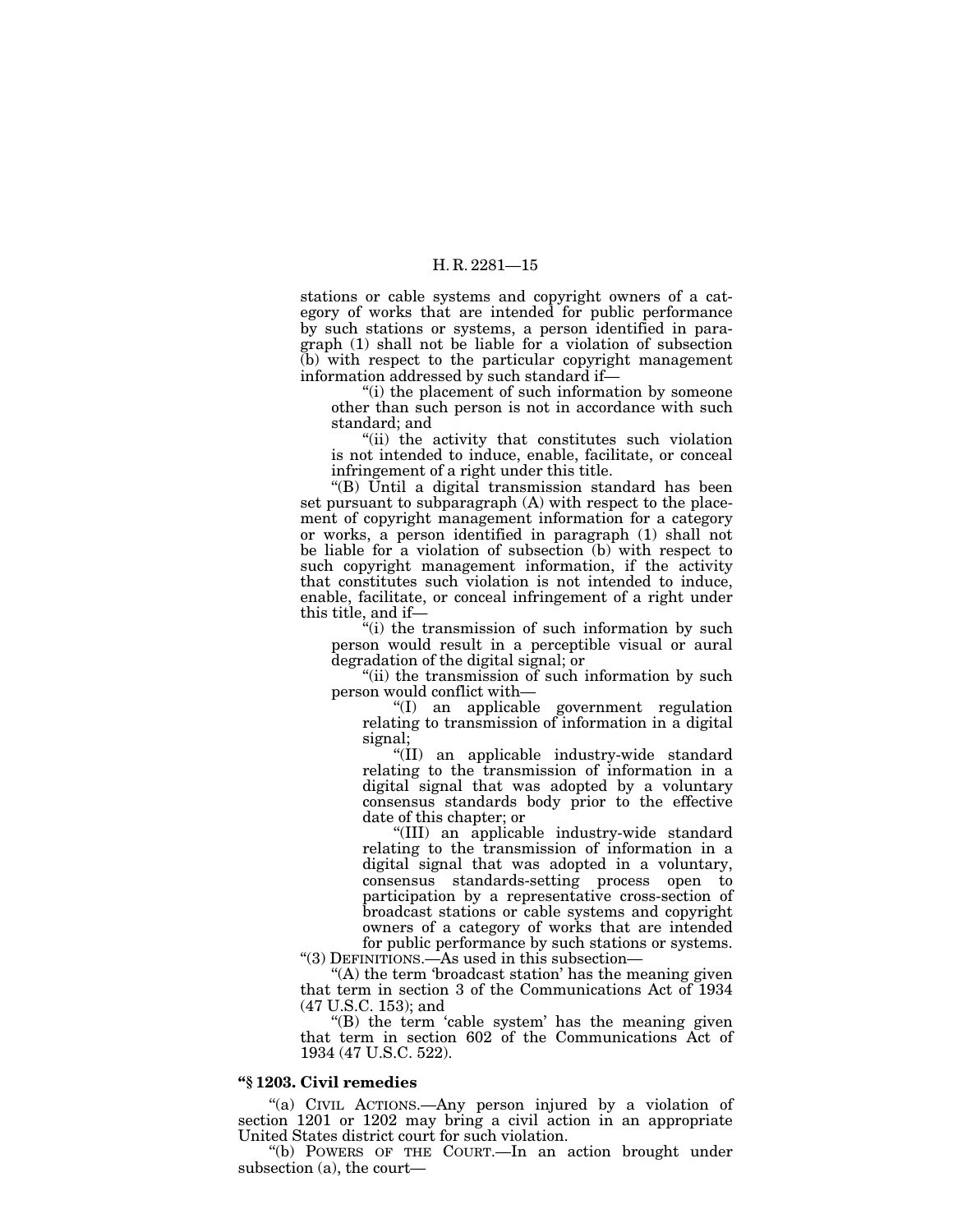stations or cable systems and copyright owners of a category of works that are intended for public performance by such stations or systems, a person identified in paragraph (1) shall not be liable for a violation of subsection (b) with respect to the particular copyright management information addressed by such standard if—

''(i) the placement of such information by someone other than such person is not in accordance with such standard; and

''(ii) the activity that constitutes such violation is not intended to induce, enable, facilitate, or conceal infringement of a right under this title.

''(B) Until a digital transmission standard has been set pursuant to subparagraph (A) with respect to the placement of copyright management information for a category or works, a person identified in paragraph (1) shall not be liable for a violation of subsection (b) with respect to such copyright management information, if the activity that constitutes such violation is not intended to induce, enable, facilitate, or conceal infringement of a right under this title, and if—

''(i) the transmission of such information by such person would result in a perceptible visual or aural degradation of the digital signal; or

"(ii) the transmission of such information by such person would conflict with—

''(I) an applicable government regulation relating to transmission of information in a digital signal;

"(II) an applicable industry-wide standard relating to the transmission of information in a digital signal that was adopted by a voluntary consensus standards body prior to the effective date of this chapter; or

''(III) an applicable industry-wide standard relating to the transmission of information in a digital signal that was adopted in a voluntary, consensus standards-setting process open to participation by a representative cross-section of broadcast stations or cable systems and copyright owners of a category of works that are intended for public performance by such stations or systems.

''(3) DEFINITIONS.—As used in this subsection—

"(A) the term 'broadcast station' has the meaning given that term in section 3 of the Communications Act of 1934 (47 U.S.C. 153); and

" $(B)$  the term 'cable system' has the meaning given that term in section 602 of the Communications Act of 1934 (47 U.S.C. 522).

# **''§ 1203. Civil remedies**

"(a) CIVIL ACTIONS.—Any person injured by a violation of section 1201 or 1202 may bring a civil action in an appropriate United States district court for such violation.

''(b) POWERS OF THE COURT.—In an action brought under subsection (a), the court—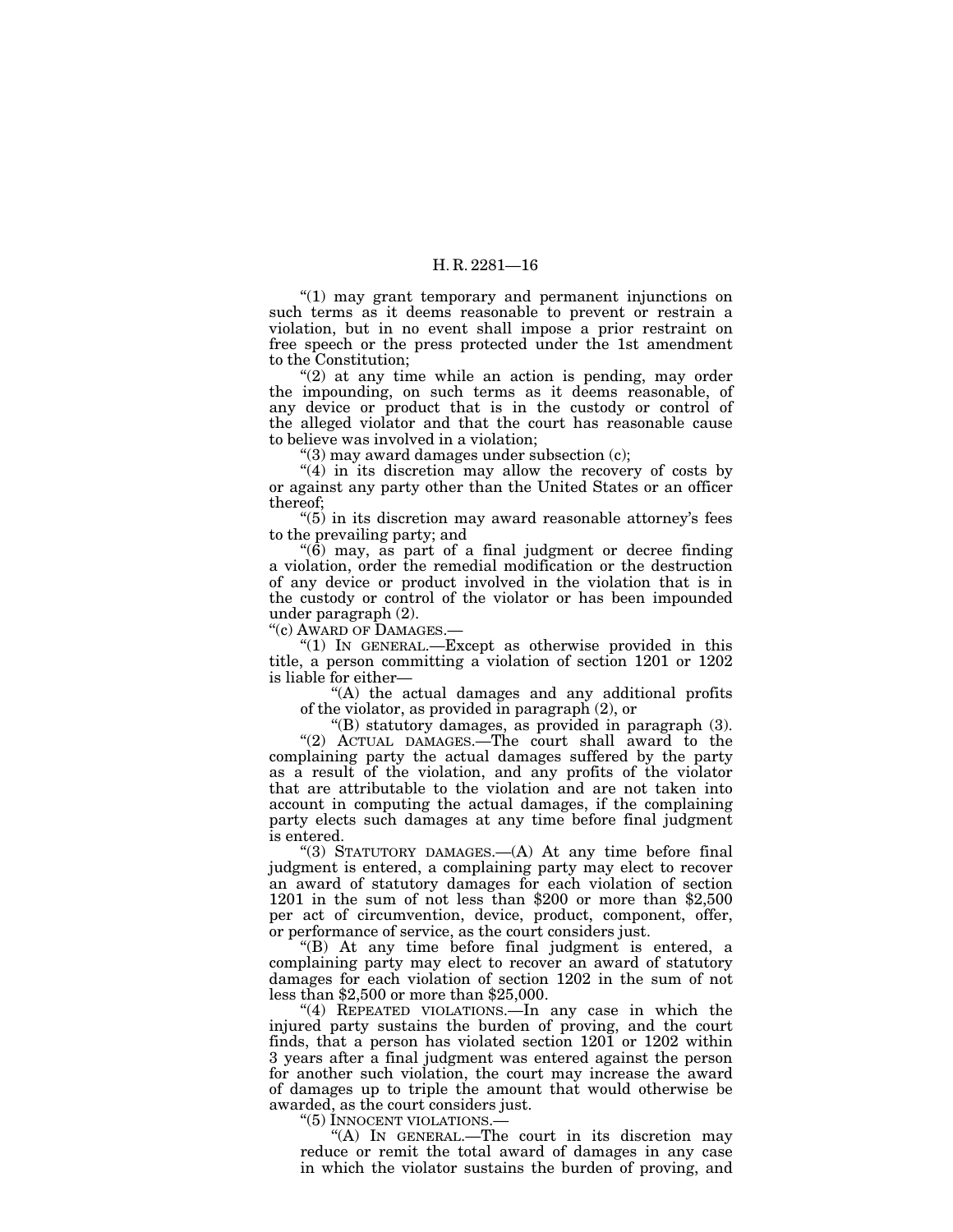''(1) may grant temporary and permanent injunctions on such terms as it deems reasonable to prevent or restrain a violation, but in no event shall impose a prior restraint on free speech or the press protected under the 1st amendment to the Constitution;

"(2) at any time while an action is pending, may order the impounding, on such terms as it deems reasonable, of any device or product that is in the custody or control of the alleged violator and that the court has reasonable cause to believe was involved in a violation;

" $(3)$  may award damages under subsection  $(c)$ ;

" $(4)$  in its discretion may allow the recovery of costs by or against any party other than the United States or an officer thereof;

''(5) in its discretion may award reasonable attorney's fees to the prevailing party; and

 $(6)$  may, as part of a final judgment or decree finding a violation, order the remedial modification or the destruction of any device or product involved in the violation that is in the custody or control of the violator or has been impounded under paragraph (2).

''(c) AWARD OF DAMAGES.—

''(1) IN GENERAL.—Except as otherwise provided in this title, a person committing a violation of section 1201 or 1202 is liable for either—

"(A) the actual damages and any additional profits of the violator, as provided in paragraph (2), or

''(B) statutory damages, as provided in paragraph (3).

"(2) ACTUAL DAMAGES. The court shall award to the complaining party the actual damages suffered by the party as a result of the violation, and any profits of the violator that are attributable to the violation and are not taken into account in computing the actual damages, if the complaining party elects such damages at any time before final judgment is entered.

"(3) STATUTORY DAMAGES.—(A) At any time before final judgment is entered, a complaining party may elect to recover an award of statutory damages for each violation of section 1201 in the sum of not less than \$200 or more than \$2,500 per act of circumvention, device, product, component, offer, or performance of service, as the court considers just.

''(B) At any time before final judgment is entered, a complaining party may elect to recover an award of statutory damages for each violation of section 1202 in the sum of not less than \$2,500 or more than \$25,000.

''(4) REPEATED VIOLATIONS.—In any case in which the injured party sustains the burden of proving, and the court finds, that a person has violated section 1201 or 1202 within 3 years after a final judgment was entered against the person for another such violation, the court may increase the award of damages up to triple the amount that would otherwise be awarded, as the court considers just.

"(5) INNOCENT VIOLATIONS.-

''(A) IN GENERAL.—The court in its discretion may reduce or remit the total award of damages in any case in which the violator sustains the burden of proving, and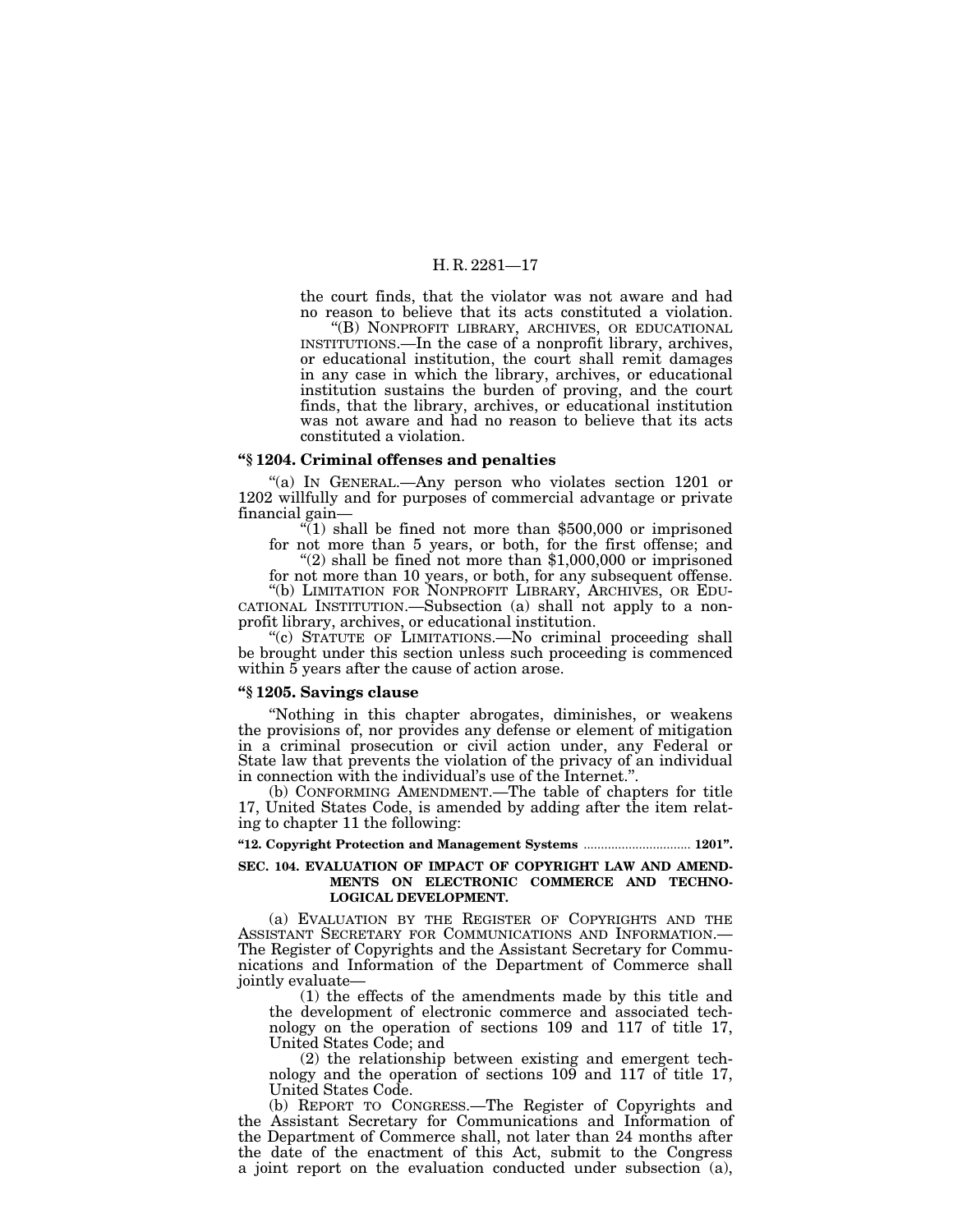the court finds, that the violator was not aware and had no reason to believe that its acts constituted a violation.

''(B) NONPROFIT LIBRARY, ARCHIVES, OR EDUCATIONAL INSTITUTIONS.—In the case of a nonprofit library, archives, or educational institution, the court shall remit damages in any case in which the library, archives, or educational institution sustains the burden of proving, and the court finds, that the library, archives, or educational institution was not aware and had no reason to believe that its acts constituted a violation.

#### **''§ 1204. Criminal offenses and penalties**

"(a) In GENERAL.—Any person who violates section 1201 or 1202 willfully and for purposes of commercial advantage or private

 $\sqrt[4]{(1)}$  shall be fined not more than \$500,000 or imprisoned for not more than 5 years, or both, for the first offense; and "(2) shall be fined not more than \$1,000,000 or imprisoned

for not more than 10 years, or both, for any subsequent offense.

''(b) LIMITATION FOR NONPROFIT LIBRARY, ARCHIVES, OR EDU- CATIONAL INSTITUTION.—Subsection (a) shall not apply to a nonprofit library, archives, or educational institution.

"(c) STATUTE OF LIMITATIONS.—No criminal proceeding shall be brought under this section unless such proceeding is commenced within 5 years after the cause of action arose.

#### **''§ 1205. Savings clause**

''Nothing in this chapter abrogates, diminishes, or weakens the provisions of, nor provides any defense or element of mitigation in a criminal prosecution or civil action under, any Federal or State law that prevents the violation of the privacy of an individual in connection with the individual's use of the Internet.''.

(b) CONFORMING AMENDMENT.—The table of chapters for title 17, United States Code, is amended by adding after the item relating to chapter 11 the following:

**''12. Copyright Protection and Management Systems** ............................... **1201''.**

#### **SEC. 104. EVALUATION OF IMPACT OF COPYRIGHT LAW AND AMEND-MENTS ON ELECTRONIC COMMERCE AND TECHNO-LOGICAL DEVELOPMENT.**

(a) EVALUATION BY THE REGISTER OF COPYRIGHTS AND THE ASSISTANT SECRETARY FOR COMMUNICATIONS AND INFORMATION.— The Register of Copyrights and the Assistant Secretary for Communications and Information of the Department of Commerce shall jointly evaluate—

(1) the effects of the amendments made by this title and the development of electronic commerce and associated technology on the operation of sections 109 and 117 of title 17, United States Code; and

(2) the relationship between existing and emergent technology and the operation of sections 109 and 117 of title 17, United States Code.

(b) REPORT TO CONGRESS.—The Register of Copyrights and the Assistant Secretary for Communications and Information of the Department of Commerce shall, not later than 24 months after the date of the enactment of this Act, submit to the Congress a joint report on the evaluation conducted under subsection (a),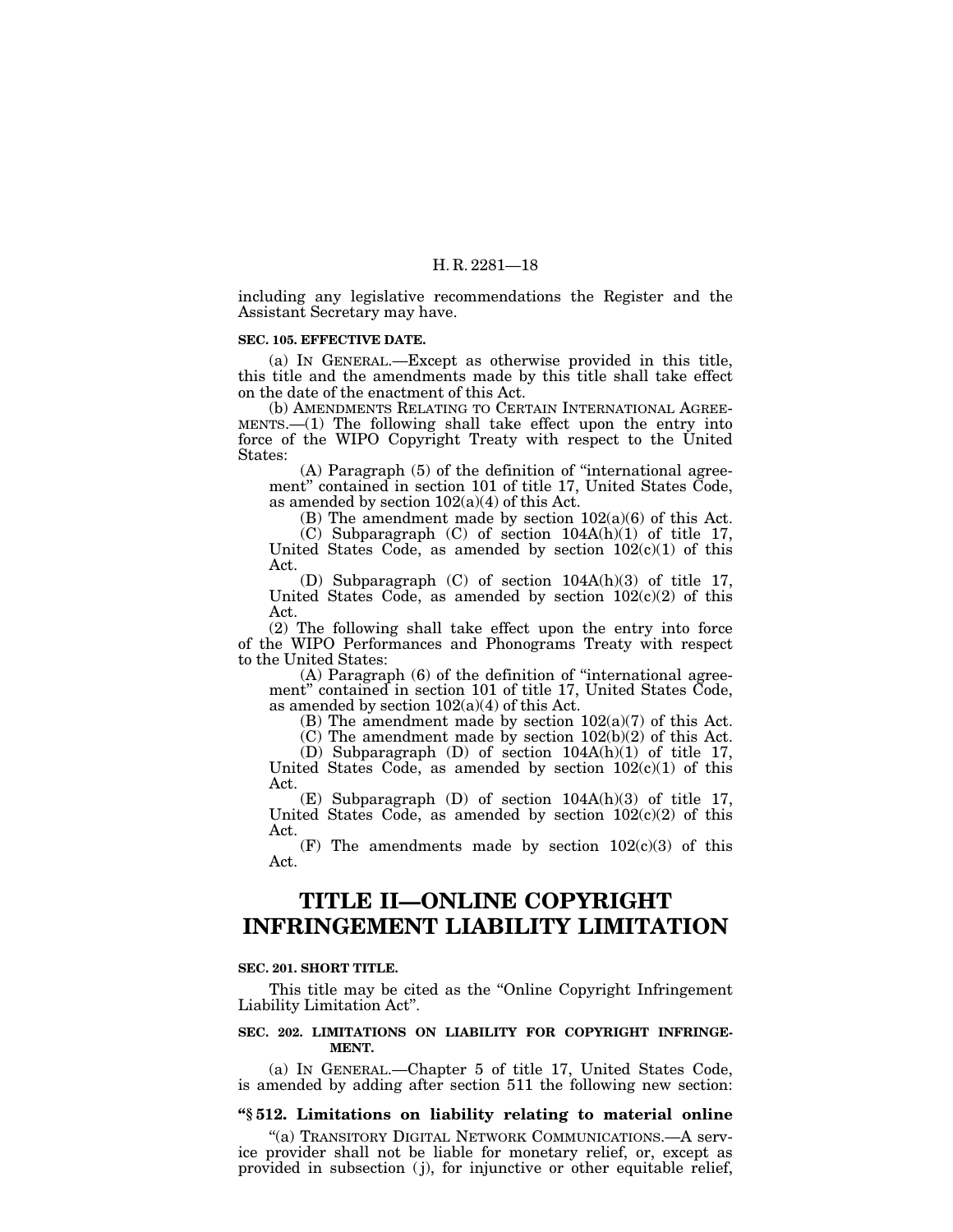including any legislative recommendations the Register and the Assistant Secretary may have.

#### **SEC. 105. EFFECTIVE DATE.**

(a) IN GENERAL.—Except as otherwise provided in this title, this title and the amendments made by this title shall take effect on the date of the enactment of this Act.

(b) AMENDMENTS RELATING TO CERTAIN INTERNATIONAL AGREE-MENTS.—(1) The following shall take effect upon the entry into force of the WIPO Copyright Treaty with respect to the United States:

(A) Paragraph (5) of the definition of ''international agreement'' contained in section 101 of title 17, United States Code, as amended by section 102(a)(4) of this Act.

(B) The amendment made by section  $102(a)(6)$  of this Act.

(C) Subparagraph (C) of section 104A(h)(1) of title 17, United States Code, as amended by section  $102(c)(1)$  of this Act.

(D) Subparagraph (C) of section 104A(h)(3) of title 17, United States Code, as amended by section  $102(c)(2)$  of this Act.

(2) The following shall take effect upon the entry into force of the WIPO Performances and Phonograms Treaty with respect to the United States:

(A) Paragraph (6) of the definition of ''international agreement'' contained in section 101 of title 17, United States Code, as amended by section  $102(a)(4)$  of this Act.

(B) The amendment made by section 102(a)(7) of this Act.

 $(C)$  The amendment made by section  $102(b)(2)$  of this Act.

(D) Subparagraph (D) of section 104A(h)(1) of title 17, United States Code, as amended by section  $102(c)(1)$  of this Act.

(E) Subparagraph (D) of section 104A(h)(3) of title 17, United States Code, as amended by section  $102(c)(2)$  of this Act.

(F) The amendments made by section  $102(c)(3)$  of this Act.

# **TITLE II—ONLINE COPYRIGHT INFRINGEMENT LIABILITY LIMITATION**

#### **SEC. 201. SHORT TITLE.**

This title may be cited as the "Online Copyright Infringement" Liability Limitation Act''.

#### **SEC. 202. LIMITATIONS ON LIABILITY FOR COPYRIGHT INFRINGE-MENT.**

(a) IN GENERAL.—Chapter 5 of title 17, United States Code, is amended by adding after section 511 the following new section:

#### **''§ 512. Limitations on liability relating to material online**

''(a) TRANSITORY DIGITAL NETWORK COMMUNICATIONS.—A service provider shall not be liable for monetary relief, or, except as provided in subsection ( j), for injunctive or other equitable relief,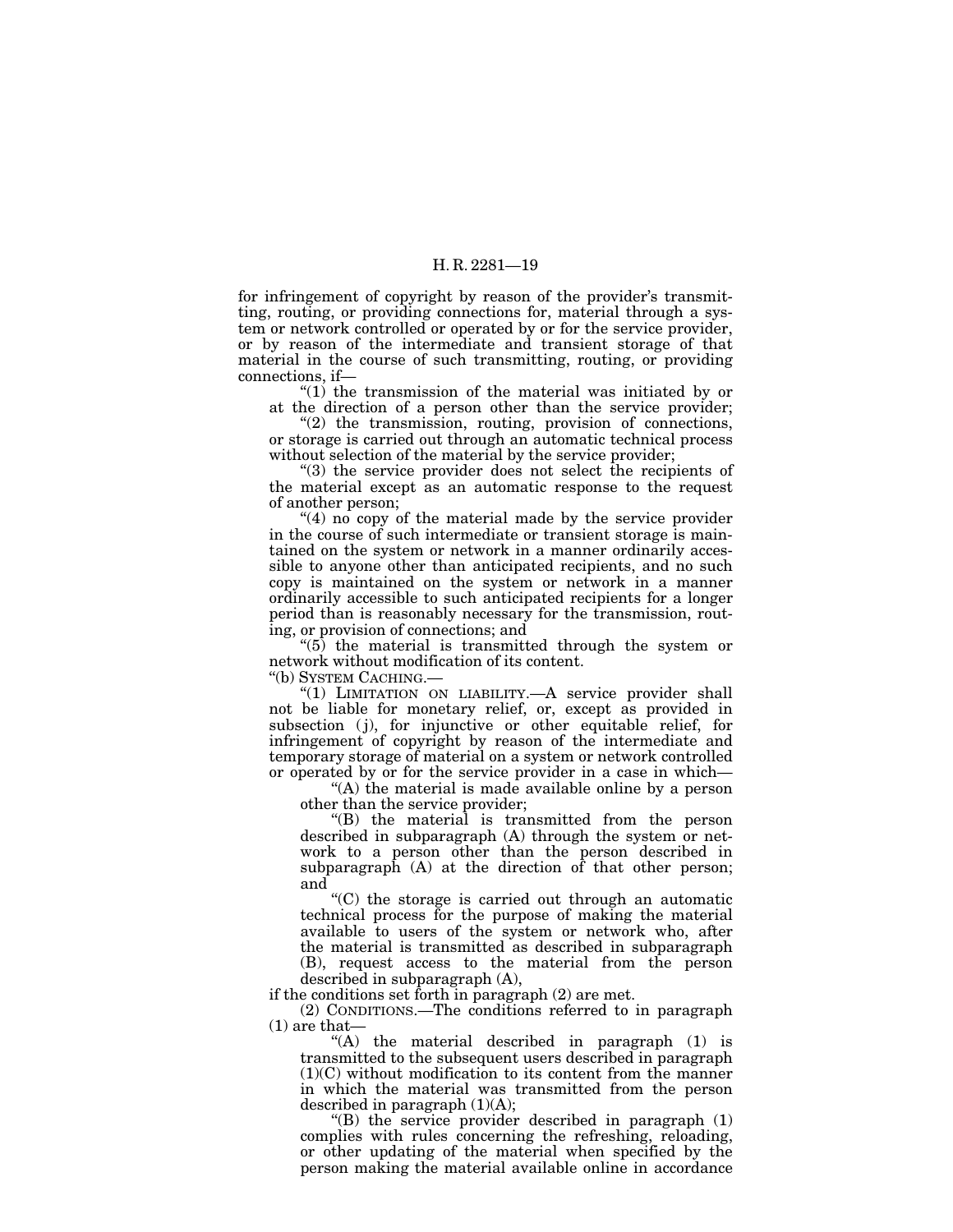for infringement of copyright by reason of the provider's transmitting, routing, or providing connections for, material through a system or network controlled or operated by or for the service provider, or by reason of the intermediate and transient storage of that material in the course of such transmitting, routing, or providing connections, if—

" $(1)$  the transmission of the material was initiated by or at the direction of a person other than the service provider;

"(2) the transmission, routing, provision of connections, or storage is carried out through an automatic technical process without selection of the material by the service provider;

''(3) the service provider does not select the recipients of the material except as an automatic response to the request of another person;

"(4) no copy of the material made by the service provider in the course of such intermediate or transient storage is maintained on the system or network in a manner ordinarily accessible to anyone other than anticipated recipients, and no such copy is maintained on the system or network in a manner ordinarily accessible to such anticipated recipients for a longer period than is reasonably necessary for the transmission, routing, or provision of connections; and

 $(5)$  the material is transmitted through the system or network without modification of its content.

''(b) SYSTEM CACHING.—

"(1) LIMITATION ON LIABILITY.—A service provider shall not be liable for monetary relief, or, except as provided in subsection (j), for injunctive or other equitable relief, for infringement of copyright by reason of the intermediate and temporary storage of material on a system or network controlled or operated by or for the service provider in a case in which—

''(A) the material is made available online by a person other than the service provider;

''(B) the material is transmitted from the person described in subparagraph (A) through the system or network to a person other than the person described in subparagraph (A) at the direction of that other person; and

 $C$ ) the storage is carried out through an automatic technical process for the purpose of making the material available to users of the system or network who, after the material is transmitted as described in subparagraph (B), request access to the material from the person described in subparagraph (A),

if the conditions set forth in paragraph (2) are met.

(2) CONDITIONS.—The conditions referred to in paragraph (1) are that—

''(A) the material described in paragraph (1) is transmitted to the subsequent users described in paragraph  $(1)(C)$  without modification to its content from the manner in which the material was transmitted from the person described in paragraph  $(1)(A)$ ;

" $(B)$  the service provider described in paragraph  $(1)$ complies with rules concerning the refreshing, reloading, or other updating of the material when specified by the person making the material available online in accordance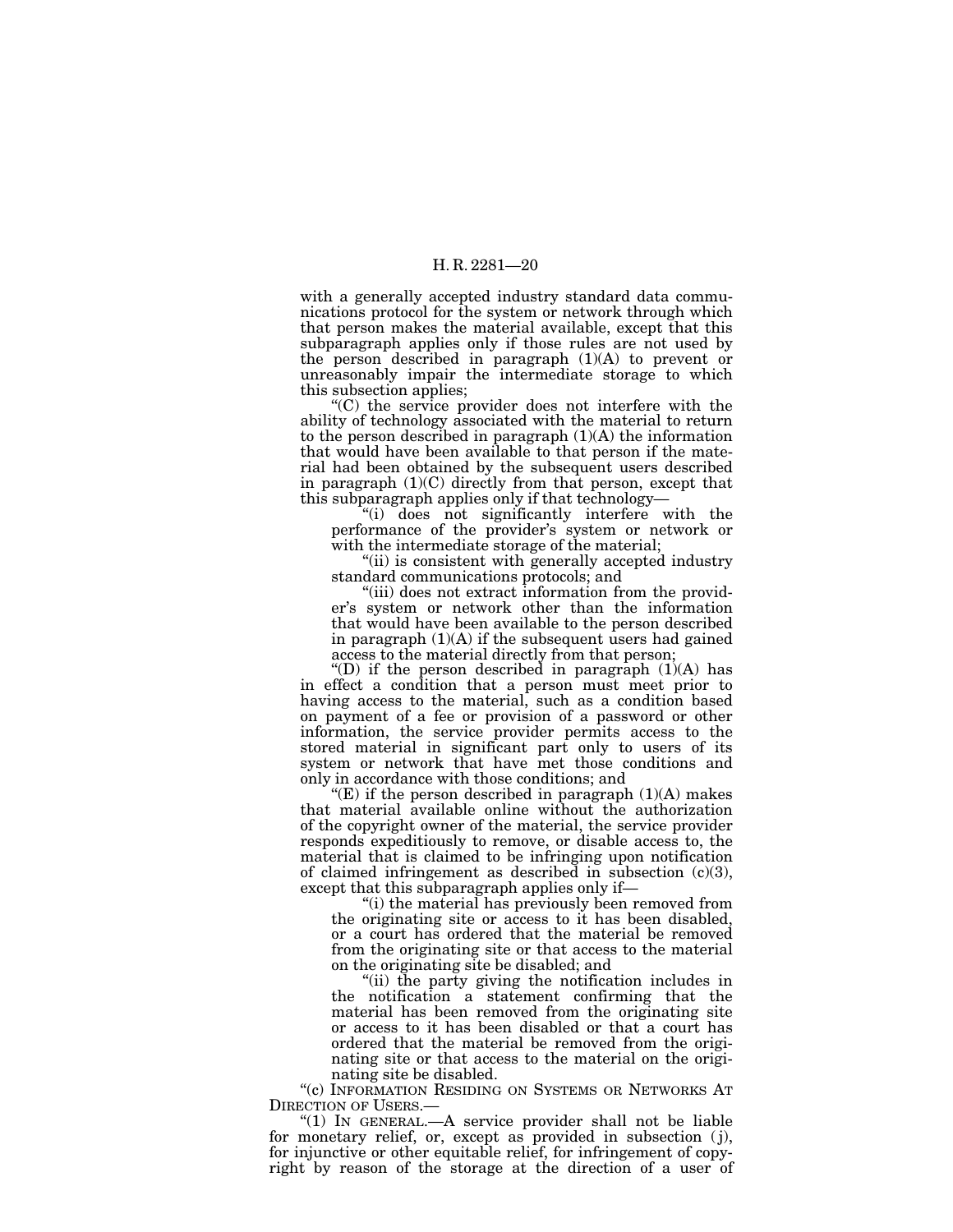with a generally accepted industry standard data communications protocol for the system or network through which that person makes the material available, except that this subparagraph applies only if those rules are not used by the person described in paragraph (1)(A) to prevent or unreasonably impair the intermediate storage to which this subsection applies;

''(C) the service provider does not interfere with the ability of technology associated with the material to return to the person described in paragraph (1)(A) the information that would have been available to that person if the material had been obtained by the subsequent users described in paragraph  $(1)(C)$  directly from that person, except that this subparagraph applies only if that technology—

''(i) does not significantly interfere with the performance of the provider's system or network or with the intermediate storage of the material;

''(ii) is consistent with generally accepted industry standard communications protocols; and

"(iii) does not extract information from the provider's system or network other than the information that would have been available to the person described in paragraph (1)(A) if the subsequent users had gained access to the material directly from that person;

"(D) if the person described in paragraph  $(1)(A)$  has in effect a condition that a person must meet prior to having access to the material, such as a condition based on payment of a fee or provision of a password or other information, the service provider permits access to the stored material in significant part only to users of its system or network that have met those conditions and only in accordance with those conditions; and

"(E) if the person described in paragraph  $(1)(A)$  makes that material available online without the authorization of the copyright owner of the material, the service provider responds expeditiously to remove, or disable access to, the material that is claimed to be infringing upon notification of claimed infringement as described in subsection  $(c)(3)$ , except that this subparagraph applies only if—

''(i) the material has previously been removed from the originating site or access to it has been disabled, or a court has ordered that the material be removed from the originating site or that access to the material on the originating site be disabled; and

''(ii) the party giving the notification includes in the notification a statement confirming that the material has been removed from the originating site or access to it has been disabled or that a court has ordered that the material be removed from the originating site or that access to the material on the originating site be disabled.

''(c) INFORMATION RESIDING ON SYSTEMS OR NETWORKS AT DIRECTION OF USERS.—

" $(1)$  In GENERAL.—A service provider shall not be liable for monetary relief, or, except as provided in subsection (j), for injunctive or other equitable relief, for infringement of copyright by reason of the storage at the direction of a user of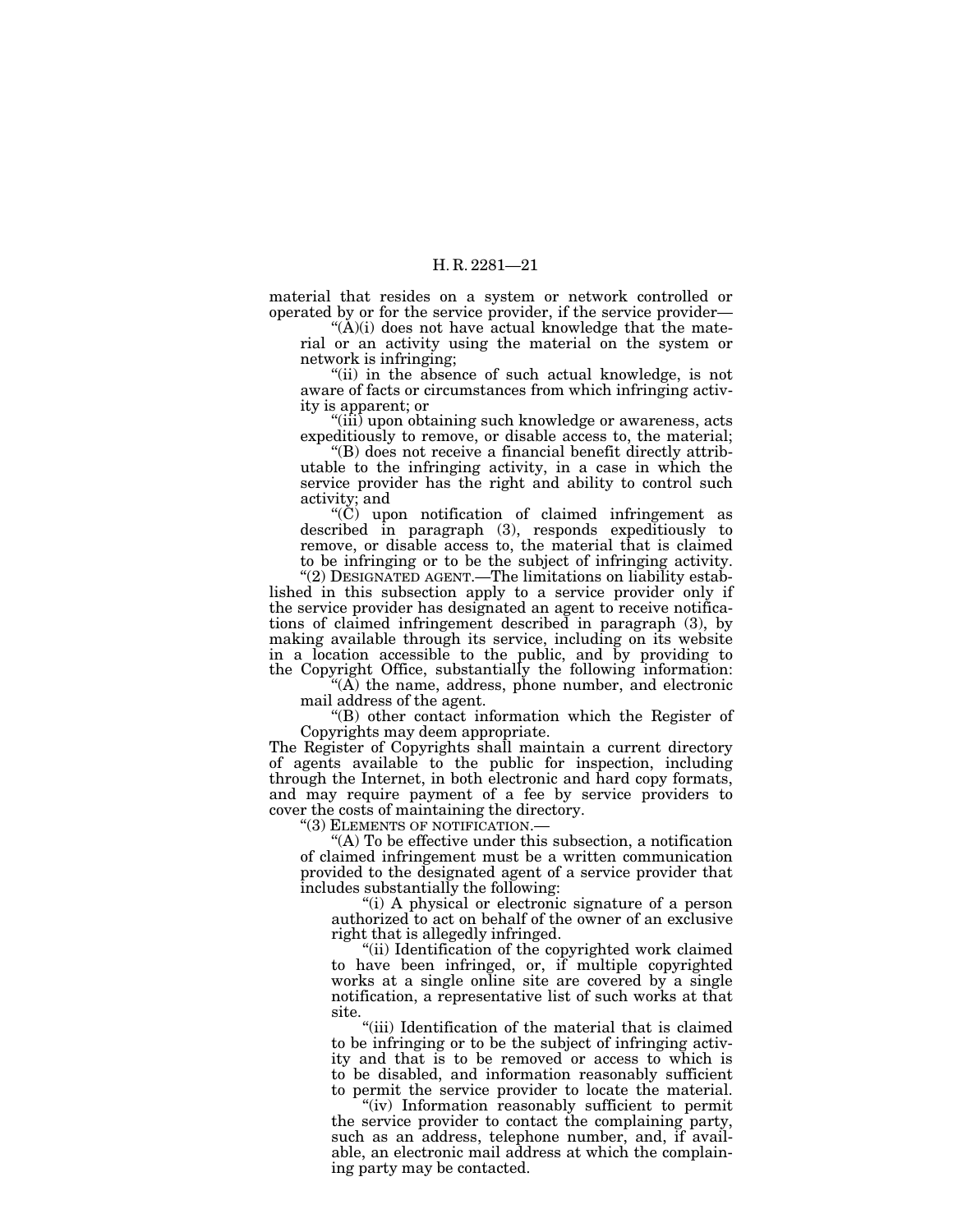material that resides on a system or network controlled or operated by or for the service provider, if the service provider—

" $(\dot{A})(i)$  does not have actual knowledge that the material or an activity using the material on the system or network is infringing;

"(ii) in the absence of such actual knowledge, is not aware of facts or circumstances from which infringing activity is apparent; or

"(iii) upon obtaining such knowledge or awareness, acts expeditiously to remove, or disable access to, the material;

''(B) does not receive a financial benefit directly attributable to the infringing activity, in a case in which the service provider has the right and ability to control such activity; and

 $(C)$  upon notification of claimed infringement as described in paragraph (3), responds expeditiously to remove, or disable access to, the material that is claimed to be infringing or to be the subject of infringing activity.

''(2) DESIGNATED AGENT.—The limitations on liability established in this subsection apply to a service provider only if the service provider has designated an agent to receive notifications of claimed infringement described in paragraph (3), by making available through its service, including on its website in a location accessible to the public, and by providing to the Copyright Office, substantially the following information:

 $(A)$  the name, address, phone number, and electronic mail address of the agent.

''(B) other contact information which the Register of Copyrights may deem appropriate.

The Register of Copyrights shall maintain a current directory of agents available to the public for inspection, including through the Internet, in both electronic and hard copy formats, and may require payment of a fee by service providers to cover the costs of maintaining the directory.<br>
"(3) ELEMENTS OF NOTIFICATION.—

"(A) To be effective under this subsection, a notification of claimed infringement must be a written communication provided to the designated agent of a service provider that includes substantially the following:

"(i) A physical or electronic signature of a person authorized to act on behalf of the owner of an exclusive right that is allegedly infringed.

"(ii) Identification of the copyrighted work claimed to have been infringed, or, if multiple copyrighted works at a single online site are covered by a single notification, a representative list of such works at that site.

''(iii) Identification of the material that is claimed to be infringing or to be the subject of infringing activity and that is to be removed or access to which is to be disabled, and information reasonably sufficient to permit the service provider to locate the material.

"(iv) Information reasonably sufficient to permit the service provider to contact the complaining party, such as an address, telephone number, and, if available, an electronic mail address at which the complaining party may be contacted.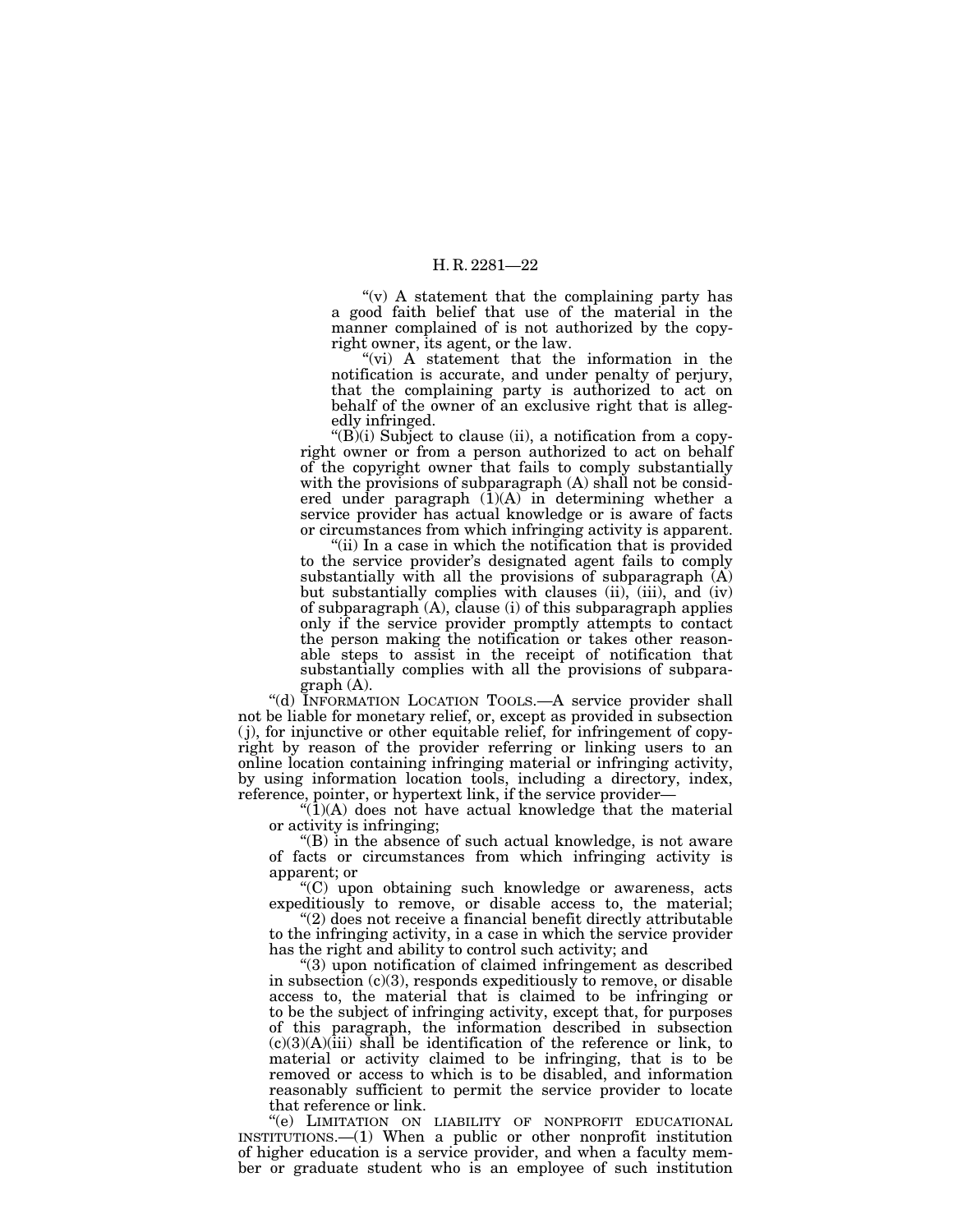" $(v)$  A statement that the complaining party has a good faith belief that use of the material in the manner complained of is not authorized by the copyright owner, its agent, or the law.

"(vi) A statement that the information in the notification is accurate, and under penalty of perjury, that the complaining party is authorized to act on behalf of the owner of an exclusive right that is allegedly infringed.

 $\cdot$ (B)(i) Subject to clause (ii), a notification from a copyright owner or from a person authorized to act on behalf of the copyright owner that fails to comply substantially with the provisions of subparagraph (A) shall not be considered under paragraph  $(1)(A)$  in determining whether a service provider has actual knowledge or is aware of facts or circumstances from which infringing activity is apparent.

"(ii) In a case in which the notification that is provided to the service provider's designated agent fails to comply substantially with all the provisions of subparagraph  $(A)$ but substantially complies with clauses (ii), (iii), and (iv) of subparagraph (A), clause (i) of this subparagraph applies only if the service provider promptly attempts to contact the person making the notification or takes other reasonable steps to assist in the receipt of notification that substantially complies with all the provisions of subparagraph (A).

"(d) INFORMATION LOCATION TOOLS.—A service provider shall not be liable for monetary relief, or, except as provided in subsection ( j), for injunctive or other equitable relief, for infringement of copyright by reason of the provider referring or linking users to an online location containing infringing material or infringing activity, by using information location tools, including a directory, index, reference, pointer, or hypertext link, if the service provider—

" $(1)(A)$  does not have actual knowledge that the material or activity is infringing;

''(B) in the absence of such actual knowledge, is not aware of facts or circumstances from which infringing activity is apparent; or

''(C) upon obtaining such knowledge or awareness, acts expeditiously to remove, or disable access to, the material;

 $(2)$  does not receive a financial benefit directly attributable to the infringing activity, in a case in which the service provider has the right and ability to control such activity; and

''(3) upon notification of claimed infringement as described in subsection  $(c)(3)$ , responds expeditiously to remove, or disable access to, the material that is claimed to be infringing or to be the subject of infringing activity, except that, for purposes of this paragraph, the information described in subsection  $(c)(3)(A)(iii)$  shall be identification of the reference or link, to material or activity claimed to be infringing, that is to be removed or access to which is to be disabled, and information reasonably sufficient to permit the service provider to locate that reference or link.

''(e) LIMITATION ON LIABILITY OF NONPROFIT EDUCATIONAL INSTITUTIONS.—(1) When a public or other nonprofit institution of higher education is a service provider, and when a faculty member or graduate student who is an employee of such institution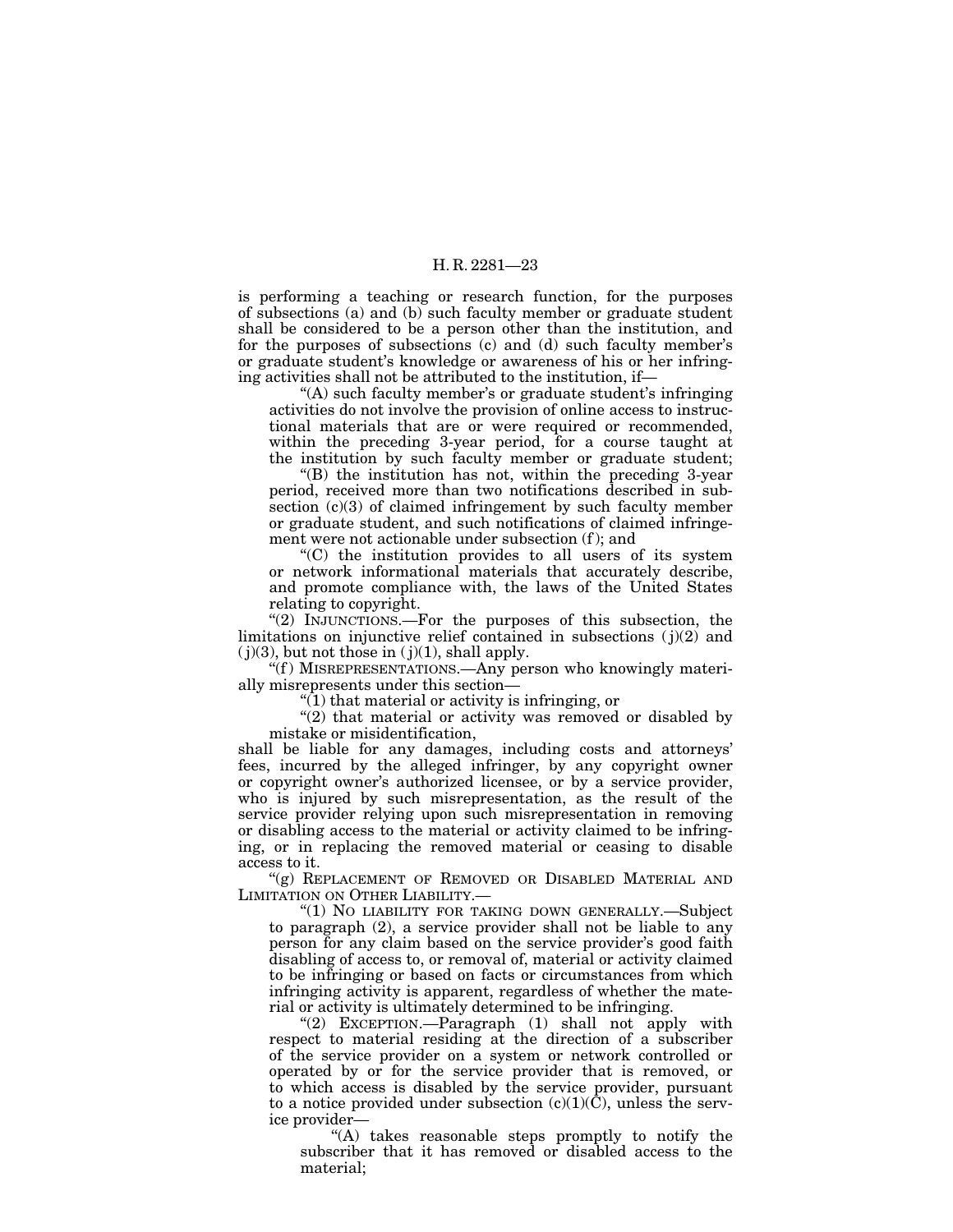is performing a teaching or research function, for the purposes of subsections (a) and (b) such faculty member or graduate student shall be considered to be a person other than the institution, and for the purposes of subsections (c) and (d) such faculty member's or graduate student's knowledge or awareness of his or her infringing activities shall not be attributed to the institution, if—

"(A) such faculty member's or graduate student's infringing activities do not involve the provision of online access to instructional materials that are or were required or recommended, within the preceding 3-year period, for a course taught at the institution by such faculty member or graduate student;

''(B) the institution has not, within the preceding 3-year period, received more than two notifications described in subsection (c)(3) of claimed infringement by such faculty member or graduate student, and such notifications of claimed infringement were not actionable under subsection (f ); and

''(C) the institution provides to all users of its system or network informational materials that accurately describe, and promote compliance with, the laws of the United States relating to copyright.

"(2) INJUNCTIONS.—For the purposes of this subsection, the limitations on injunctive relief contained in subsections  $(j)(2)$  and  $(j)(3)$ , but not those in  $(j)(1)$ , shall apply.

''(f ) MISREPRESENTATIONS.—Any person who knowingly materially misrepresents under this section—

 $\sqrt{\ }$ (1) that material or activity is infringing, or

" $(2)$  that material or activity was removed or disabled by mistake or misidentification,

shall be liable for any damages, including costs and attorneys' fees, incurred by the alleged infringer, by any copyright owner or copyright owner's authorized licensee, or by a service provider, who is injured by such misrepresentation, as the result of the service provider relying upon such misrepresentation in removing or disabling access to the material or activity claimed to be infringing, or in replacing the removed material or ceasing to disable access to it.

"(g) REPLACEMENT OF REMOVED OR DISABLED MATERIAL AND LIMITATION ON OTHER LIABILITY.—

"(1) NO LIABILITY FOR TAKING DOWN GENERALLY.—Subject to paragraph (2), a service provider shall not be liable to any person for any claim based on the service provider's good faith disabling of access to, or removal of, material or activity claimed to be infringing or based on facts or circumstances from which infringing activity is apparent, regardless of whether the material or activity is ultimately determined to be infringing.

''(2) EXCEPTION.—Paragraph (1) shall not apply with respect to material residing at the direction of a subscriber of the service provider on a system or network controlled or operated by or for the service provider that is removed, or to which access is disabled by the service provider, pursuant to a notice provided under subsection  $(c)(1)(\overline{C})$ , unless the service provider—

"(A) takes reasonable steps promptly to notify the subscriber that it has removed or disabled access to the material;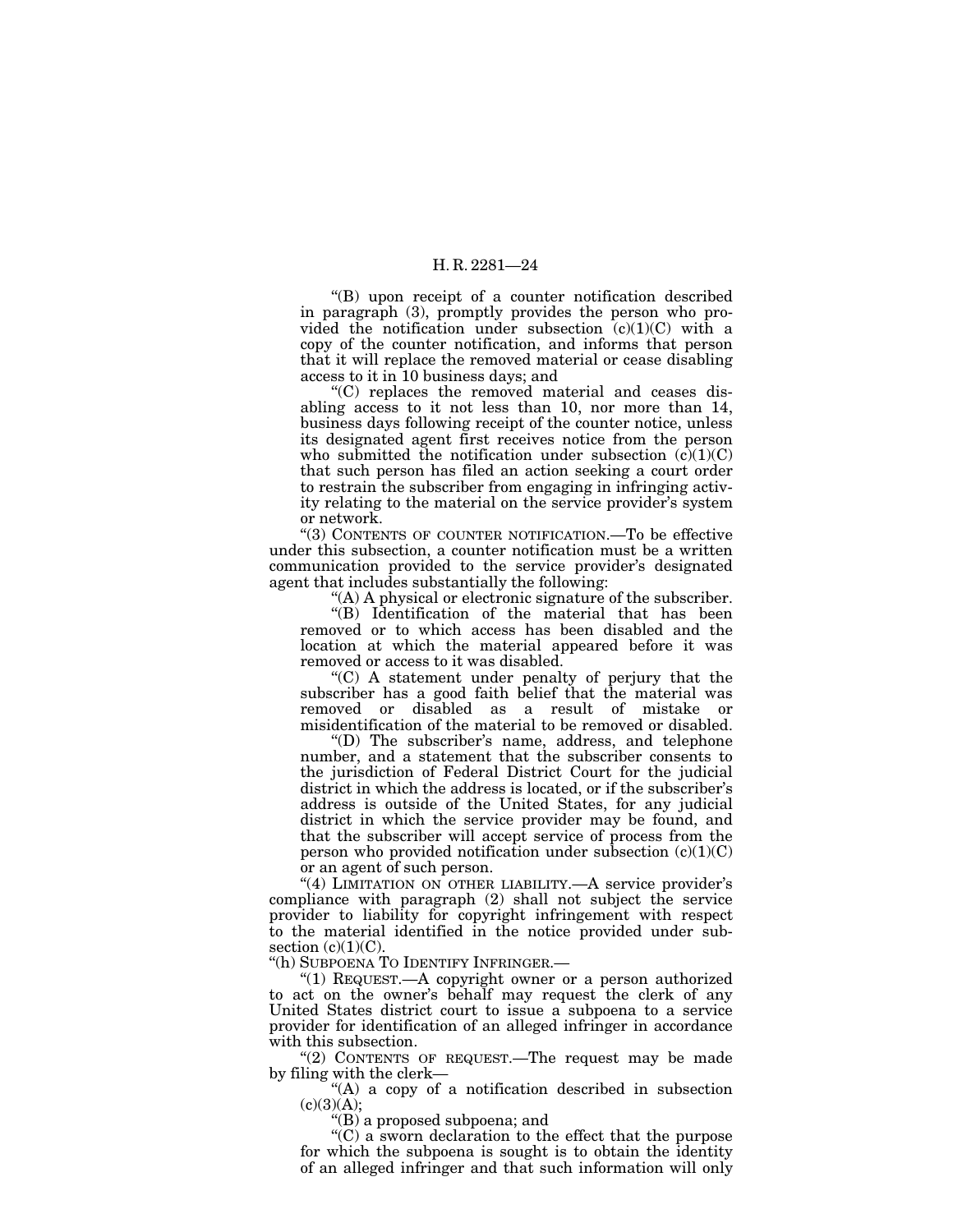''(B) upon receipt of a counter notification described in paragraph (3), promptly provides the person who provided the notification under subsection  $(c)(1)(C)$  with a copy of the counter notification, and informs that person that it will replace the removed material or cease disabling access to it in 10 business days; and

''(C) replaces the removed material and ceases disabling access to it not less than 10, nor more than 14, business days following receipt of the counter notice, unless its designated agent first receives notice from the person who submitted the notification under subsection  $(c)(1)(C)$ that such person has filed an action seeking a court order to restrain the subscriber from engaging in infringing activity relating to the material on the service provider's system or network.

''(3) CONTENTS OF COUNTER NOTIFICATION.—To be effective under this subsection, a counter notification must be a written communication provided to the service provider's designated agent that includes substantially the following:

''(A) A physical or electronic signature of the subscriber.

''(B) Identification of the material that has been removed or to which access has been disabled and the location at which the material appeared before it was removed or access to it was disabled.

''(C) A statement under penalty of perjury that the subscriber has a good faith belief that the material was removed or disabled as a result of mistake or misidentification of the material to be removed or disabled.

''(D) The subscriber's name, address, and telephone number, and a statement that the subscriber consents to the jurisdiction of Federal District Court for the judicial district in which the address is located, or if the subscriber's address is outside of the United States, for any judicial district in which the service provider may be found, and that the subscriber will accept service of process from the person who provided notification under subsection  $(c)(1)(C)$ or an agent of such person.

"(4) LIMITATION ON OTHER LIABILITY.—A service provider's compliance with paragraph (2) shall not subject the service provider to liability for copyright infringement with respect to the material identified in the notice provided under subsection  $(c)(1)(C)$ .

''(h) SUBPOENA TO IDENTIFY INFRINGER.—

 $(1)$  REQUEST.—A copyright owner or a person authorized to act on the owner's behalf may request the clerk of any United States district court to issue a subpoena to a service provider for identification of an alleged infringer in accordance with this subsection.

"(2) CONTENTS OF REQUEST.—The request may be made by filing with the clerk—

''(A) a copy of a notification described in subsection  $(c)(3)(A);$ 

''(B) a proposed subpoena; and

''(C) a sworn declaration to the effect that the purpose for which the subpoena is sought is to obtain the identity of an alleged infringer and that such information will only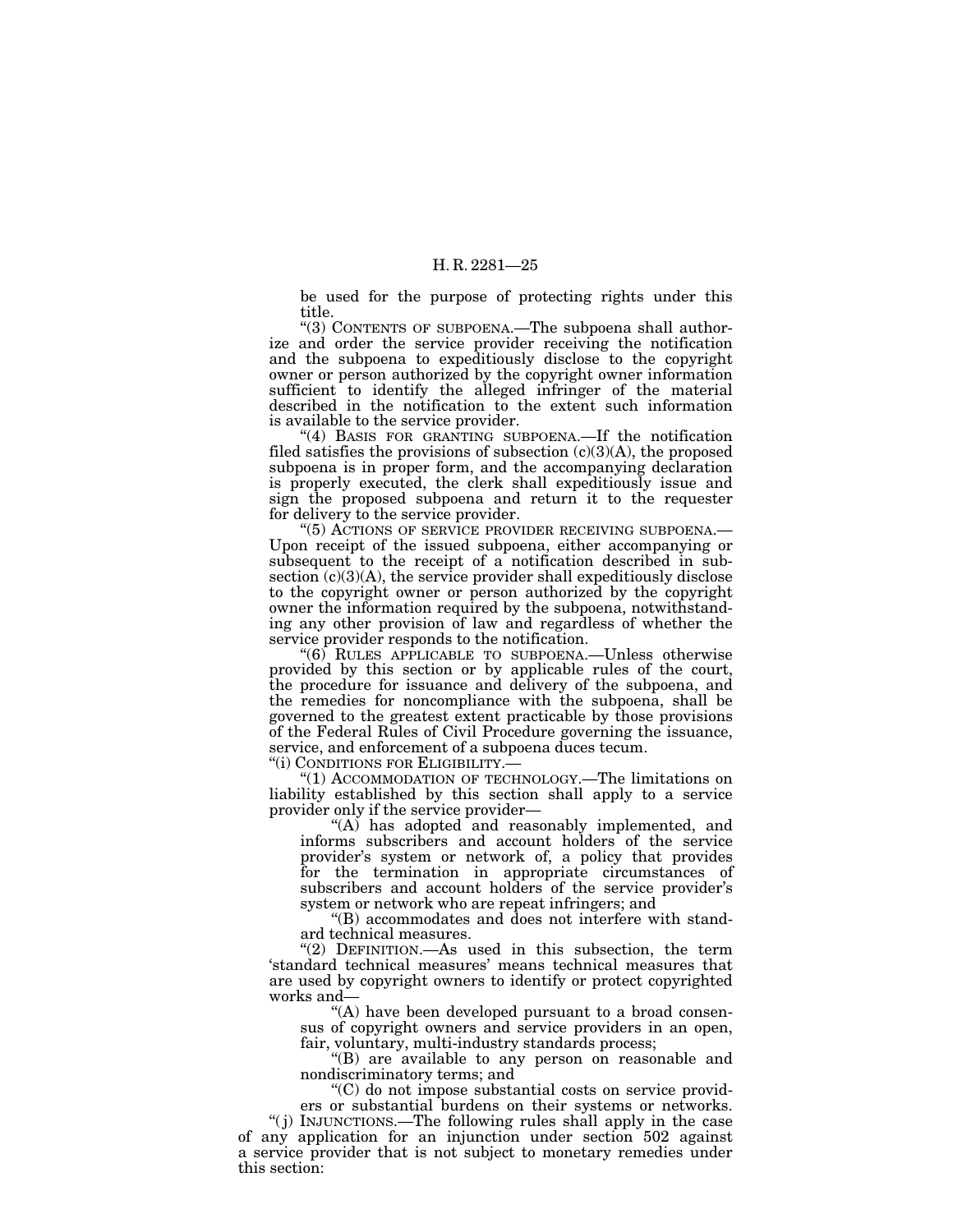be used for the purpose of protecting rights under this title.

''(3) CONTENTS OF SUBPOENA.—The subpoena shall authorize and order the service provider receiving the notification and the subpoena to expeditiously disclose to the copyright owner or person authorized by the copyright owner information sufficient to identify the alleged infringer of the material described in the notification to the extent such information is available to the service provider.

''(4) BASIS FOR GRANTING SUBPOENA.—If the notification filed satisfies the provisions of subsection  $(c)(3)(A)$ , the proposed subpoena is in proper form, and the accompanying declaration is properly executed, the clerk shall expeditiously issue and sign the proposed subpoena and return it to the requester for delivery to the service provider.

''(5) ACTIONS OF SERVICE PROVIDER RECEIVING SUBPOENA.— Upon receipt of the issued subpoena, either accompanying or subsequent to the receipt of a notification described in subsection  $(c)(3)(A)$ , the service provider shall expeditiously disclose to the copyright owner or person authorized by the copyright owner the information required by the subpoena, notwithstanding any other provision of law and regardless of whether the service provider responds to the notification.

''(6) RULES APPLICABLE TO SUBPOENA.—Unless otherwise provided by this section or by applicable rules of the court, the procedure for issuance and delivery of the subpoena, and the remedies for noncompliance with the subpoena, shall be governed to the greatest extent practicable by those provisions of the Federal Rules of Civil Procedure governing the issuance, service, and enforcement of a subpoena duces tecum.<br>"(i) CONDITIONS FOR ELIGIBILITY.—

(1) ACCOMMODATION OF TECHNOLOGY.—The limitations on liability established by this section shall apply to a service provider only if the service provider—

"(A) has adopted and reasonably implemented, and informs subscribers and account holders of the service provider's system or network of, a policy that provides for the termination in appropriate circumstances of subscribers and account holders of the service provider's system or network who are repeat infringers; and

''(B) accommodates and does not interfere with standard technical measures.

"(2) DEFINITION.—As used in this subsection, the term 'standard technical measures' means technical measures that are used by copyright owners to identify or protect copyrighted works and—

"(A) have been developed pursuant to a broad consensus of copyright owners and service providers in an open, fair, voluntary, multi-industry standards process;

''(B) are available to any person on reasonable and nondiscriminatory terms; and

''(C) do not impose substantial costs on service providers or substantial burdens on their systems or networks.

''( j) INJUNCTIONS.—The following rules shall apply in the case of any application for an injunction under section 502 against a service provider that is not subject to monetary remedies under this section: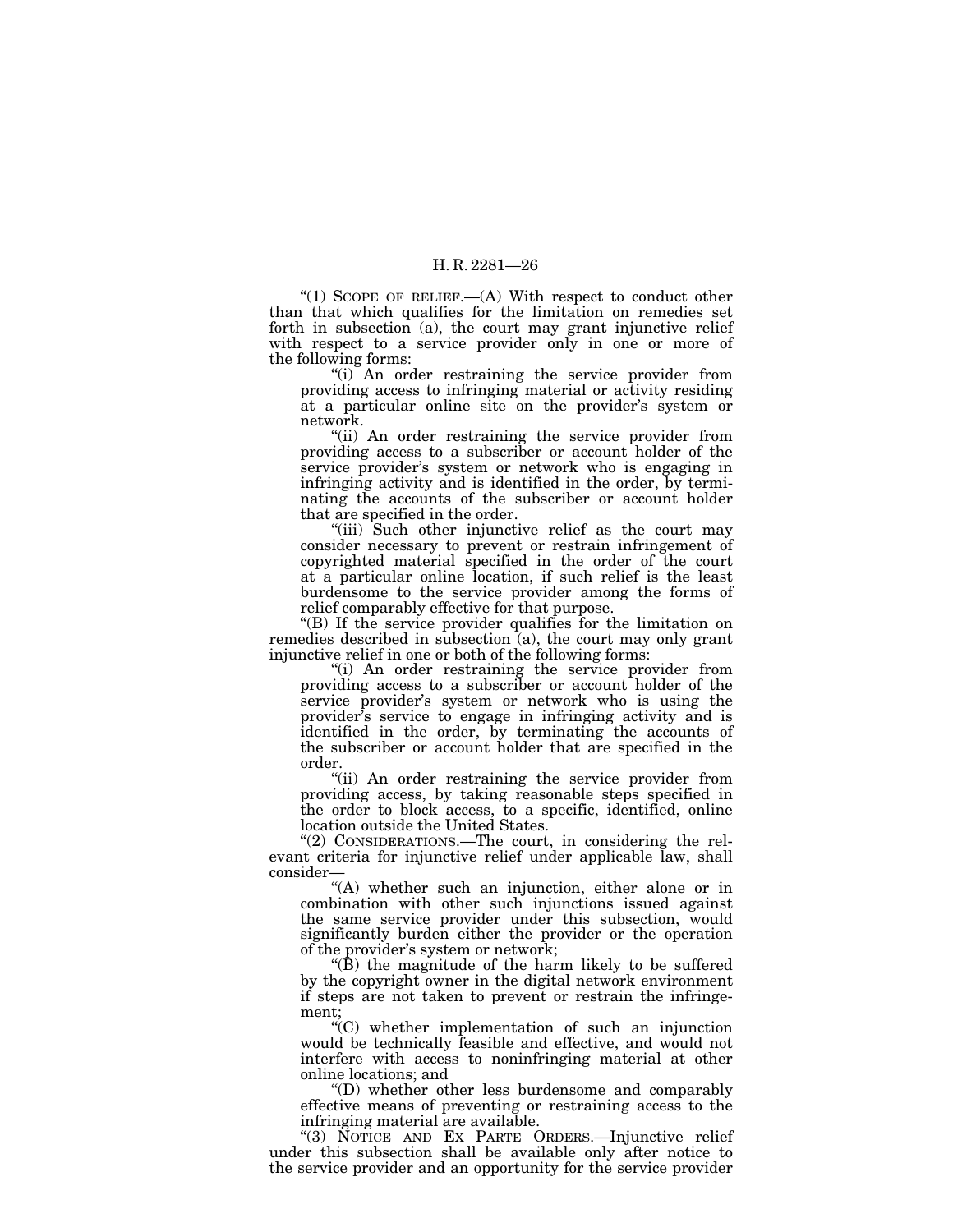"(1) SCOPE OF RELIEF.—(A) With respect to conduct other than that which qualifies for the limitation on remedies set forth in subsection (a), the court may grant injunctive relief with respect to a service provider only in one or more of the following forms:

''(i) An order restraining the service provider from providing access to infringing material or activity residing at a particular online site on the provider's system or network.

"(ii) An order restraining the service provider from providing access to a subscriber or account holder of the service provider's system or network who is engaging in infringing activity and is identified in the order, by terminating the accounts of the subscriber or account holder that are specified in the order.

"(iii) Such other injunctive relief as the court may consider necessary to prevent or restrain infringement of copyrighted material specified in the order of the court at a particular online location, if such relief is the least burdensome to the service provider among the forms of relief comparably effective for that purpose.

''(B) If the service provider qualifies for the limitation on remedies described in subsection (a), the court may only grant injunctive relief in one or both of the following forms:

"(i) An order restraining the service provider from providing access to a subscriber or account holder of the service provider's system or network who is using the provider's service to engage in infringing activity and is identified in the order, by terminating the accounts of the subscriber or account holder that are specified in the order.

"(ii) An order restraining the service provider from providing access, by taking reasonable steps specified in the order to block access, to a specific, identified, online location outside the United States.

''(2) CONSIDERATIONS.—The court, in considering the relevant criteria for injunctive relief under applicable law, shall consider—

"(A) whether such an injunction, either alone or in combination with other such injunctions issued against the same service provider under this subsection, would significantly burden either the provider or the operation of the provider's system or network;

 $\angle$ (B) the magnitude of the harm likely to be suffered by the copyright owner in the digital network environment if steps are not taken to prevent or restrain the infringement;

 $\mathcal{C}(C)$  whether implementation of such an injunction would be technically feasible and effective, and would not interfere with access to noninfringing material at other online locations; and

''(D) whether other less burdensome and comparably effective means of preventing or restraining access to the infringing material are available.

''(3) NOTICE AND EX PARTE ORDERS.—Injunctive relief under this subsection shall be available only after notice to the service provider and an opportunity for the service provider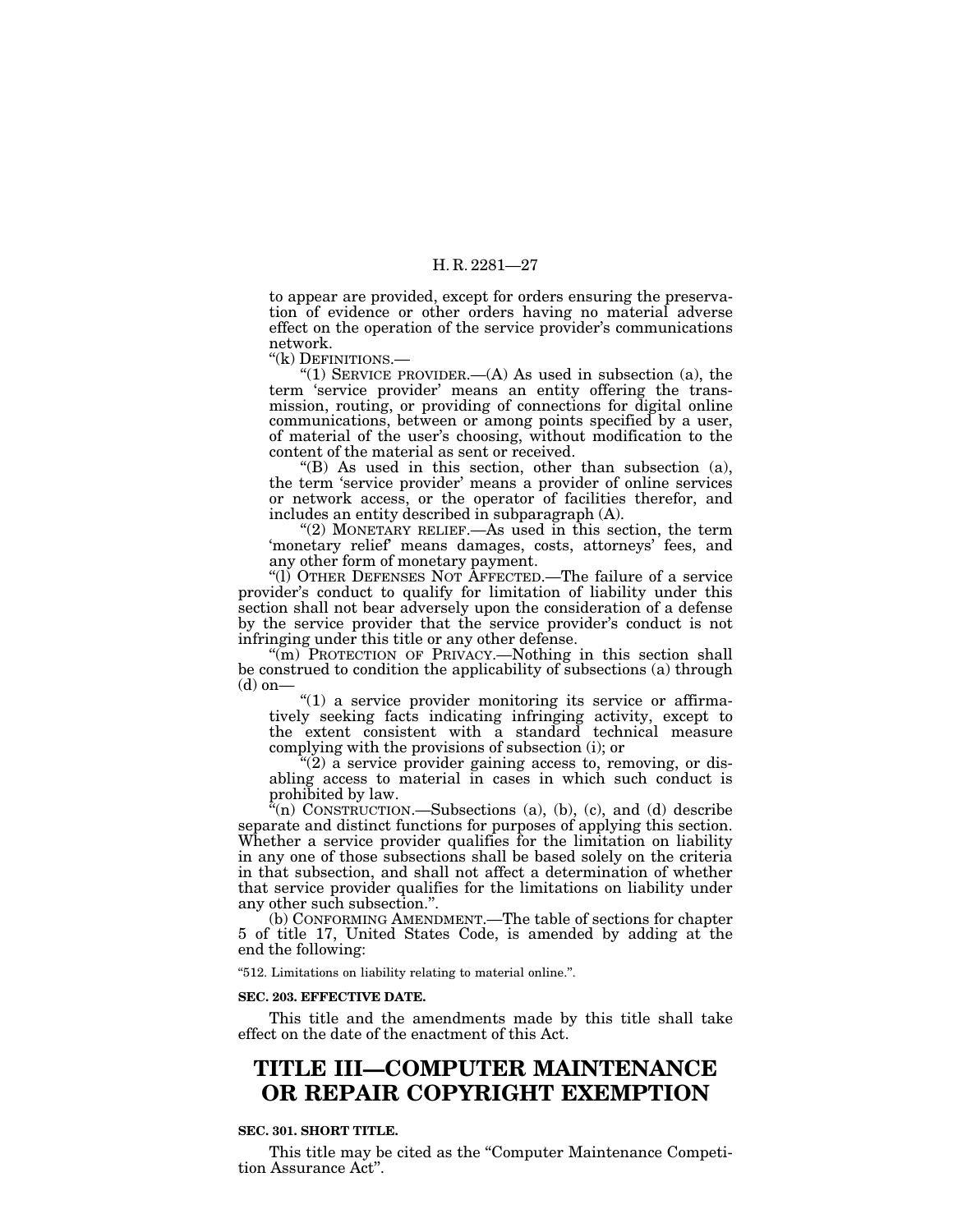to appear are provided, except for orders ensuring the preservation of evidence or other orders having no material adverse effect on the operation of the service provider's communications network.

''(k) DEFINITIONS.—

"(1) SERVICE PROVIDER.— $(A)$  As used in subsection (a), the term 'service provider' means an entity offering the transmission, routing, or providing of connections for digital online communications, between or among points specified by a user, of material of the user's choosing, without modification to the content of the material as sent or received.

 $f(B)$  As used in this section, other than subsection (a), the term 'service provider' means a provider of online services or network access, or the operator of facilities therefor, and includes an entity described in subparagraph (A).

''(2) MONETARY RELIEF.—As used in this section, the term 'monetary relief' means damages, costs, attorneys' fees, and any other form of monetary payment.

''(l) OTHER DEFENSES NOT AFFECTED.—The failure of a service provider's conduct to qualify for limitation of liability under this section shall not bear adversely upon the consideration of a defense by the service provider that the service provider's conduct is not infringing under this title or any other defense.

"(m) PROTECTION OF PRIVACY.—Nothing in this section shall be construed to condition the applicability of subsections (a) through  $(d)$  on–

" $(1)$  a service provider monitoring its service or affirmatively seeking facts indicating infringing activity, except to the extent consistent with a standard technical measure complying with the provisions of subsection (i); or

''(2) a service provider gaining access to, removing, or disabling access to material in cases in which such conduct is prohibited by law.

 $\tilde{f}(n)$  CONSTRUCTION.—Subsections (a), (b), (c), and (d) describe separate and distinct functions for purposes of applying this section. Whether a service provider qualifies for the limitation on liability in any one of those subsections shall be based solely on the criteria in that subsection, and shall not affect a determination of whether that service provider qualifies for the limitations on liability under any other such subsection.''.

(b) CONFORMING AMENDMENT.—The table of sections for chapter 5 of title 17, United States Code, is amended by adding at the end the following:

''512. Limitations on liability relating to material online.''.

#### **SEC. 203. EFFECTIVE DATE.**

This title and the amendments made by this title shall take effect on the date of the enactment of this Act.

# **TITLE III—COMPUTER MAINTENANCE OR REPAIR COPYRIGHT EXEMPTION**

#### **SEC. 301. SHORT TITLE.**

This title may be cited as the "Computer Maintenance Competition Assurance Act''.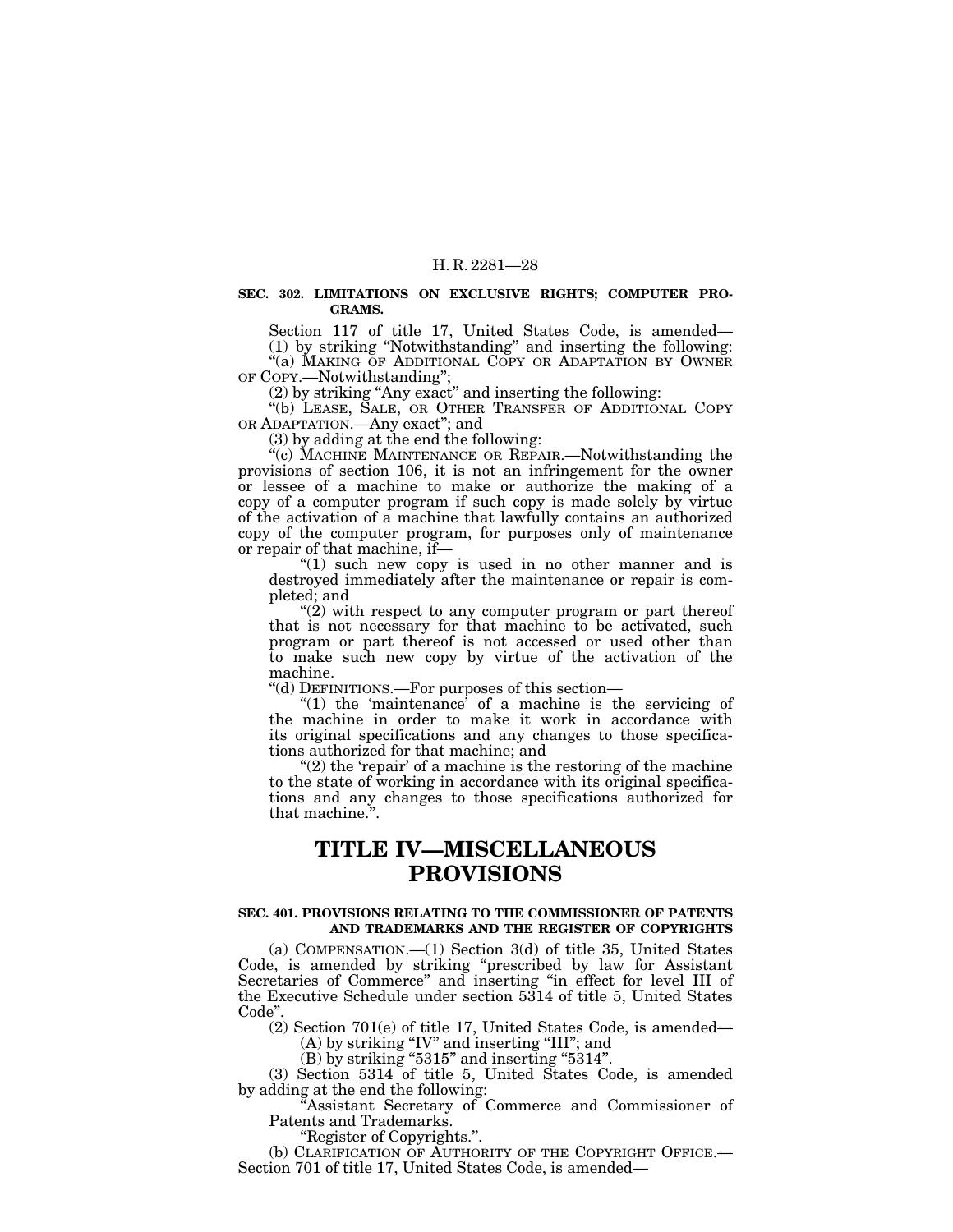#### **SEC. 302. LIMITATIONS ON EXCLUSIVE RIGHTS; COMPUTER PRO-GRAMS.**

Section 117 of title 17, United States Code, is amended— (1) by striking ''Notwithstanding'' and inserting the following:

''(a) MAKING OF ADDITIONAL COPY OR ADAPTATION BY OWNER OF COPY.—Notwithstanding'';

(2) by striking ''Any exact'' and inserting the following:

''(b) LEASE, SALE, OR OTHER TRANSFER OF ADDITIONAL COPY OR ADAPTATION.—Any exact''; and

(3) by adding at the end the following:

"(c) MACHINE MAINTENANCE OR REPAIR.—Notwithstanding the provisions of section 106, it is not an infringement for the owner or lessee of a machine to make or authorize the making of a copy of a computer program if such copy is made solely by virtue of the activation of a machine that lawfully contains an authorized copy of the computer program, for purposes only of maintenance or repair of that machine, if—

''(1) such new copy is used in no other manner and is destroyed immediately after the maintenance or repair is completed; and

" $(2)$  with respect to any computer program or part thereof that is not necessary for that machine to be activated, such program or part thereof is not accessed or used other than to make such new copy by virtue of the activation of the machine.

''(d) DEFINITIONS.—For purposes of this section—

"(1) the 'maintenance' of a machine is the servicing of the machine in order to make it work in accordance with its original specifications and any changes to those specifications authorized for that machine; and

" $(2)$  the 'repair' of a machine is the restoring of the machine" to the state of working in accordance with its original specifications and any changes to those specifications authorized for that machine.''.

# **TITLE IV—MISCELLANEOUS PROVISIONS**

#### **SEC. 401. PROVISIONS RELATING TO THE COMMISSIONER OF PATENTS AND TRADEMARKS AND THE REGISTER OF COPYRIGHTS**

(a) COMPENSATION.—(1) Section 3(d) of title 35, United States Code, is amended by striking ''prescribed by law for Assistant Secretaries of Commerce'' and inserting ''in effect for level III of the Executive Schedule under section 5314 of title 5, United States Code''.

(2) Section 701(e) of title 17, United States Code, is amended—

(A) by striking "IV" and inserting "III"; and

 $(B)$  by striking "5315" and inserting "5314".

(3) Section 5314 of title 5, United States Code, is amended by adding at the end the following:

Assistant Secretary of Commerce and Commissioner of Patents and Trademarks.

''Register of Copyrights.''.

(b) CLARIFICATION OF AUTHORITY OF THE COPYRIGHT OFFICE.— Section 701 of title 17, United States Code, is amended—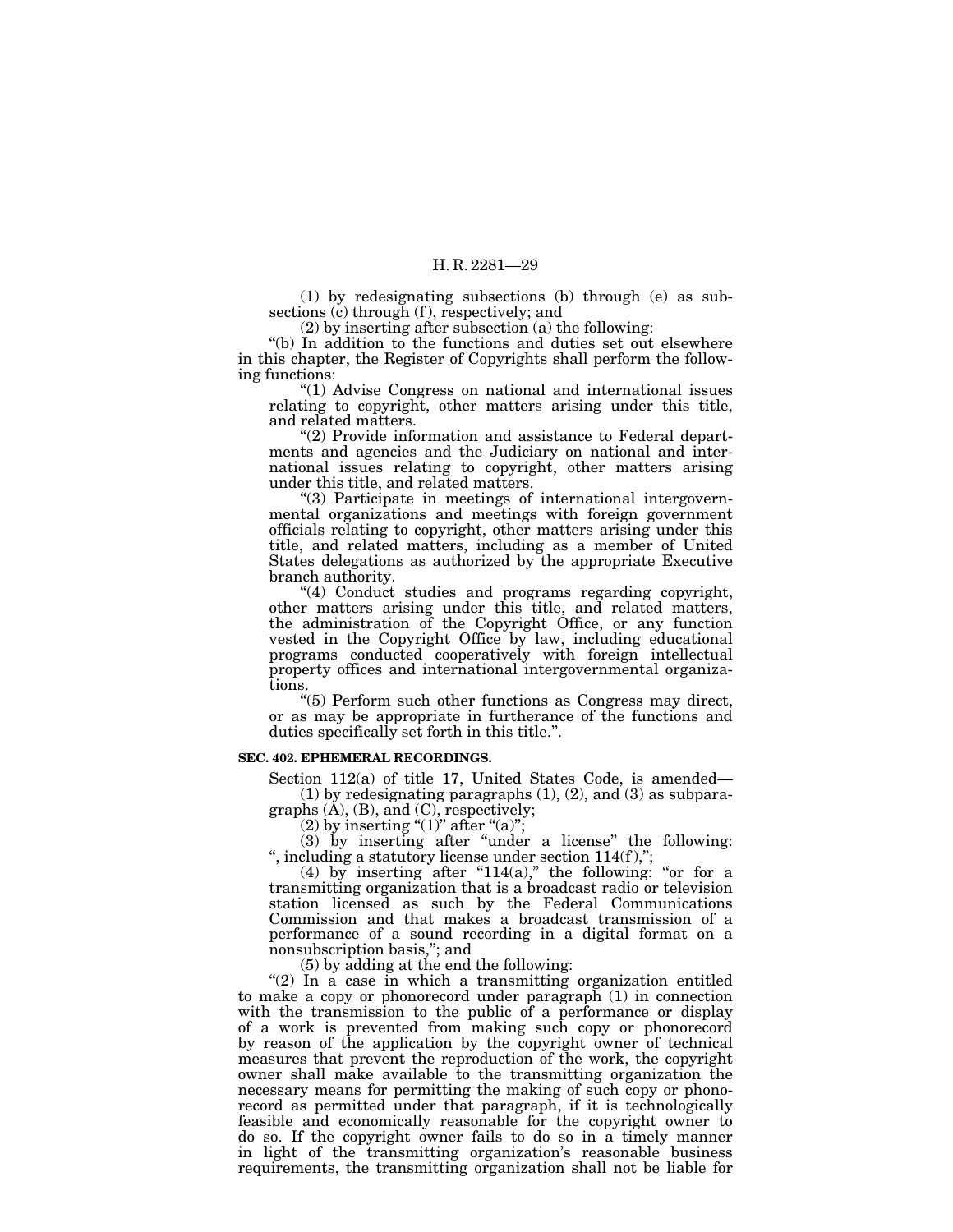(1) by redesignating subsections (b) through (e) as subsections (c) through (f), respectively; and

(2) by inserting after subsection (a) the following:

''(b) In addition to the functions and duties set out elsewhere in this chapter, the Register of Copyrights shall perform the following functions:

''(1) Advise Congress on national and international issues relating to copyright, other matters arising under this title, and related matters.

''(2) Provide information and assistance to Federal departments and agencies and the Judiciary on national and international issues relating to copyright, other matters arising under this title, and related matters.

''(3) Participate in meetings of international intergovernmental organizations and meetings with foreign government officials relating to copyright, other matters arising under this title, and related matters, including as a member of United States delegations as authorized by the appropriate Executive branch authority.

''(4) Conduct studies and programs regarding copyright, other matters arising under this title, and related matters, the administration of the Copyright Office, or any function vested in the Copyright Office by law, including educational programs conducted cooperatively with foreign intellectual property offices and international intergovernmental organizations.

''(5) Perform such other functions as Congress may direct, or as may be appropriate in furtherance of the functions and duties specifically set forth in this title.''.

#### **SEC. 402. EPHEMERAL RECORDINGS.**

Section 112(a) of title 17, United States Code, is amended— (1) by redesignating paragraphs  $(1)$ ,  $(2)$ , and  $(3)$  as subparagraphs (A), (B), and (C), respectively;

(2) by inserting " $(1)$ " after " $(a)$ ";

(3) by inserting after ''under a license'' the following: ", including a statutory license under section  $114(f)$ ,";

(4) by inserting after "114(a)," the following: "or for a transmitting organization that is a broadcast radio or television station licensed as such by the Federal Communications Commission and that makes a broadcast transmission of a performance of a sound recording in a digital format on a nonsubscription basis,''; and

(5) by adding at the end the following:

"(2) In a case in which a transmitting organization entitled to make a copy or phonorecord under paragraph (1) in connection with the transmission to the public of a performance or display of a work is prevented from making such copy or phonorecord by reason of the application by the copyright owner of technical measures that prevent the reproduction of the work, the copyright owner shall make available to the transmitting organization the necessary means for permitting the making of such copy or phonorecord as permitted under that paragraph, if it is technologically feasible and economically reasonable for the copyright owner to do so. If the copyright owner fails to do so in a timely manner in light of the transmitting organization's reasonable business requirements, the transmitting organization shall not be liable for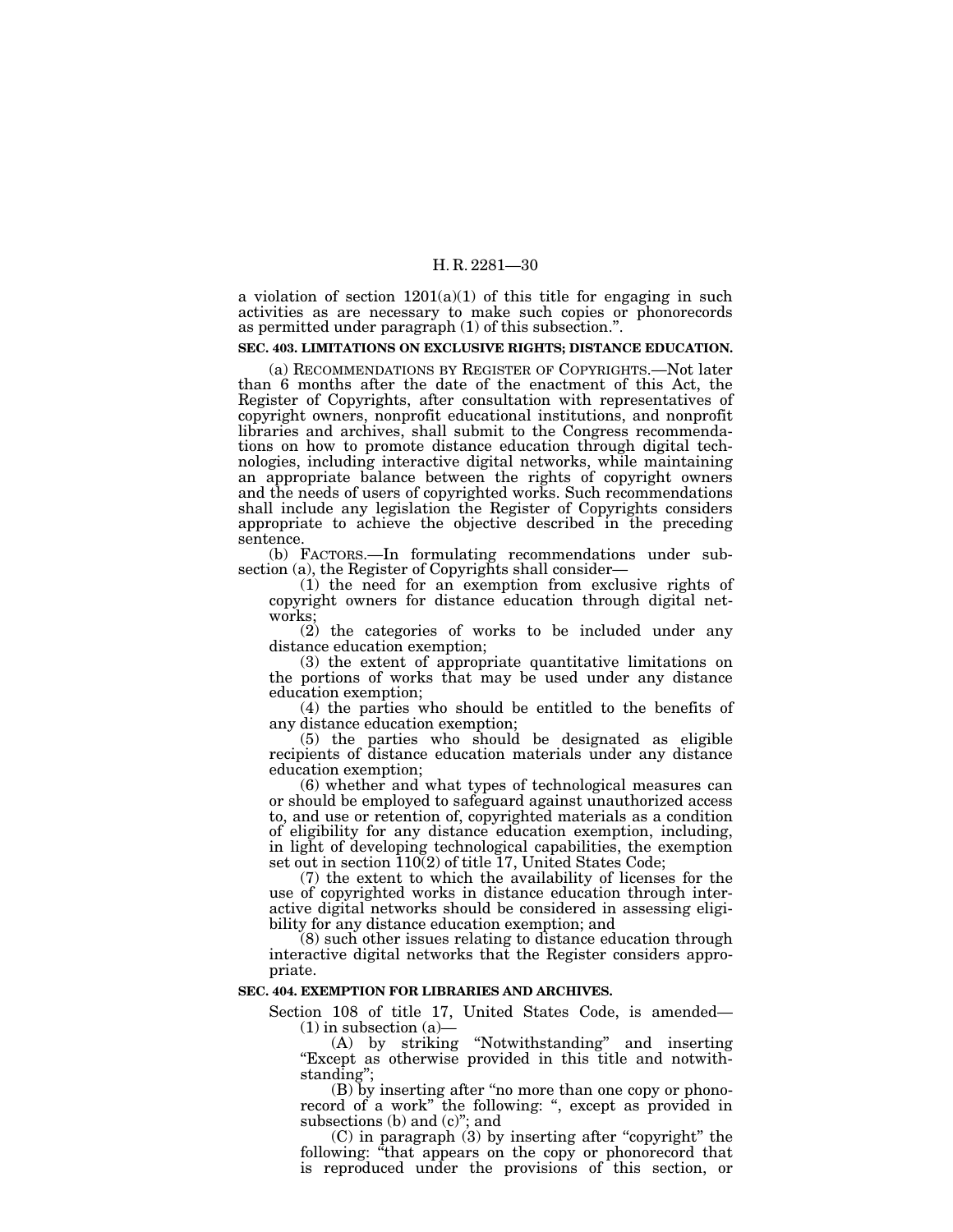a violation of section  $1201(a)(1)$  of this title for engaging in such activities as are necessary to make such copies or phonorecords as permitted under paragraph (1) of this subsection.''.

#### **SEC. 403. LIMITATIONS ON EXCLUSIVE RIGHTS; DISTANCE EDUCATION.**

(a) RECOMMENDATIONS BY REGISTER OF COPYRIGHTS.—Not later than 6 months after the date of the enactment of this Act, the Register of Copyrights, after consultation with representatives of copyright owners, nonprofit educational institutions, and nonprofit libraries and archives, shall submit to the Congress recommendations on how to promote distance education through digital technologies, including interactive digital networks, while maintaining an appropriate balance between the rights of copyright owners and the needs of users of copyrighted works. Such recommendations shall include any legislation the Register of Copyrights considers appropriate to achieve the objective described in the preceding sentence.

(b) FACTORS.—In formulating recommendations under subsection (a), the Register of Copyrights shall consider—

(1) the need for an exemption from exclusive rights of copyright owners for distance education through digital networks;

(2) the categories of works to be included under any distance education exemption;

(3) the extent of appropriate quantitative limitations on the portions of works that may be used under any distance education exemption;

(4) the parties who should be entitled to the benefits of any distance education exemption;

(5) the parties who should be designated as eligible recipients of distance education materials under any distance education exemption;

(6) whether and what types of technological measures can or should be employed to safeguard against unauthorized access to, and use or retention of, copyrighted materials as a condition of eligibility for any distance education exemption, including, in light of developing technological capabilities, the exemption set out in section  $110(2)$  of title 17, United States Code;

(7) the extent to which the availability of licenses for the use of copyrighted works in distance education through interactive digital networks should be considered in assessing eligibility for any distance education exemption; and

(8) such other issues relating to distance education through interactive digital networks that the Register considers appropriate.

#### **SEC. 404. EXEMPTION FOR LIBRARIES AND ARCHIVES.**

Section 108 of title 17, United States Code, is amended—  $(1)$  in subsection  $(a)$ —

(A) by striking ''Notwithstanding'' and inserting ''Except as otherwise provided in this title and notwithstanding'';

(B) by inserting after ''no more than one copy or phonorecord of a work" the following: ", except as provided in subsections (b) and (c)"; and

(C) in paragraph (3) by inserting after ''copyright'' the following: "that appears on the copy or phonorecord that is reproduced under the provisions of this section, or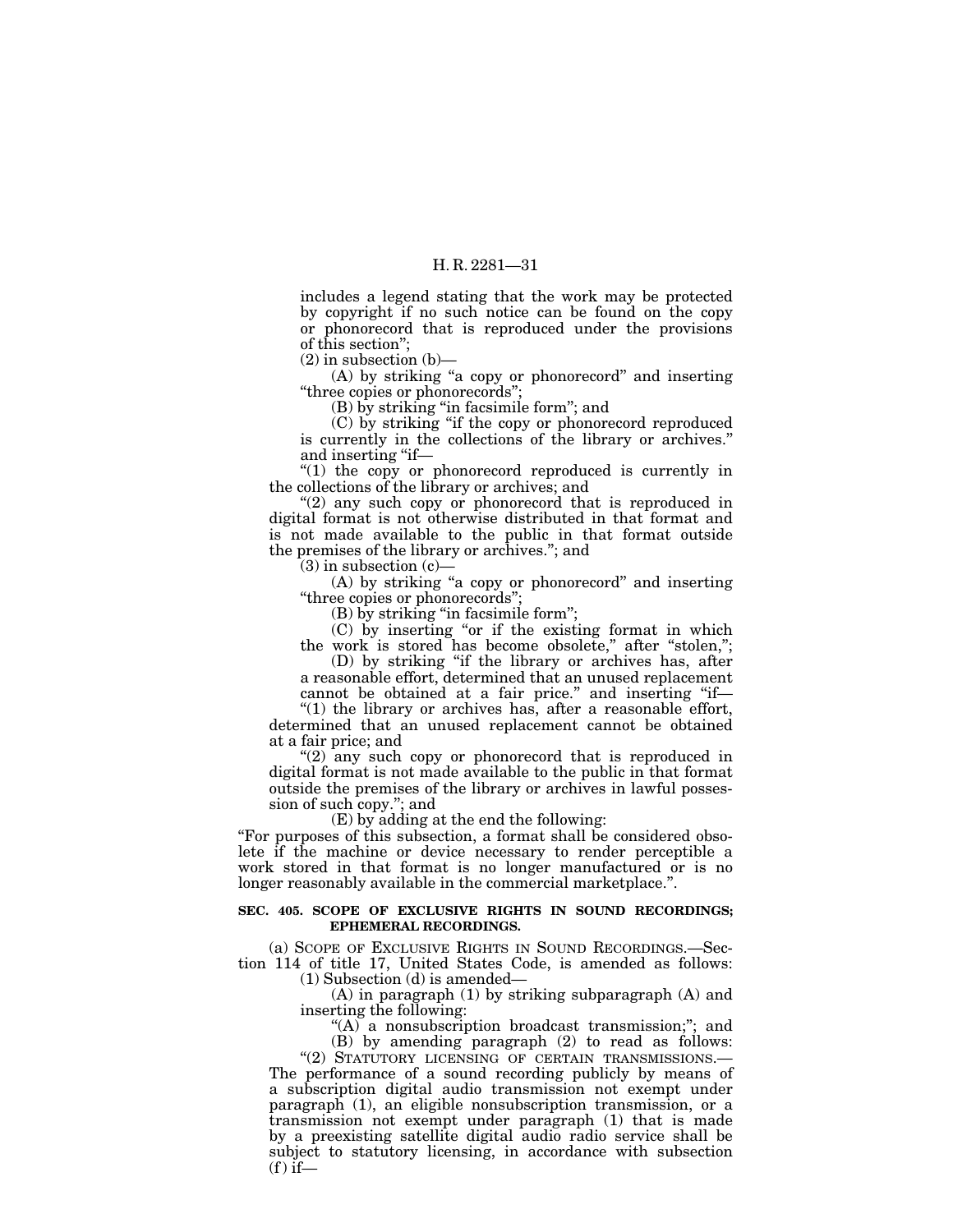includes a legend stating that the work may be protected by copyright if no such notice can be found on the copy or phonorecord that is reproduced under the provisions of this section'';

 $(2)$  in subsection  $(b)$ –

(A) by striking "a copy or phonorecord" and inserting ''three copies or phonorecords'';

(B) by striking ''in facsimile form''; and

(C) by striking ''if the copy or phonorecord reproduced is currently in the collections of the library or archives.'' and inserting "if—

''(1) the copy or phonorecord reproduced is currently in the collections of the library or archives; and

 $(2)$  any such copy or phonorecord that is reproduced in digital format is not otherwise distributed in that format and is not made available to the public in that format outside the premises of the library or archives.''; and

(3) in subsection (c)—

 $(A)$  by striking "a copy or phonorecord" and inserting ''three copies or phonorecords'';

(B) by striking ''in facsimile form'';

(C) by inserting ''or if the existing format in which the work is stored has become obsolete," after "stolen,";

(D) by striking ''if the library or archives has, after a reasonable effort, determined that an unused replacement

cannot be obtained at a fair price." and inserting "if-" $(1)$  the library or archives has, after a reasonable effort,

determined that an unused replacement cannot be obtained at a fair price; and

"(2) any such copy or phonorecord that is reproduced in digital format is not made available to the public in that format outside the premises of the library or archives in lawful possession of such copy.''; and

(E) by adding at the end the following:

''For purposes of this subsection, a format shall be considered obsolete if the machine or device necessary to render perceptible a work stored in that format is no longer manufactured or is no longer reasonably available in the commercial marketplace.''.

#### **SEC. 405. SCOPE OF EXCLUSIVE RIGHTS IN SOUND RECORDINGS; EPHEMERAL RECORDINGS.**

(a) SCOPE OF EXCLUSIVE RIGHTS IN SOUND RECORDINGS.—Section 114 of title 17, United States Code, is amended as follows: (1) Subsection (d) is amended—

(A) in paragraph (1) by striking subparagraph (A) and inserting the following:

''(A) a nonsubscription broadcast transmission;''; and (B) by amending paragraph (2) to read as follows:

"(2) STATUTORY LICENSING OF CERTAIN TRANSMISSIONS.-The performance of a sound recording publicly by means of a subscription digital audio transmission not exempt under paragraph (1), an eligible nonsubscription transmission, or a transmission not exempt under paragraph (1) that is made by a preexisting satellite digital audio radio service shall be subject to statutory licensing, in accordance with subsection  $(f)$  if—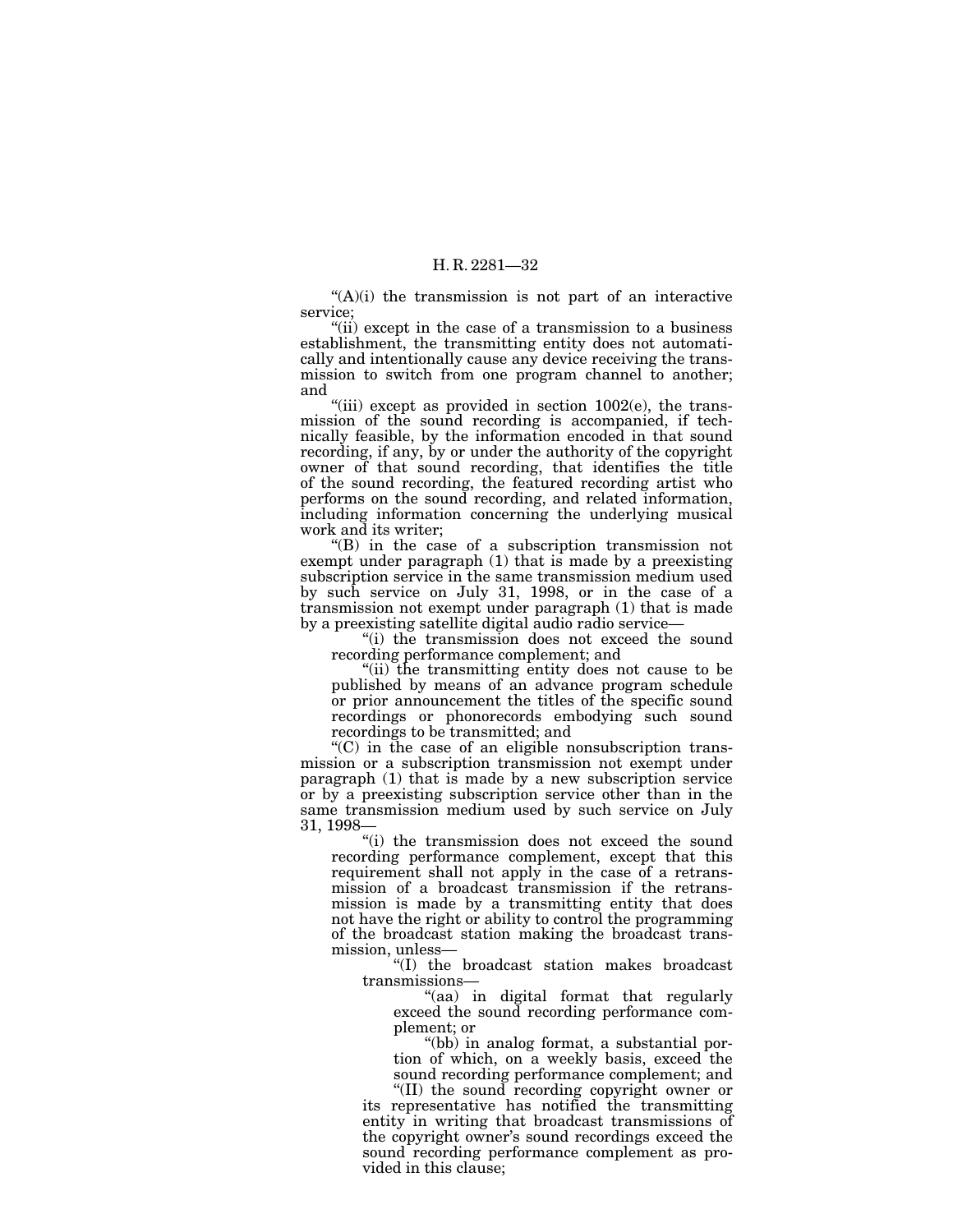$(A)(i)$  the transmission is not part of an interactive service;

"(ii) except in the case of a transmission to a business establishment, the transmitting entity does not automatically and intentionally cause any device receiving the transmission to switch from one program channel to another; and

"(iii) except as provided in section  $1002(e)$ , the transmission of the sound recording is accompanied, if technically feasible, by the information encoded in that sound recording, if any, by or under the authority of the copyright owner of that sound recording, that identifies the title of the sound recording, the featured recording artist who performs on the sound recording, and related information, including information concerning the underlying musical work and its writer;

''(B) in the case of a subscription transmission not exempt under paragraph (1) that is made by a preexisting subscription service in the same transmission medium used by such service on July 31, 1998, or in the case of a transmission not exempt under paragraph (1) that is made by a preexisting satellite digital audio radio service—

''(i) the transmission does not exceed the sound recording performance complement; and

''(ii) the transmitting entity does not cause to be published by means of an advance program schedule or prior announcement the titles of the specific sound recordings or phonorecords embodying such sound recordings to be transmitted; and

''(C) in the case of an eligible nonsubscription transmission or a subscription transmission not exempt under paragraph (1) that is made by a new subscription service or by a preexisting subscription service other than in the same transmission medium used by such service on July 31, 1998—

''(i) the transmission does not exceed the sound recording performance complement, except that this requirement shall not apply in the case of a retransmission of a broadcast transmission if the retransmission is made by a transmitting entity that does not have the right or ability to control the programming of the broadcast station making the broadcast transmission, unless—

''(I) the broadcast station makes broadcast transmissions—

''(aa) in digital format that regularly exceed the sound recording performance complement; or

''(bb) in analog format, a substantial portion of which, on a weekly basis, exceed the sound recording performance complement; and

"(II) the sound recording copyright owner or its representative has notified the transmitting entity in writing that broadcast transmissions of the copyright owner's sound recordings exceed the sound recording performance complement as provided in this clause;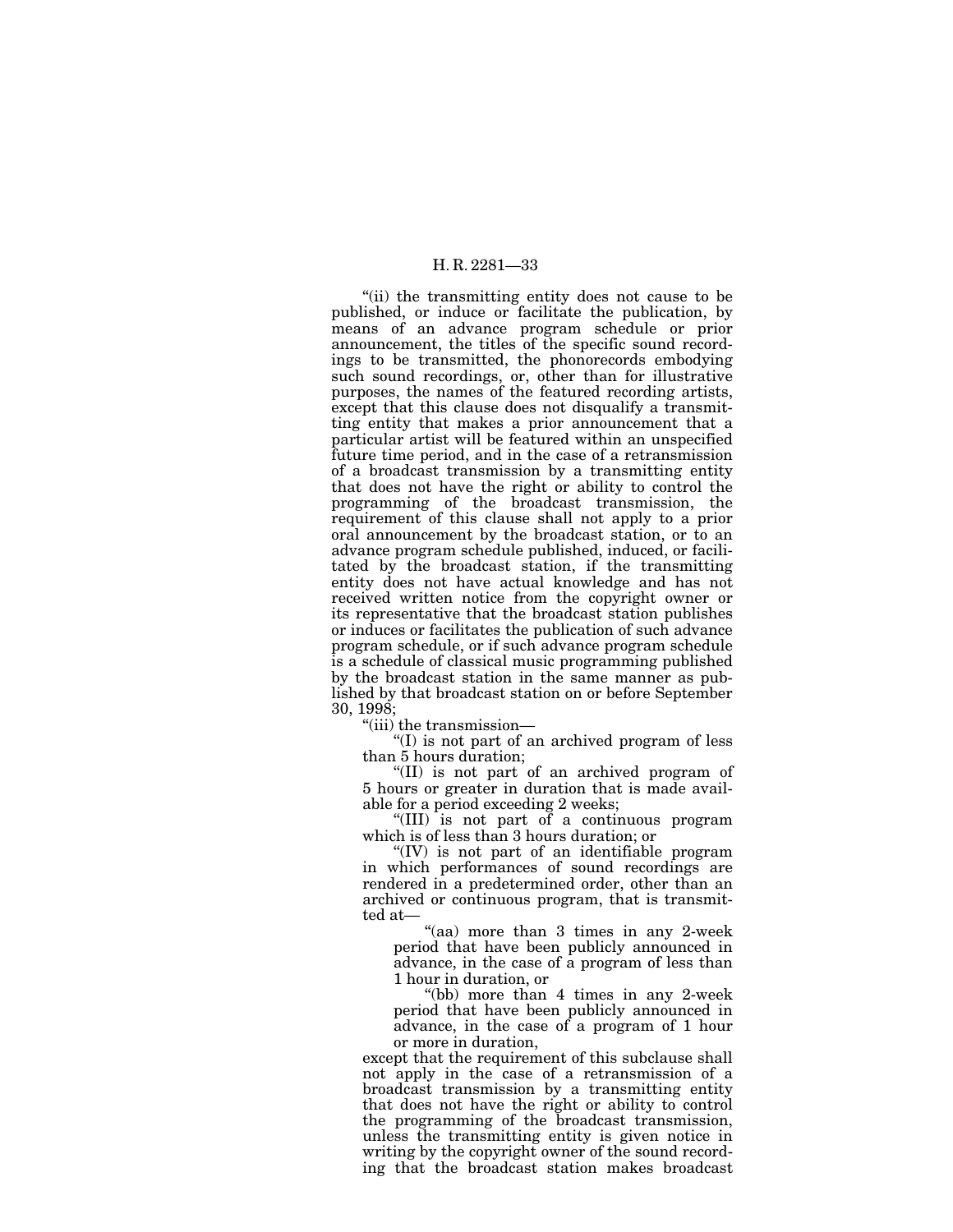''(ii) the transmitting entity does not cause to be published, or induce or facilitate the publication, by means of an advance program schedule or prior announcement, the titles of the specific sound recordings to be transmitted, the phonorecords embodying such sound recordings, or, other than for illustrative purposes, the names of the featured recording artists, except that this clause does not disqualify a transmitting entity that makes a prior announcement that a particular artist will be featured within an unspecified future time period, and in the case of a retransmission of a broadcast transmission by a transmitting entity that does not have the right or ability to control the programming of the broadcast transmission, the requirement of this clause shall not apply to a prior oral announcement by the broadcast station, or to an advance program schedule published, induced, or facilitated by the broadcast station, if the transmitting entity does not have actual knowledge and has not received written notice from the copyright owner or its representative that the broadcast station publishes or induces or facilitates the publication of such advance program schedule, or if such advance program schedule is a schedule of classical music programming published by the broadcast station in the same manner as published by that broadcast station on or before September 30, 1998;

''(iii) the transmission—

''(I) is not part of an archived program of less than 5 hours duration;

''(II) is not part of an archived program of 5 hours or greater in duration that is made available for a period exceeding 2 weeks;

''(III) is not part of a continuous program which is of less than 3 hours duration; or

''(IV) is not part of an identifiable program in which performances of sound recordings are rendered in a predetermined order, other than an archived or continuous program, that is transmitted at—

"(aa) more than 3 times in any 2-week period that have been publicly announced in advance, in the case of a program of less than 1 hour in duration, or

''(bb) more than 4 times in any 2-week period that have been publicly announced in advance, in the case of a program of 1 hour or more in duration,

except that the requirement of this subclause shall not apply in the case of a retransmission of a broadcast transmission by a transmitting entity that does not have the right or ability to control the programming of the broadcast transmission, unless the transmitting entity is given notice in writing by the copyright owner of the sound recording that the broadcast station makes broadcast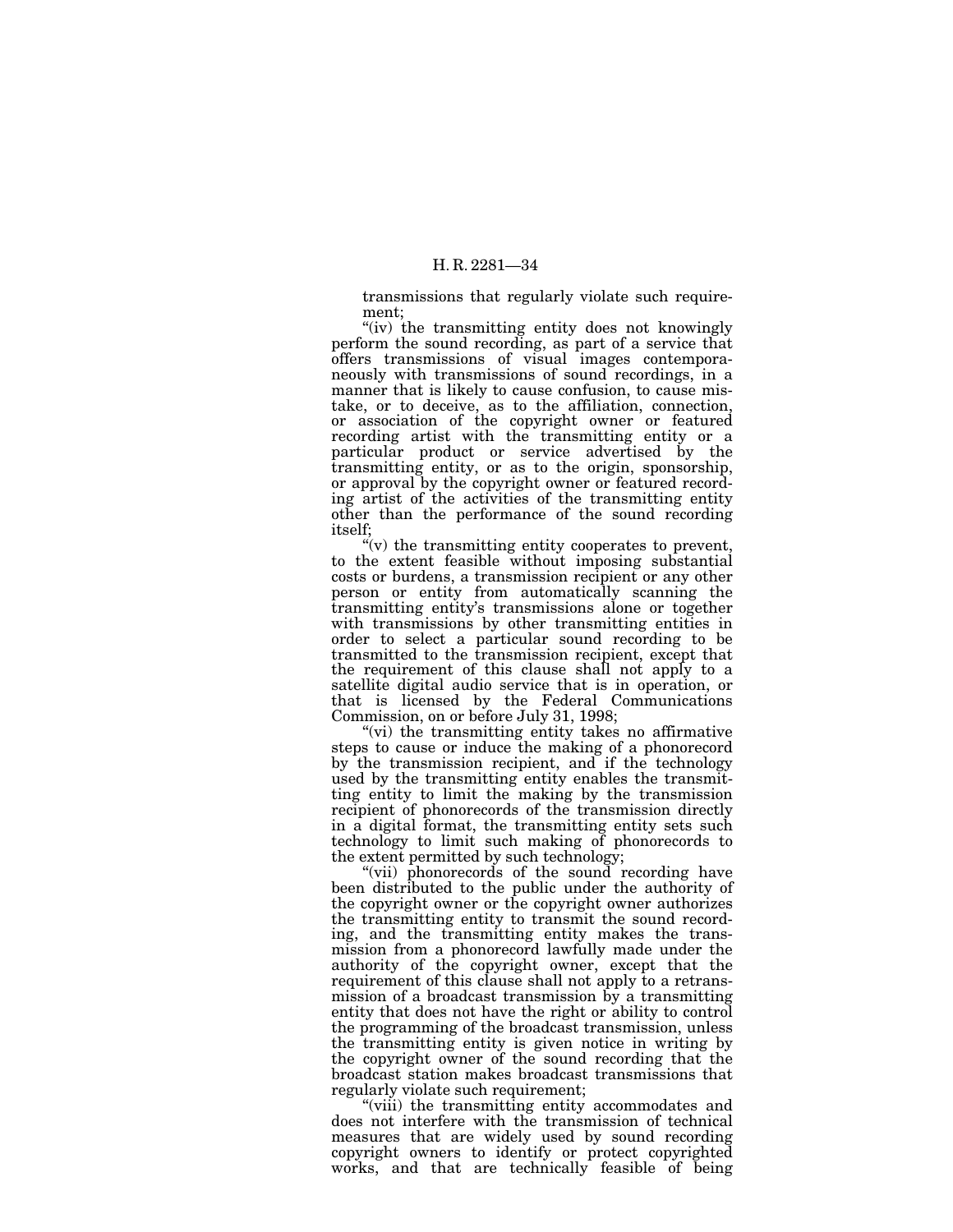transmissions that regularly violate such requirement;

"(iv) the transmitting entity does not knowingly perform the sound recording, as part of a service that offers transmissions of visual images contemporaneously with transmissions of sound recordings, in a manner that is likely to cause confusion, to cause mistake, or to deceive, as to the affiliation, connection, or association of the copyright owner or featured recording artist with the transmitting entity or a particular product or service advertised by the transmitting entity, or as to the origin, sponsorship, or approval by the copyright owner or featured recording artist of the activities of the transmitting entity other than the performance of the sound recording itself;

 $\mathcal{L}(v)$  the transmitting entity cooperates to prevent, to the extent feasible without imposing substantial costs or burdens, a transmission recipient or any other person or entity from automatically scanning the transmitting entity's transmissions alone or together with transmissions by other transmitting entities in order to select a particular sound recording to be transmitted to the transmission recipient, except that the requirement of this clause shall not apply to a satellite digital audio service that is in operation, or that is licensed by the Federal Communications Commission, on or before July 31, 1998;

"(vi) the transmitting entity takes no affirmative steps to cause or induce the making of a phonorecord by the transmission recipient, and if the technology used by the transmitting entity enables the transmitting entity to limit the making by the transmission recipient of phonorecords of the transmission directly in a digital format, the transmitting entity sets such technology to limit such making of phonorecords to the extent permitted by such technology;

"(vii) phonorecords of the sound recording have been distributed to the public under the authority of the copyright owner or the copyright owner authorizes the transmitting entity to transmit the sound recording, and the transmitting entity makes the transmission from a phonorecord lawfully made under the authority of the copyright owner, except that the requirement of this clause shall not apply to a retransmission of a broadcast transmission by a transmitting entity that does not have the right or ability to control the programming of the broadcast transmission, unless the transmitting entity is given notice in writing by the copyright owner of the sound recording that the broadcast station makes broadcast transmissions that regularly violate such requirement;

"(viii) the transmitting entity accommodates and does not interfere with the transmission of technical measures that are widely used by sound recording copyright owners to identify or protect copyrighted works, and that are technically feasible of being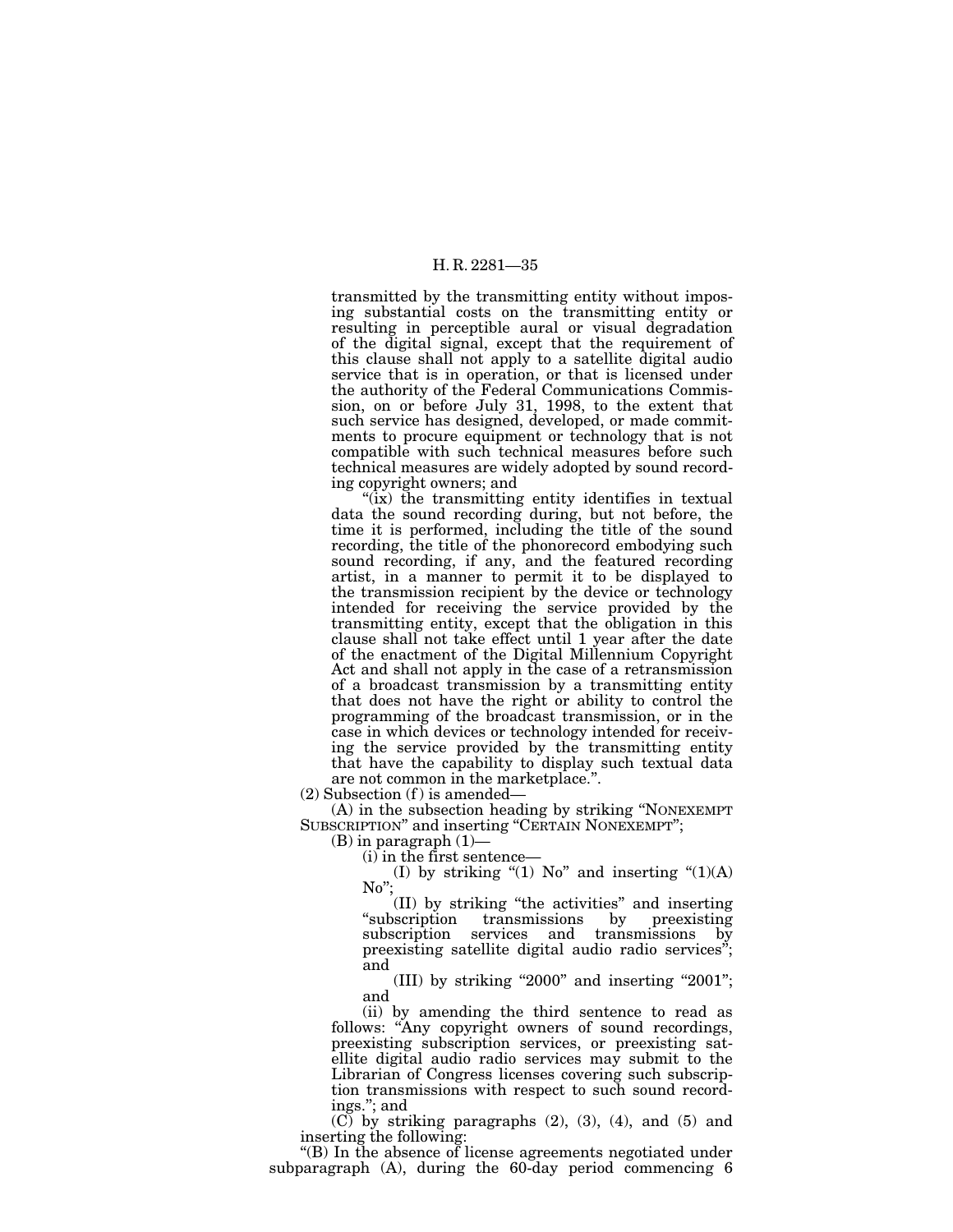transmitted by the transmitting entity without imposing substantial costs on the transmitting entity or resulting in perceptible aural or visual degradation of the digital signal, except that the requirement of this clause shall not apply to a satellite digital audio service that is in operation, or that is licensed under the authority of the Federal Communications Commission, on or before July 31, 1998, to the extent that such service has designed, developed, or made commitments to procure equipment or technology that is not compatible with such technical measures before such technical measures are widely adopted by sound recording copyright owners; and

" $(ix)$  the transmitting entity identifies in textual data the sound recording during, but not before, the time it is performed, including the title of the sound recording, the title of the phonorecord embodying such sound recording, if any, and the featured recording artist, in a manner to permit it to be displayed to the transmission recipient by the device or technology intended for receiving the service provided by the transmitting entity, except that the obligation in this clause shall not take effect until 1 year after the date of the enactment of the Digital Millennium Copyright Act and shall not apply in the case of a retransmission of a broadcast transmission by a transmitting entity that does not have the right or ability to control the programming of the broadcast transmission, or in the case in which devices or technology intended for receiving the service provided by the transmitting entity that have the capability to display such textual data are not common in the marketplace.''.

 $(2)$  Subsection  $(f)$  is amended—

(A) in the subsection heading by striking ''NONEXEMPT SUBSCRIPTION'' and inserting ''CERTAIN NONEXEMPT'';

(B) in paragraph  $(1)$ —<br>(i) in the first sentence—

(i) in the first sentence—

(I) by striking "(1) No" and inserting " $(1)(A)$ No'';

(II) by striking ''the activities'' and inserting ''subscription transmissions by preexisting subscription services and transmissions by preexisting satellite digital audio radio services"; and

(III) by striking "2000" and inserting "2001"; and

(ii) by amending the third sentence to read as follows: "Any copyright owners of sound recordings, preexisting subscription services, or preexisting satellite digital audio radio services may submit to the Librarian of Congress licenses covering such subscription transmissions with respect to such sound recordings.''; and

 $(C)$  by striking paragraphs  $(2)$ ,  $(3)$ ,  $(4)$ , and  $(5)$  and inserting the following:

''(B) In the absence of license agreements negotiated under subparagraph (A), during the 60-day period commencing 6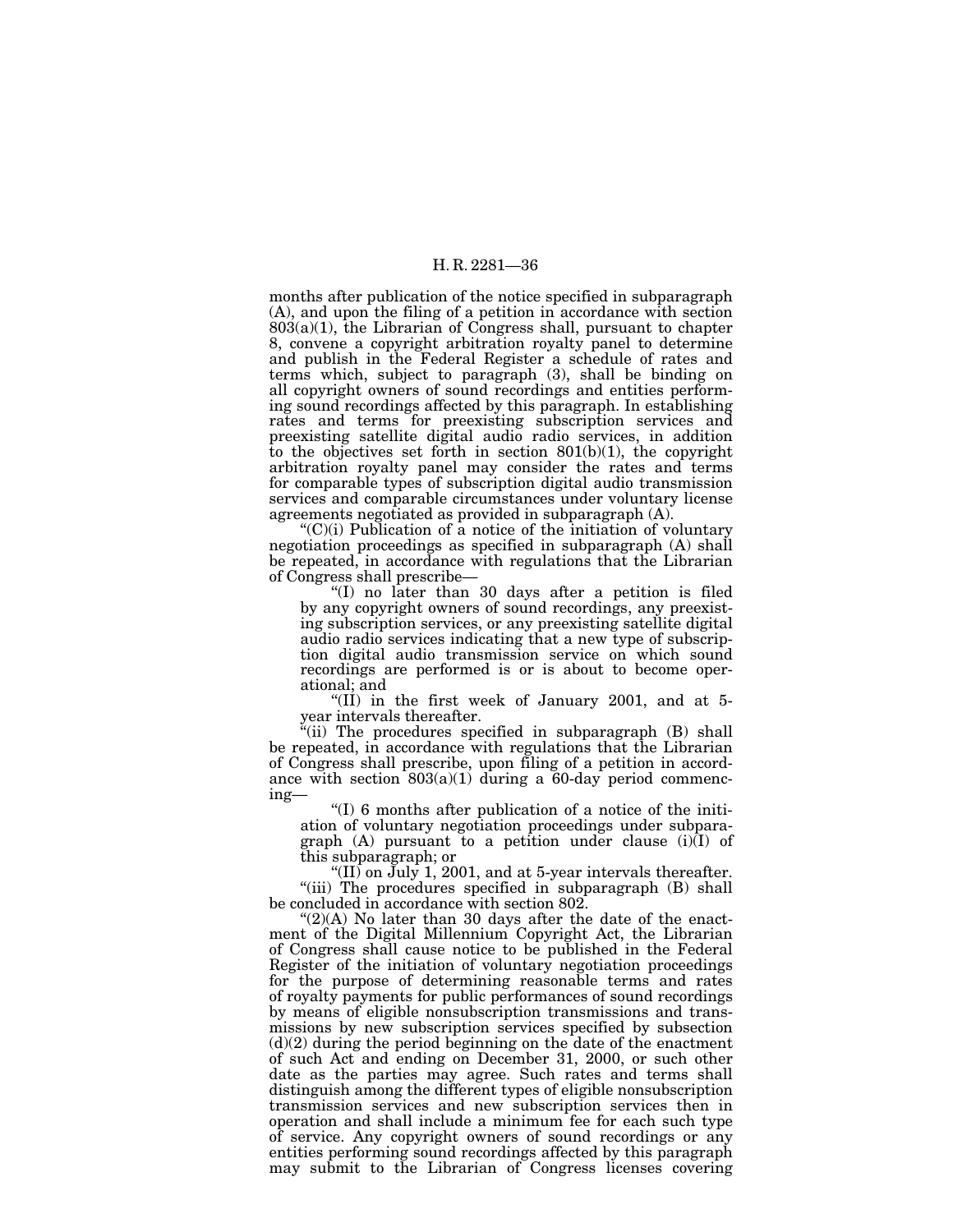months after publication of the notice specified in subparagraph (A), and upon the filing of a petition in accordance with section  $803(a)(1)$ , the Librarian of Congress shall, pursuant to chapter 8, convene a copyright arbitration royalty panel to determine and publish in the Federal Register a schedule of rates and terms which, subject to paragraph (3), shall be binding on all copyright owners of sound recordings and entities performing sound recordings affected by this paragraph. In establishing rates and terms for preexisting subscription services and preexisting satellite digital audio radio services, in addition to the objectives set forth in section 801(b)(1), the copyright arbitration royalty panel may consider the rates and terms for comparable types of subscription digital audio transmission services and comparable circumstances under voluntary license agreements negotiated as provided in subparagraph (A).

''(C)(i) Publication of a notice of the initiation of voluntary negotiation proceedings as specified in subparagraph (A) shall be repeated, in accordance with regulations that the Librarian of Congress shall prescribe—

''(I) no later than 30 days after a petition is filed by any copyright owners of sound recordings, any preexisting subscription services, or any preexisting satellite digital audio radio services indicating that a new type of subscription digital audio transmission service on which sound recordings are performed is or is about to become operational; and

"(II) in the first week of January 2001, and at 5year intervals thereafter.

"(ii) The procedures specified in subparagraph (B) shall be repeated, in accordance with regulations that the Librarian of Congress shall prescribe, upon filing of a petition in accordance with section 803(a)(1) during a 60-day period commencing—

''(I) 6 months after publication of a notice of the initiation of voluntary negotiation proceedings under subparagraph  $(A)$  pursuant to a petition under clause  $(i)(I)$  of this subparagraph; or

"(II) on  $\text{July } 1, 2001,$  and at 5-year intervals thereafter. "(iii) The procedures specified in subparagraph (B) shall be concluded in accordance with section 802.

 $\mathcal{L}(2)(A)$  No later than 30 days after the date of the enactment of the Digital Millennium Copyright Act, the Librarian of Congress shall cause notice to be published in the Federal Register of the initiation of voluntary negotiation proceedings for the purpose of determining reasonable terms and rates of royalty payments for public performances of sound recordings by means of eligible nonsubscription transmissions and transmissions by new subscription services specified by subsection (d)(2) during the period beginning on the date of the enactment of such Act and ending on December 31, 2000, or such other date as the parties may agree. Such rates and terms shall distinguish among the different types of eligible nonsubscription transmission services and new subscription services then in operation and shall include a minimum fee for each such type of service. Any copyright owners of sound recordings or any entities performing sound recordings affected by this paragraph may submit to the Librarian of Congress licenses covering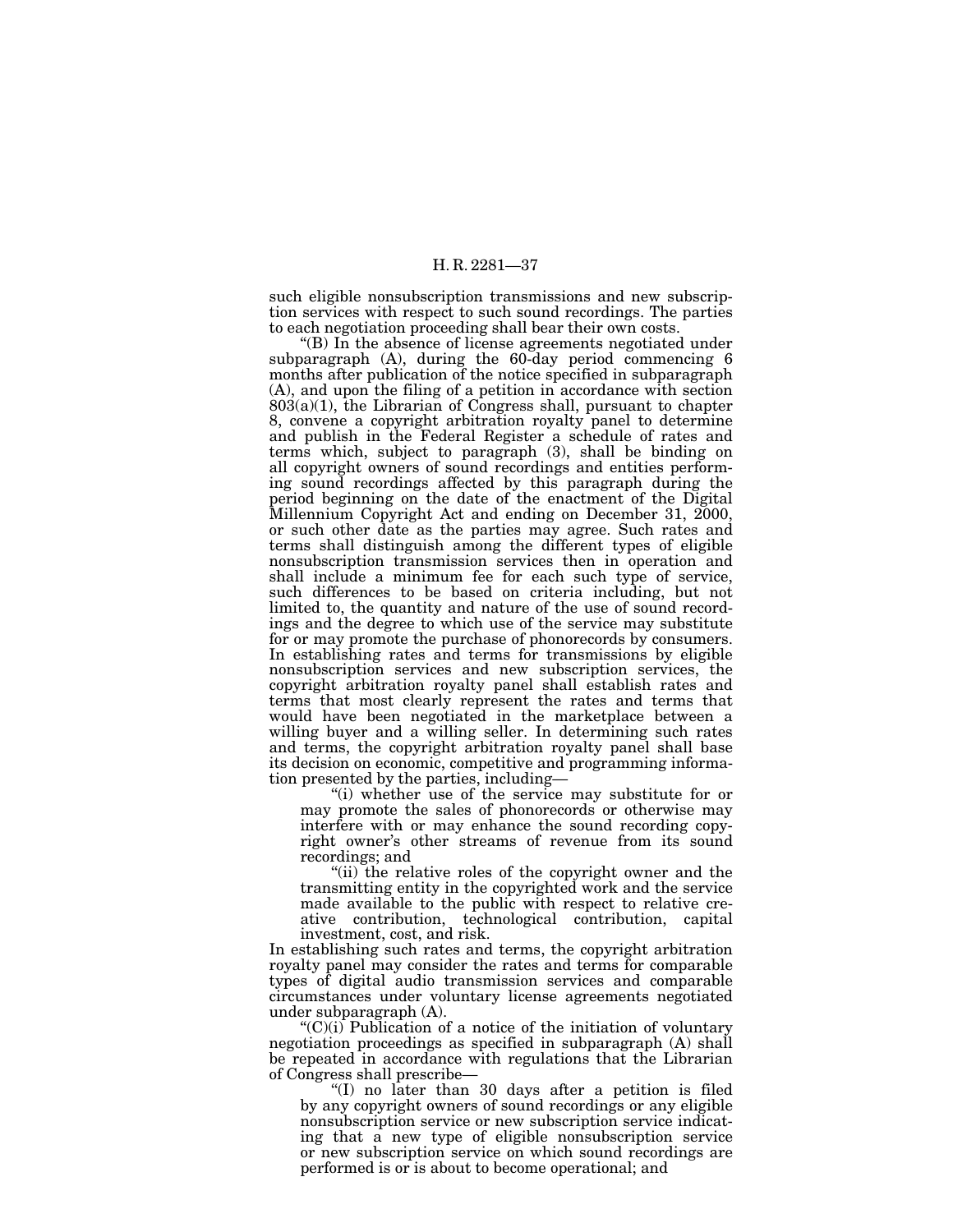such eligible nonsubscription transmissions and new subscription services with respect to such sound recordings. The parties to each negotiation proceeding shall bear their own costs.

''(B) In the absence of license agreements negotiated under subparagraph (A), during the 60-day period commencing 6 months after publication of the notice specified in subparagraph (A), and upon the filing of a petition in accordance with section  $803(a)(1)$ , the Librarian of Congress shall, pursuant to chapter 8, convene a copyright arbitration royalty panel to determine and publish in the Federal Register a schedule of rates and terms which, subject to paragraph (3), shall be binding on all copyright owners of sound recordings and entities performing sound recordings affected by this paragraph during the period beginning on the date of the enactment of the Digital Millennium Copyright Act and ending on December 31, 2000, or such other date as the parties may agree. Such rates and terms shall distinguish among the different types of eligible nonsubscription transmission services then in operation and shall include a minimum fee for each such type of service, such differences to be based on criteria including, but not limited to, the quantity and nature of the use of sound recordings and the degree to which use of the service may substitute for or may promote the purchase of phonorecords by consumers. In establishing rates and terms for transmissions by eligible nonsubscription services and new subscription services, the copyright arbitration royalty panel shall establish rates and terms that most clearly represent the rates and terms that would have been negotiated in the marketplace between a willing buyer and a willing seller. In determining such rates and terms, the copyright arbitration royalty panel shall base its decision on economic, competitive and programming information presented by the parties, including—

''(i) whether use of the service may substitute for or may promote the sales of phonorecords or otherwise may interfere with or may enhance the sound recording copyright owner's other streams of revenue from its sound recordings; and

"(ii) the relative roles of the copyright owner and the transmitting entity in the copyrighted work and the service made available to the public with respect to relative creative contribution, technological contribution, capital investment, cost, and risk.

In establishing such rates and terms, the copyright arbitration royalty panel may consider the rates and terms for comparable types of digital audio transmission services and comparable circumstances under voluntary license agreements negotiated under subparagraph (A).

 $C'(C)(i)$  Publication of a notice of the initiation of voluntary negotiation proceedings as specified in subparagraph (A) shall be repeated in accordance with regulations that the Librarian of Congress shall prescribe—

''(I) no later than 30 days after a petition is filed by any copyright owners of sound recordings or any eligible nonsubscription service or new subscription service indicating that a new type of eligible nonsubscription service or new subscription service on which sound recordings are performed is or is about to become operational; and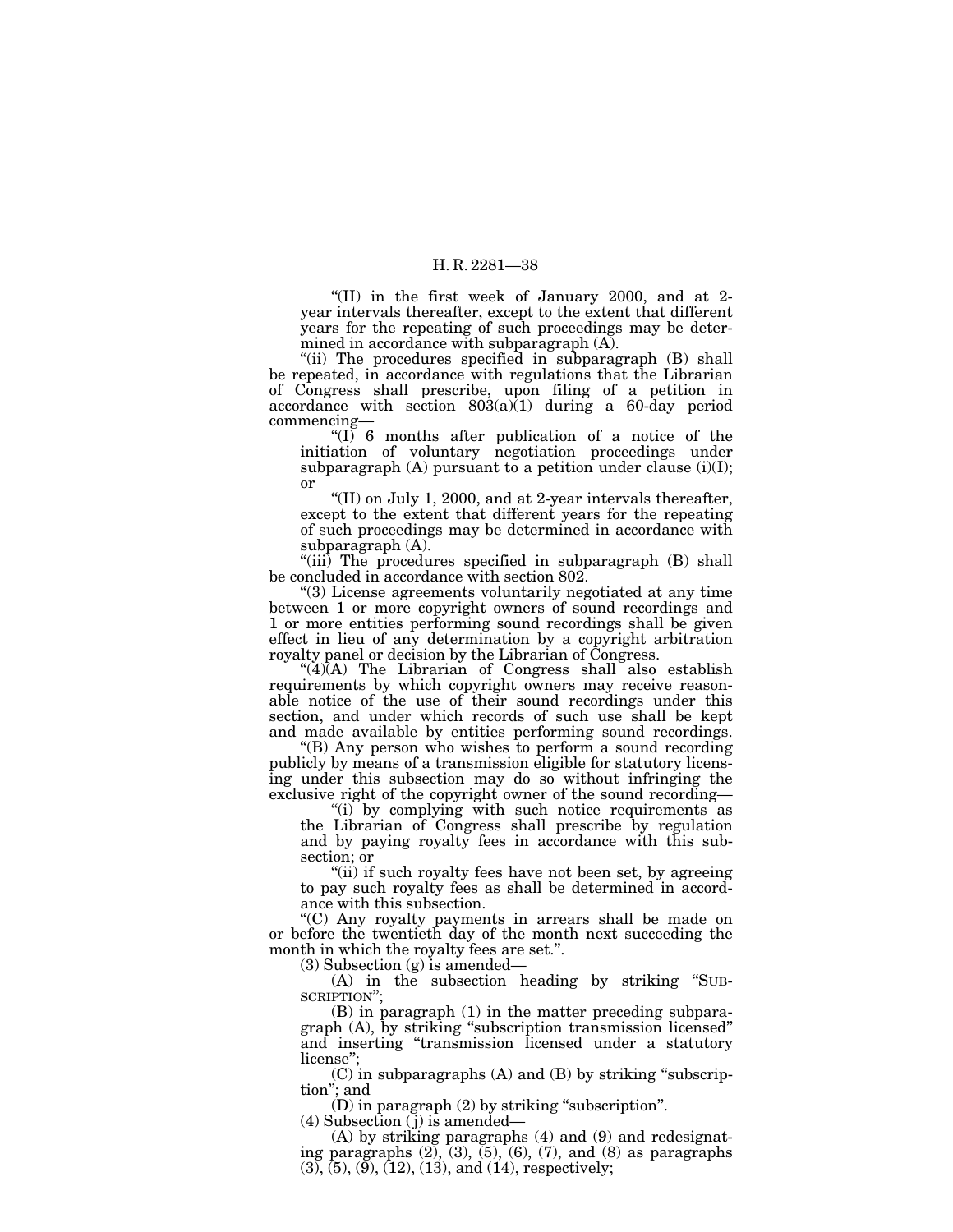"(II) in the first week of January 2000, and at 2year intervals thereafter, except to the extent that different years for the repeating of such proceedings may be determined in accordance with subparagraph (A).

"(ii) The procedures specified in subparagraph (B) shall be repeated, in accordance with regulations that the Librarian of Congress shall prescribe, upon filing of a petition in accordance with section  $803(a)$ <sup>(1)</sup> during a 60-day period commencing—

" $(I)$  6 months after publication of a notice of the initiation of voluntary negotiation proceedings under subparagraph  $(A)$  pursuant to a petition under clause  $(i)(I)$ ; or

''(II) on July 1, 2000, and at 2-year intervals thereafter, except to the extent that different years for the repeating of such proceedings may be determined in accordance with subparagraph (A).

"(iii) The procedures specified in subparagraph (B) shall be concluded in accordance with section 802.

''(3) License agreements voluntarily negotiated at any time between 1 or more copyright owners of sound recordings and 1 or more entities performing sound recordings shall be given effect in lieu of any determination by a copyright arbitration royalty panel or decision by the Librarian of Congress.

" $(4)$ (A) The Librarian of Congress shall also establish requirements by which copyright owners may receive reasonable notice of the use of their sound recordings under this section, and under which records of such use shall be kept and made available by entities performing sound recordings.

''(B) Any person who wishes to perform a sound recording publicly by means of a transmission eligible for statutory licensing under this subsection may do so without infringing the exclusive right of the copyright owner of the sound recording—

"(i) by complying with such notice requirements as the Librarian of Congress shall prescribe by regulation and by paying royalty fees in accordance with this subsection; or

"(ii) if such royalty fees have not been set, by agreeing to pay such royalty fees as shall be determined in accordance with this subsection.

''(C) Any royalty payments in arrears shall be made on or before the twentieth day of the month next succeeding the month in which the royalty fees are set.''.

(3) Subsection (g) is amended—

(A) in the subsection heading by striking ''SUB-SCRIPTION'';

(B) in paragraph (1) in the matter preceding subparagraph (A), by striking ''subscription transmission licensed'' and inserting ''transmission licensed under a statutory license'';

(C) in subparagraphs (A) and (B) by striking ''subscription''; and

(D) in paragraph (2) by striking ''subscription''.

 $(4)$  Subsection  $(j)$  is amended—

(A) by striking paragraphs (4) and (9) and redesignating paragraphs  $(2)$ ,  $(3)$ ,  $(5)$ ,  $(6)$ ,  $(7)$ , and  $(8)$  as paragraphs  $(3)$ ,  $(5)$ ,  $(9)$ ,  $(12)$ ,  $(13)$ , and  $(14)$ , respectively;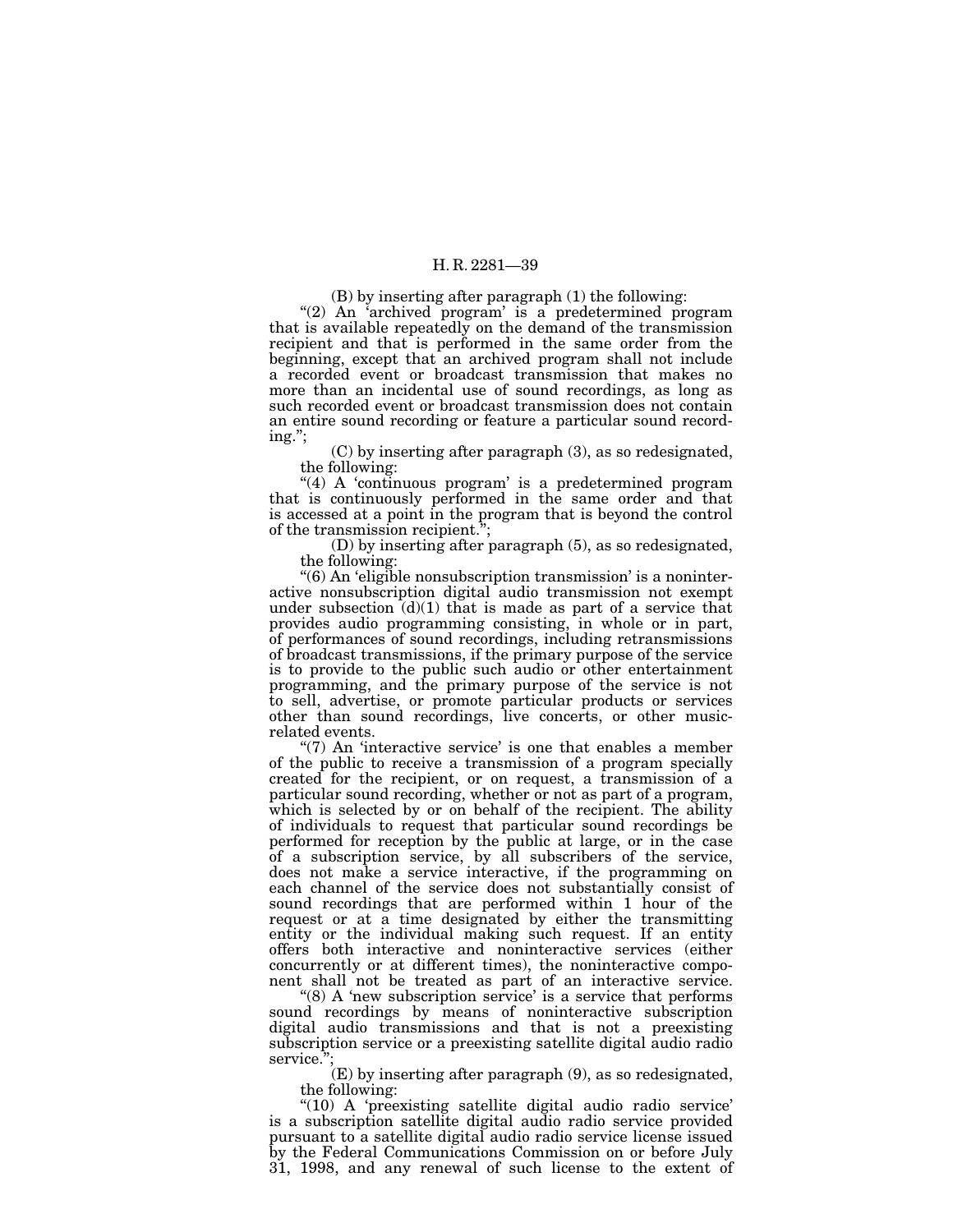(B) by inserting after paragraph (1) the following:

"(2) An 'archived program' is a predetermined program that is available repeatedly on the demand of the transmission recipient and that is performed in the same order from the beginning, except that an archived program shall not include a recorded event or broadcast transmission that makes no more than an incidental use of sound recordings, as long as such recorded event or broadcast transmission does not contain an entire sound recording or feature a particular sound recording.'';

(C) by inserting after paragraph (3), as so redesignated, the following:

"(4) A 'continuous program' is a predetermined program that is continuously performed in the same order and that is accessed at a point in the program that is beyond the control of the transmission recipient.'';

(D) by inserting after paragraph (5), as so redesignated, the following:

''(6) An 'eligible nonsubscription transmission' is a noninteractive nonsubscription digital audio transmission not exempt under subsection  $(d)(1)$  that is made as part of a service that provides audio programming consisting, in whole or in part, of performances of sound recordings, including retransmissions of broadcast transmissions, if the primary purpose of the service is to provide to the public such audio or other entertainment programming, and the primary purpose of the service is not to sell, advertise, or promote particular products or services other than sound recordings, live concerts, or other musicrelated events.

 $(7)$  An 'interactive service' is one that enables a member of the public to receive a transmission of a program specially created for the recipient, or on request, a transmission of a particular sound recording, whether or not as part of a program, which is selected by or on behalf of the recipient. The ability of individuals to request that particular sound recordings be performed for reception by the public at large, or in the case of a subscription service, by all subscribers of the service, does not make a service interactive, if the programming on each channel of the service does not substantially consist of sound recordings that are performed within 1 hour of the request or at a time designated by either the transmitting entity or the individual making such request. If an entity offers both interactive and noninteractive services (either concurrently or at different times), the noninteractive component shall not be treated as part of an interactive service.

" $(8)$  A 'new subscription service' is a service that performs sound recordings by means of noninteractive subscription digital audio transmissions and that is not a preexisting subscription service or a preexisting satellite digital audio radio service."

(E) by inserting after paragraph (9), as so redesignated, the following:

"(10) A 'preexisting satellite digital audio radio service' is a subscription satellite digital audio radio service provided pursuant to a satellite digital audio radio service license issued by the Federal Communications Commission on or before July 31, 1998, and any renewal of such license to the extent of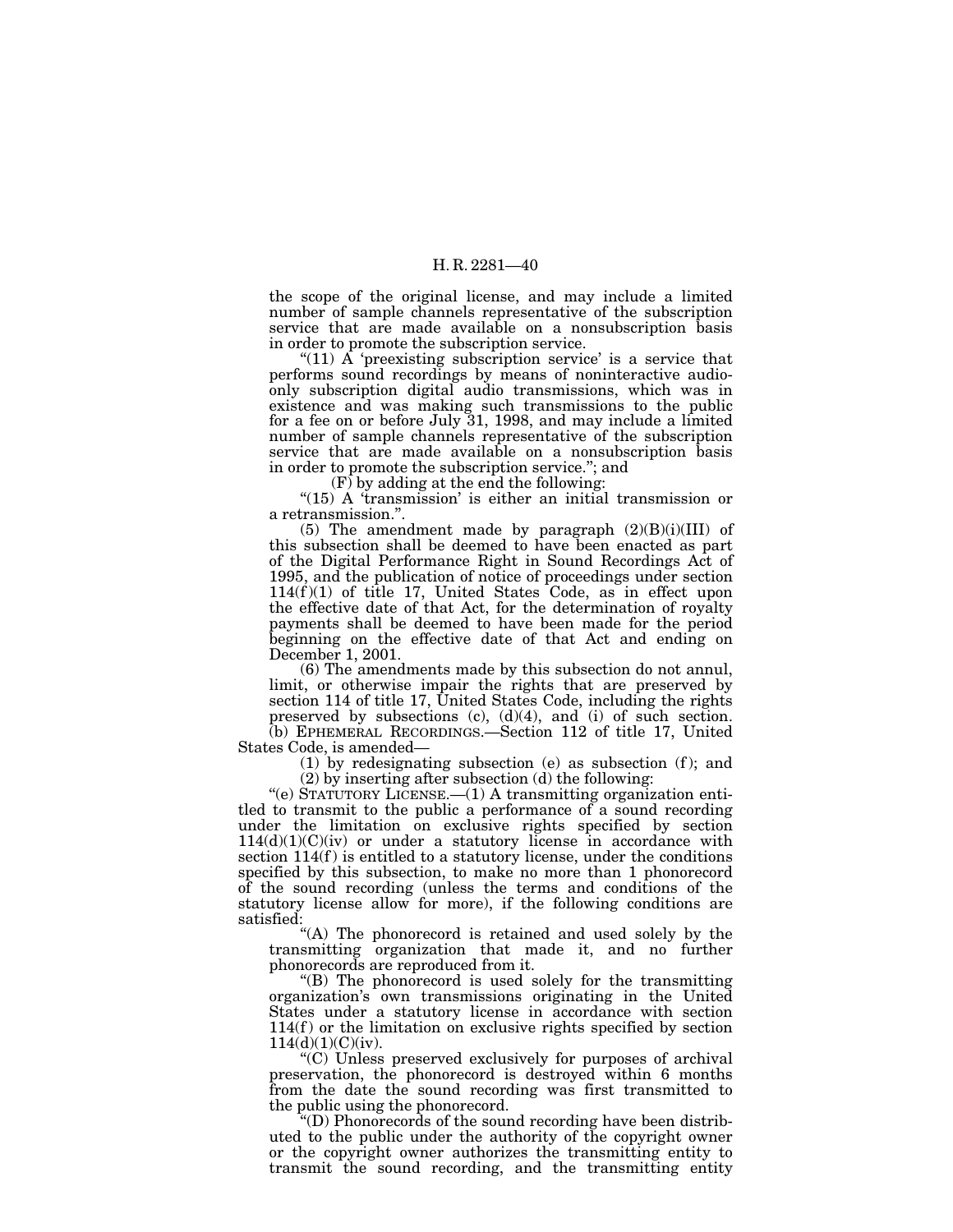the scope of the original license, and may include a limited number of sample channels representative of the subscription service that are made available on a nonsubscription basis in order to promote the subscription service.

"(11)  $\overrightarrow{A}$  'preexisting subscription service' is a service that performs sound recordings by means of noninteractive audioonly subscription digital audio transmissions, which was in existence and was making such transmissions to the public for a fee on or before July 31, 1998, and may include a limited number of sample channels representative of the subscription service that are made available on a nonsubscription basis in order to promote the subscription service.''; and

(F) by adding at the end the following:

"(15) A 'transmission' is either an initial transmission or a retransmission.''.

(5) The amendment made by paragraph  $(2)(B)(i)(III)$  of this subsection shall be deemed to have been enacted as part of the Digital Performance Right in Sound Recordings Act of 1995, and the publication of notice of proceedings under section  $114(f)(1)$  of title 17, United States Code, as in effect upon the effective date of that Act, for the determination of royalty payments shall be deemed to have been made for the period beginning on the effective date of that Act and ending on December 1, 2001.

(6) The amendments made by this subsection do not annul, limit, or otherwise impair the rights that are preserved by section 114 of title 17, United States Code, including the rights preserved by subsections  $(c)$ ,  $(d)(4)$ , and  $(i)$  of such section.

(b) EPHEMERAL RECORDINGS.—Section 112 of title 17, United States Code, is amended—

 $(1)$  by redesignating subsection  $(e)$  as subsection  $(f)$ ; and (2) by inserting after subsection (d) the following:

''(e) STATUTORY LICENSE.—(1) A transmitting organization entitled to transmit to the public a performance of a sound recording under the limitation on exclusive rights specified by section  $114(d)(1)(C)(iv)$  or under a statutory license in accordance with section  $114(f)$  is entitled to a statutory license, under the conditions specified by this subsection, to make no more than 1 phonorecord of the sound recording (unless the terms and conditions of the statutory license allow for more), if the following conditions are satisfied:

"(A) The phonorecord is retained and used solely by the transmitting organization that made it, and no further phonorecords are reproduced from it.

''(B) The phonorecord is used solely for the transmitting organization's own transmissions originating in the United States under a statutory license in accordance with section  $114(f)$  or the limitation on exclusive rights specified by section  $114(d)(1)(C)(iv).$ 

''(C) Unless preserved exclusively for purposes of archival preservation, the phonorecord is destroyed within 6 months from the date the sound recording was first transmitted to the public using the phonorecord.

''(D) Phonorecords of the sound recording have been distributed to the public under the authority of the copyright owner or the copyright owner authorizes the transmitting entity to transmit the sound recording, and the transmitting entity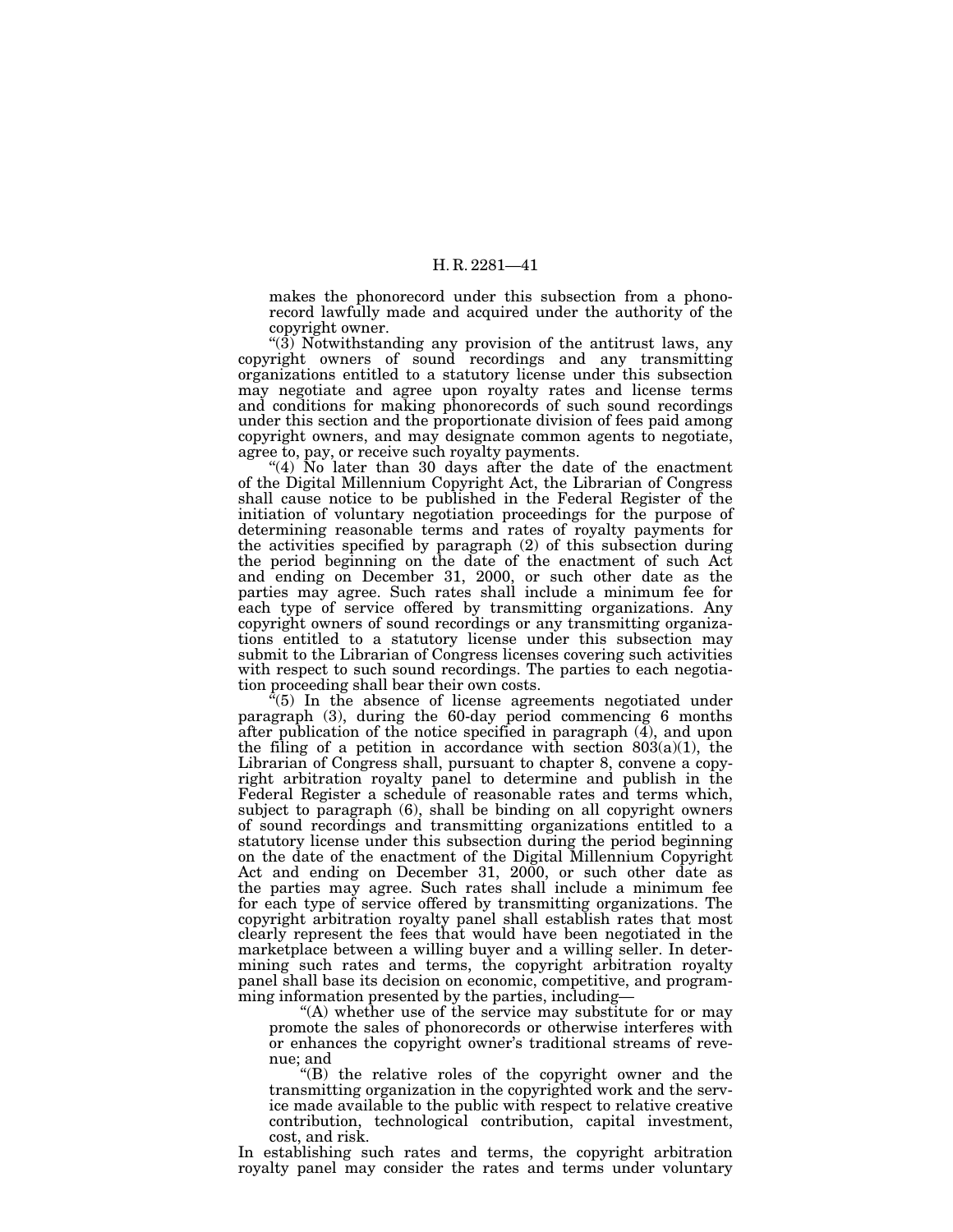makes the phonorecord under this subsection from a phonorecord lawfully made and acquired under the authority of the copyright owner.

"(3) Notwithstanding any provision of the antitrust laws, any copyright owners of sound recordings and any transmitting organizations entitled to a statutory license under this subsection may negotiate and agree upon royalty rates and license terms and conditions for making phonorecords of such sound recordings under this section and the proportionate division of fees paid among copyright owners, and may designate common agents to negotiate, agree to, pay, or receive such royalty payments.

"(4) No later than 30 days after the date of the enactment of the Digital Millennium Copyright Act, the Librarian of Congress shall cause notice to be published in the Federal Register of the initiation of voluntary negotiation proceedings for the purpose of determining reasonable terms and rates of royalty payments for the activities specified by paragraph (2) of this subsection during the period beginning on the date of the enactment of such Act and ending on December 31, 2000, or such other date as the parties may agree. Such rates shall include a minimum fee for each type of service offered by transmitting organizations. Any copyright owners of sound recordings or any transmitting organizations entitled to a statutory license under this subsection may submit to the Librarian of Congress licenses covering such activities with respect to such sound recordings. The parties to each negotiation proceeding shall bear their own costs.

 $^{5}(5)$  In the absence of license agreements negotiated under paragraph (3), during the 60-day period commencing 6 months after publication of the notice specified in paragraph (4), and upon the filing of a petition in accordance with section  $803(a)(1)$ , the Librarian of Congress shall, pursuant to chapter 8, convene a copyright arbitration royalty panel to determine and publish in the Federal Register a schedule of reasonable rates and terms which, subject to paragraph (6), shall be binding on all copyright owners of sound recordings and transmitting organizations entitled to a statutory license under this subsection during the period beginning on the date of the enactment of the Digital Millennium Copyright Act and ending on December 31, 2000, or such other date as the parties may agree. Such rates shall include a minimum fee for each type of service offered by transmitting organizations. The copyright arbitration royalty panel shall establish rates that most clearly represent the fees that would have been negotiated in the marketplace between a willing buyer and a willing seller. In determining such rates and terms, the copyright arbitration royalty panel shall base its decision on economic, competitive, and programming information presented by the parties, including—

 $f(A)$  whether use of the service may substitute for or may promote the sales of phonorecords or otherwise interferes with or enhances the copyright owner's traditional streams of revenue; and

''(B) the relative roles of the copyright owner and the transmitting organization in the copyrighted work and the service made available to the public with respect to relative creative contribution, technological contribution, capital investment, cost, and risk.

In establishing such rates and terms, the copyright arbitration royalty panel may consider the rates and terms under voluntary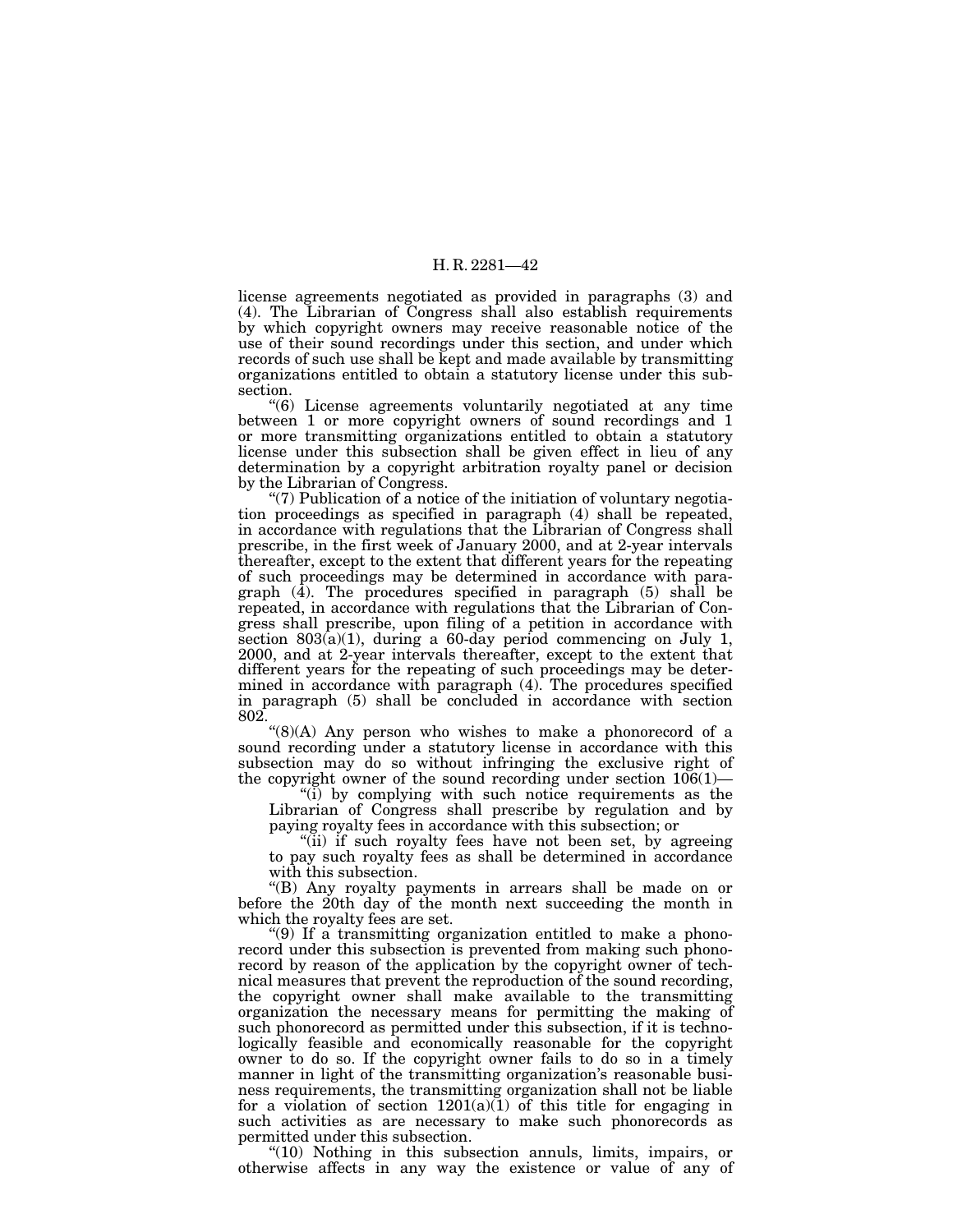license agreements negotiated as provided in paragraphs (3) and (4). The Librarian of Congress shall also establish requirements by which copyright owners may receive reasonable notice of the use of their sound recordings under this section, and under which records of such use shall be kept and made available by transmitting organizations entitled to obtain a statutory license under this subsection.

''(6) License agreements voluntarily negotiated at any time between 1 or more copyright owners of sound recordings and 1 or more transmitting organizations entitled to obtain a statutory license under this subsection shall be given effect in lieu of any determination by a copyright arbitration royalty panel or decision by the Librarian of Congress.

"(7) Publication of  $\overline{a}$  notice of the initiation of voluntary negotiation proceedings as specified in paragraph (4) shall be repeated, in accordance with regulations that the Librarian of Congress shall prescribe, in the first week of January 2000, and at 2-year intervals thereafter, except to the extent that different years for the repeating of such proceedings may be determined in accordance with paragraph  $(\overline{4})$ . The procedures specified in paragraph  $(5)$  shall be repeated, in accordance with regulations that the Librarian of Congress shall prescribe, upon filing of a petition in accordance with section  $803(a)(1)$ , during a 60-day period commencing on July 1, 2000, and at 2-year intervals thereafter, except to the extent that different years for the repeating of such proceedings may be determined in accordance with paragraph (4). The procedures specified in paragraph (5) shall be concluded in accordance with section 802.

''(8)(A) Any person who wishes to make a phonorecord of a sound recording under a statutory license in accordance with this subsection may do so without infringing the exclusive right of the copyright owner of the sound recording under section 106(1)—

"(i) by complying with such notice requirements as the Librarian of Congress shall prescribe by regulation and by paying royalty fees in accordance with this subsection; or

''(ii) if such royalty fees have not been set, by agreeing to pay such royalty fees as shall be determined in accordance with this subsection.

''(B) Any royalty payments in arrears shall be made on or before the 20th day of the month next succeeding the month in which the royalty fees are set.

''(9) If a transmitting organization entitled to make a phonorecord under this subsection is prevented from making such phonorecord by reason of the application by the copyright owner of technical measures that prevent the reproduction of the sound recording, the copyright owner shall make available to the transmitting organization the necessary means for permitting the making of such phonorecord as permitted under this subsection, if it is technologically feasible and economically reasonable for the copyright owner to do so. If the copyright owner fails to do so in a timely manner in light of the transmitting organization's reasonable business requirements, the transmitting organization shall not be liable for a violation of section  $1201(a)(1)$  of this title for engaging in such activities as are necessary to make such phonorecords as permitted under this subsection.

"(10) Nothing in this subsection annuls, limits, impairs, or otherwise affects in any way the existence or value of any of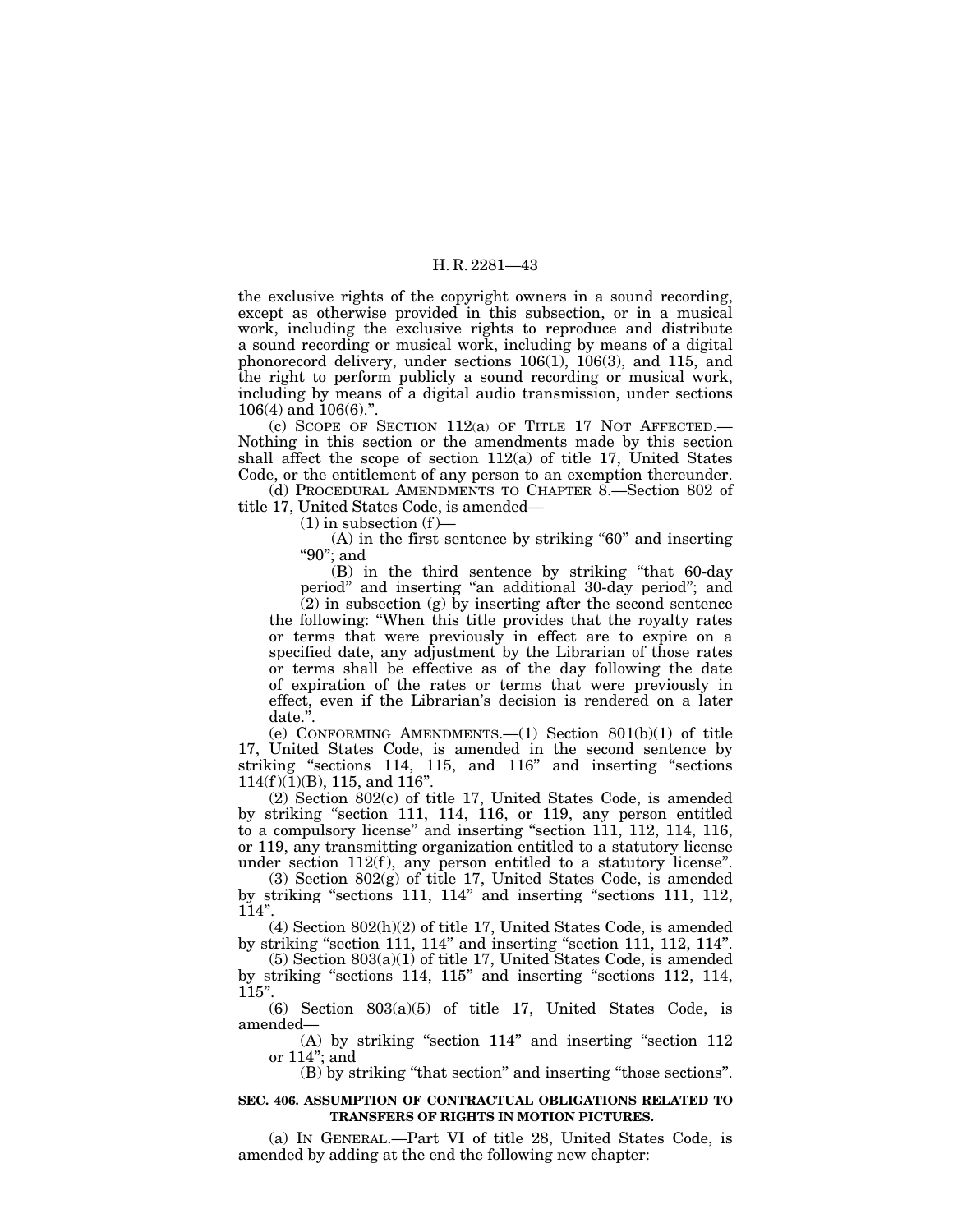the exclusive rights of the copyright owners in a sound recording, except as otherwise provided in this subsection, or in a musical work, including the exclusive rights to reproduce and distribute a sound recording or musical work, including by means of a digital phonorecord delivery, under sections 106(1), 106(3), and 115, and the right to perform publicly a sound recording or musical work, including by means of a digital audio transmission, under sections 106(4) and 106(6).''.

(c) SCOPE OF SECTION 112(a) OF TITLE 17 NOT AFFECTED.— Nothing in this section or the amendments made by this section shall affect the scope of section  $112(a)$  of title 17, United States Code, or the entitlement of any person to an exemption thereunder.

(d) PROCEDURAL AMENDMENTS TO CHAPTER 8.—Section 802 of title 17, United States Code, is amended—

 $(1)$  in subsection  $(f)$ —

 $(A)$  in the first sentence by striking "60" and inserting ''90''; and

(B) in the third sentence by striking ''that 60-day period'' and inserting ''an additional 30-day period''; and

 $(2)$  in subsection  $(g)$  by inserting after the second sentence the following: ''When this title provides that the royalty rates or terms that were previously in effect are to expire on a specified date, any adjustment by the Librarian of those rates or terms shall be effective as of the day following the date of expiration of the rates or terms that were previously in effect, even if the Librarian's decision is rendered on a later date.''.

(e) CONFORMING AMENDMENTS.  $-(1)$  Section 801(b)(1) of title 17, United States Code, is amended in the second sentence by striking "sections 114, 115, and 116" and inserting "sections  $114(f)(1)(B)$ , 115, and 116".

(2) Section 802(c) of title 17, United States Code, is amended by striking ''section 111, 114, 116, or 119, any person entitled to a compulsory license'' and inserting ''section 111, 112, 114, 116, or 119, any transmitting organization entitled to a statutory license under section 112(f), any person entitled to a statutory license".

(3) Section 802(g) of title 17, United States Code, is amended by striking ''sections 111, 114'' and inserting ''sections 111, 112, 114''.

(4) Section 802(h)(2) of title 17, United States Code, is amended by striking "section 111, 114" and inserting "section 111, 112, 114".

(5) Section 803(a)(1) of title 17, United States Code, is amended by striking ''sections 114, 115'' and inserting ''sections 112, 114, 115''.

(6) Section 803(a)(5) of title 17, United States Code, is amended—

(A) by striking "section 114" and inserting "section 112 or 114''; and

(B) by striking ''that section'' and inserting ''those sections''.

#### **SEC. 406. ASSUMPTION OF CONTRACTUAL OBLIGATIONS RELATED TO TRANSFERS OF RIGHTS IN MOTION PICTURES.**

(a) IN GENERAL.—Part VI of title 28, United States Code, is amended by adding at the end the following new chapter: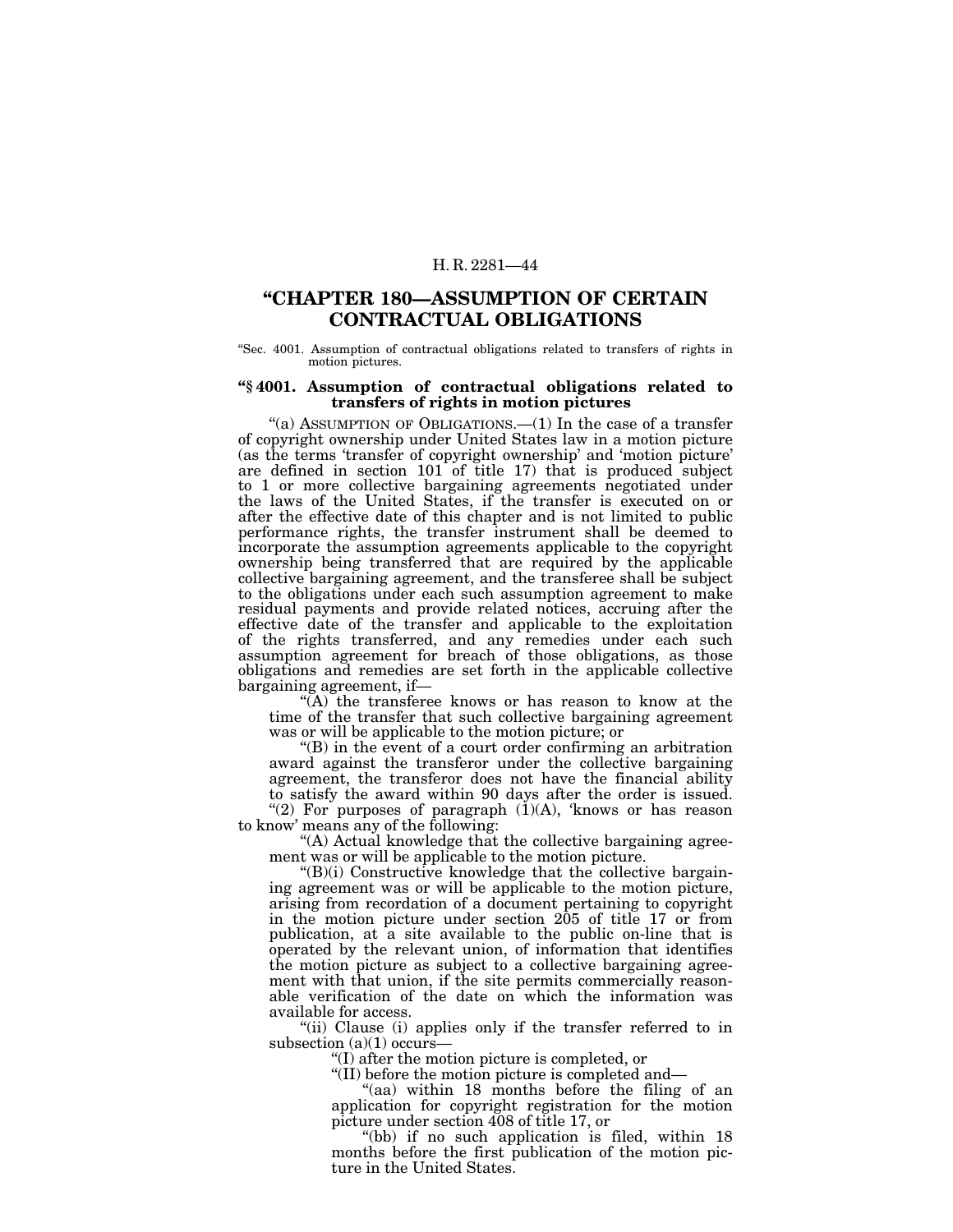# **''CHAPTER 180—ASSUMPTION OF CERTAIN CONTRACTUAL OBLIGATIONS**

''Sec. 4001. Assumption of contractual obligations related to transfers of rights in motion pictures.

#### **''§ 4001. Assumption of contractual obligations related to transfers of rights in motion pictures**

"(a) ASSUMPTION OF OBLIGATIONS.—(1) In the case of a transfer of copyright ownership under United States law in a motion picture (as the terms 'transfer of copyright ownership' and 'motion picture' are defined in section 101 of title 17) that is produced subject to 1 or more collective bargaining agreements negotiated under the laws of the United States, if the transfer is executed on or after the effective date of this chapter and is not limited to public performance rights, the transfer instrument shall be deemed to incorporate the assumption agreements applicable to the copyright ownership being transferred that are required by the applicable collective bargaining agreement, and the transferee shall be subject to the obligations under each such assumption agreement to make residual payments and provide related notices, accruing after the effective date of the transfer and applicable to the exploitation of the rights transferred, and any remedies under each such assumption agreement for breach of those obligations, as those obligations and remedies are set forth in the applicable collective bargaining agreement, if—

''(A) the transferee knows or has reason to know at the time of the transfer that such collective bargaining agreement was or will be applicable to the motion picture; or

''(B) in the event of a court order confirming an arbitration award against the transferor under the collective bargaining agreement, the transferor does not have the financial ability to satisfy the award within 90 days after the order is issued.

"(2) For purposes of paragraph  $(1)(A)$ , 'knows or has reason to know' means any of the following:

''(A) Actual knowledge that the collective bargaining agreement was or will be applicable to the motion picture.

" $(B)(i)$  Constructive knowledge that the collective bargaining agreement was or will be applicable to the motion picture, arising from recordation of a document pertaining to copyright in the motion picture under section 205 of title 17 or from publication, at a site available to the public on-line that is operated by the relevant union, of information that identifies the motion picture as subject to a collective bargaining agreement with that union, if the site permits commercially reasonable verification of the date on which the information was available for access.

"(ii) Clause (i) applies only if the transfer referred to in subsection  $(a)(1)$  occurs—

''(I) after the motion picture is completed, or

''(II) before the motion picture is completed and—

"(aa) within 18 months before the filing of an application for copyright registration for the motion picture under section 408 of title 17, or

"(bb) if no such application is filed, within 18 months before the first publication of the motion picture in the United States.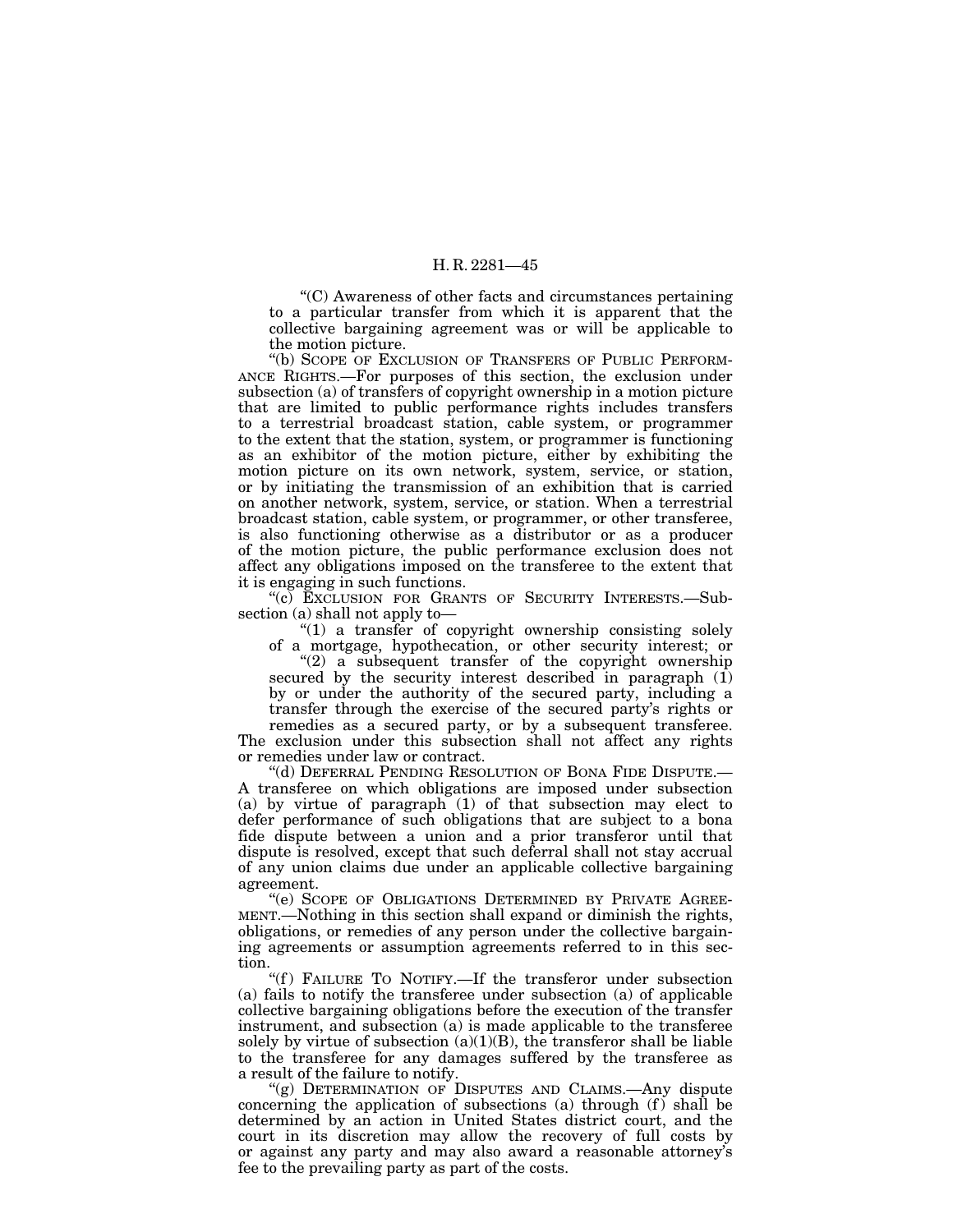''(C) Awareness of other facts and circumstances pertaining to a particular transfer from which it is apparent that the collective bargaining agreement was or will be applicable to the motion picture.

"(b) SCOPE OF EXCLUSION OF TRANSFERS OF PUBLIC PERFORM-ANCE RIGHTS.—For purposes of this section, the exclusion under subsection (a) of transfers of copyright ownership in a motion picture that are limited to public performance rights includes transfers to a terrestrial broadcast station, cable system, or programmer to the extent that the station, system, or programmer is functioning as an exhibitor of the motion picture, either by exhibiting the motion picture on its own network, system, service, or station, or by initiating the transmission of an exhibition that is carried on another network, system, service, or station. When a terrestrial broadcast station, cable system, or programmer, or other transferee, is also functioning otherwise as a distributor or as a producer of the motion picture, the public performance exclusion does not affect any obligations imposed on the transferee to the extent that it is engaging in such functions.

"(c) EXCLUSION FOR GRANTS OF SECURITY INTERESTS.—Subsection (a) shall not apply to—

 $''(1)$  a transfer of copyright ownership consisting solely of a mortgage, hypothecation, or other security interest; or

 $(2)$  a subsequent transfer of the copyright ownership secured by the security interest described in paragraph  $(I)$ by or under the authority of the secured party, including a transfer through the exercise of the secured party's rights or

remedies as a secured party, or by a subsequent transferee. The exclusion under this subsection shall not affect any rights or remedies under law or contract.

''(d) DEFERRAL PENDING RESOLUTION OF BONA FIDE DISPUTE.— A transferee on which obligations are imposed under subsection (a) by virtue of paragraph  $(1)$  of that subsection may elect to defer performance of such obligations that are subject to a bona fide dispute between a union and a prior transferor until that dispute is resolved, except that such deferral shall not stay accrual of any union claims due under an applicable collective bargaining agreement.

''(e) SCOPE OF OBLIGATIONS DETERMINED BY PRIVATE AGREE-MENT.—Nothing in this section shall expand or diminish the rights, obligations, or remedies of any person under the collective bargaining agreements or assumption agreements referred to in this section.

"(f) FAILURE TO NOTIFY.—If the transferor under subsection (a) fails to notify the transferee under subsection (a) of applicable collective bargaining obligations before the execution of the transfer instrument, and subsection (a) is made applicable to the transferee solely by virtue of subsection  $(a)(1)(B)$ , the transferor shall be liable to the transferee for any damages suffered by the transferee as a result of the failure to notify.

"(g) DETERMINATION OF DISPUTES AND CLAIMS.—Any dispute concerning the application of subsections (a) through  $(f)$  shall be determined by an action in United States district court, and the court in its discretion may allow the recovery of full costs by or against any party and may also award a reasonable attorney's fee to the prevailing party as part of the costs.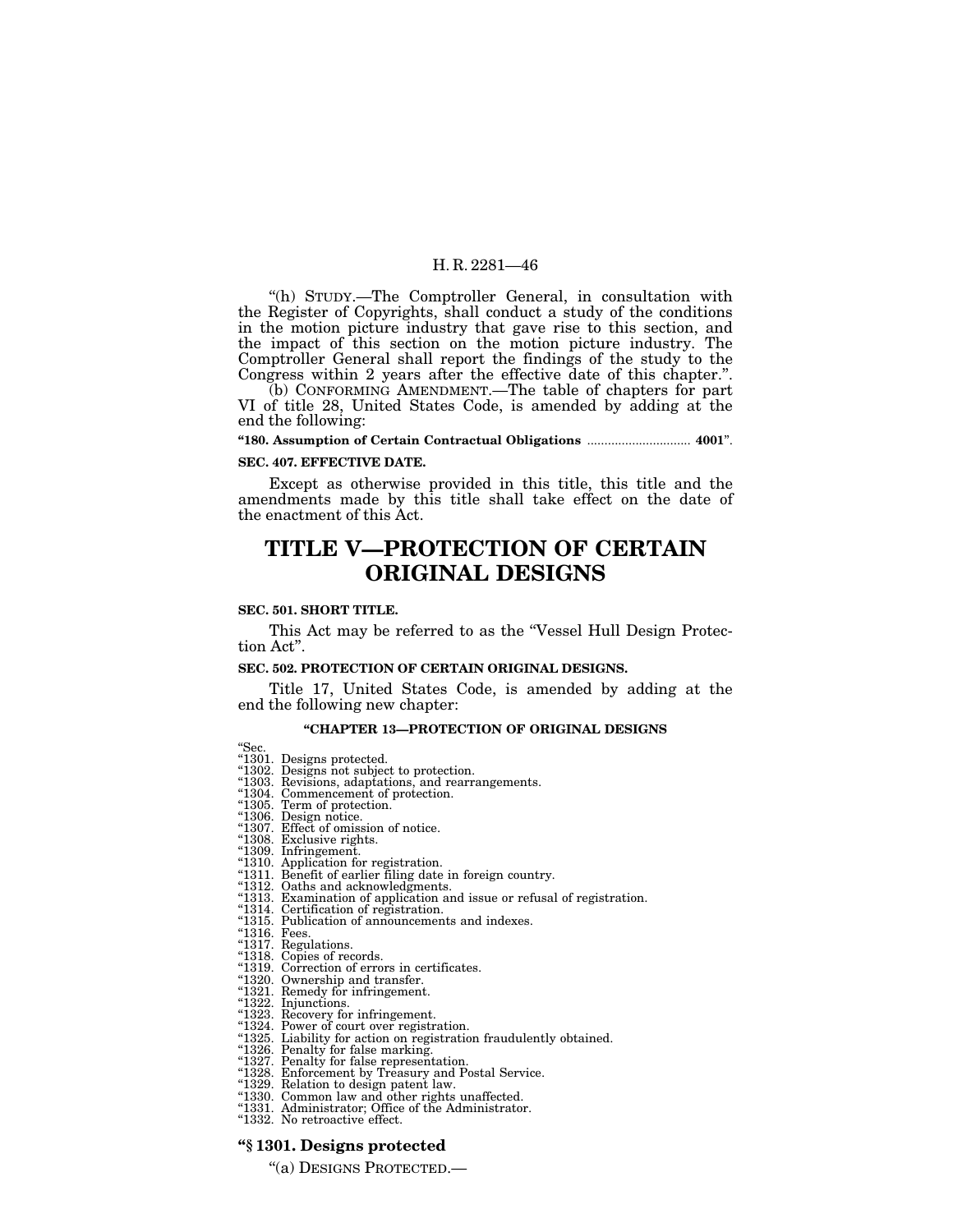''(h) STUDY.—The Comptroller General, in consultation with the Register of Copyrights, shall conduct a study of the conditions in the motion picture industry that gave rise to this section, and the impact of this section on the motion picture industry. The Comptroller General shall report the findings of the study to the Congress within 2 years after the effective date of this chapter.''.

(b) CONFORMING AMENDMENT.—The table of chapters for part VI of title 28, United States Code, is amended by adding at the end the following:

#### **''180. Assumption of Certain Contractual Obligations** .............................. **4001**''.

#### **SEC. 407. EFFECTIVE DATE.**

Except as otherwise provided in this title, this title and the amendments made by this title shall take effect on the date of the enactment of this Act.

# **TITLE V—PROTECTION OF CERTAIN ORIGINAL DESIGNS**

#### **SEC. 501. SHORT TITLE.**

This Act may be referred to as the "Vessel Hull Design Protection Act''.

#### **SEC. 502. PROTECTION OF CERTAIN ORIGINAL DESIGNS.**

Title 17, United States Code, is amended by adding at the end the following new chapter:

# **''CHAPTER 13—PROTECTION OF ORIGINAL DESIGNS**

- "Sec.<br>"1301. Designs protected.<br>"1302. Designs not subject to protection.
- ''1303. Revisions, adaptations, and rearrangements. ''1304. Commencement of protection. ''1305. Term of protection. ''1306. Design notice. ''1307. Effect of omission of notice. ''1308. Exclusive rights. ''1309. Infringement.
- 
- 
- 
- 
- 
- 
- ''1310. Application for registration. ''1311. Benefit of earlier filing date in foreign country. ''1312. Oaths and acknowledgments.
- "1313. Examination of application and issue or refusal of registration.<br>"1314. Certification of registration.<br>"1315. Publication of announcements and indexes.<br>"1316. Fees.<br>"1317. Regulations.<br>"1317. Copies of records.<br>"131
- 
- 
- 
- 
- 
- 
- 
- 
- 
- 
- 
- "1320. Ownership and transfer.<br>"1321. Remedy for infringement.<br>"1322. Injunctions.<br>"1323. Recovery for infringement.<br>"1324. Power of court over registration.<br>"1325. Liability for action on registration fraudulently obtaine
- 
- 
- 
- ''1330. Common law and other rights unaffected.
- 
- ''1331. Administrator; Office of the Administrator.
- "1332. No retroactive effect.

#### **''§ 1301. Designs protected**

''(a) DESIGNS PROTECTED.—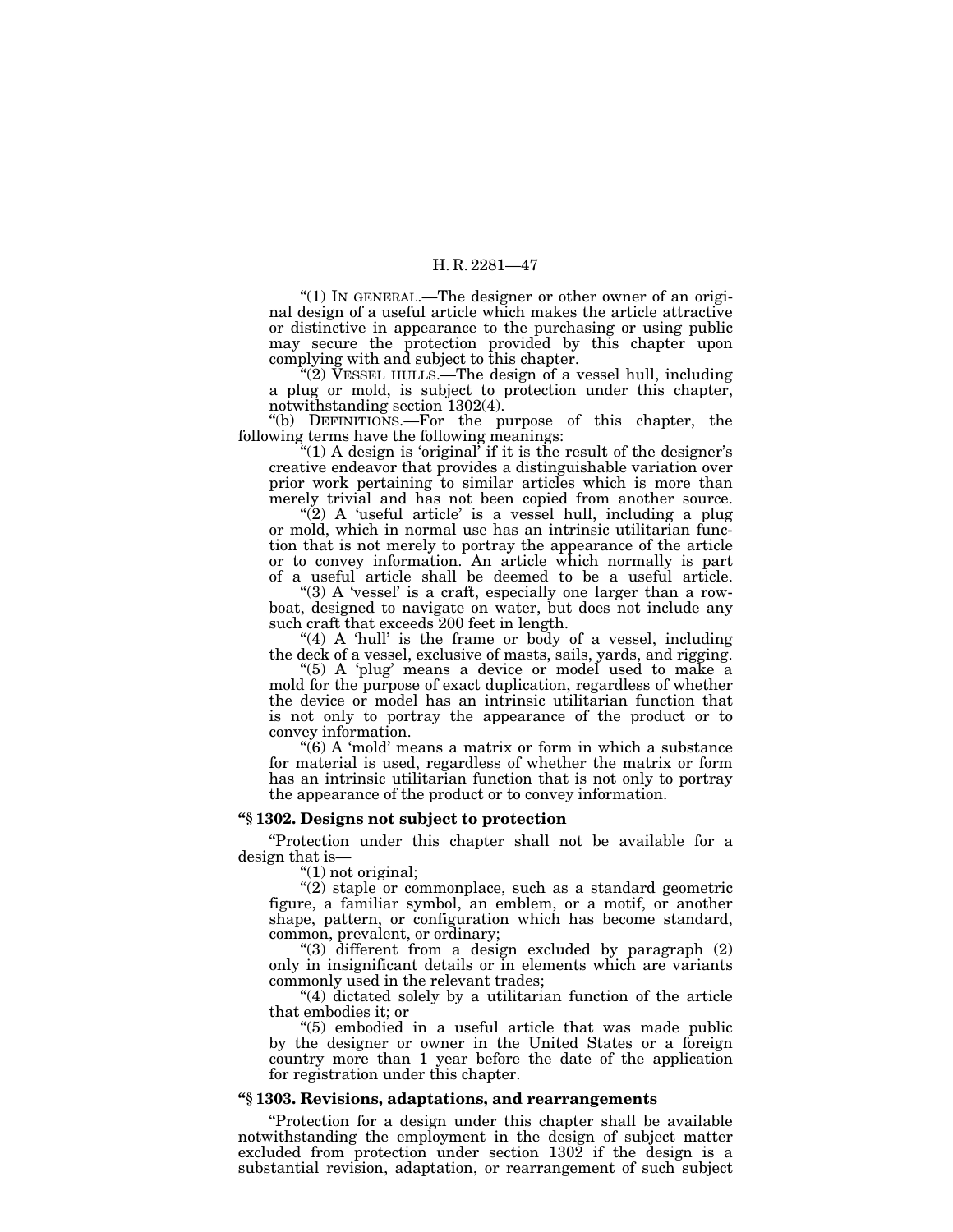''(1) IN GENERAL.—The designer or other owner of an original design of a useful article which makes the article attractive or distinctive in appearance to the purchasing or using public may secure the protection provided by this chapter upon complying with and subject to this chapter.

 $\sqrt{\hat{Q}}$ ) VESSEL HULLS.—The design of a vessel hull, including a plug or mold, is subject to protection under this chapter, notwithstanding section 1302(4).

''(b) DEFINITIONS.—For the purpose of this chapter, the following terms have the following meanings:

"(1) A design is 'original' if it is the result of the designer's creative endeavor that provides a distinguishable variation over prior work pertaining to similar articles which is more than merely trivial and has not been copied from another source.

" $(2)$  A 'useful article' is a vessel hull, including a plug or mold, which in normal use has an intrinsic utilitarian function that is not merely to portray the appearance of the article or to convey information. An article which normally is part of a useful article shall be deemed to be a useful article.

"(3) A 'vessel' is a craft, especially one larger than a rowboat, designed to navigate on water, but does not include any such craft that exceeds 200 feet in length.

"(4) A 'hull' is the frame or body of a vessel, including the deck of a vessel, exclusive of masts, sails, yards, and rigging.

"(5) A 'plug' means a device or model used to make a mold for the purpose of exact duplication, regardless of whether the device or model has an intrinsic utilitarian function that is not only to portray the appearance of the product or to convey information.

" $(6)$  A 'mold' means a matrix or form in which a substance for material is used, regardless of whether the matrix or form has an intrinsic utilitarian function that is not only to portray the appearance of the product or to convey information.

#### **''§ 1302. Designs not subject to protection**

''Protection under this chapter shall not be available for a design that is—

''(1) not original;

 $(2)$  staple or commonplace, such as a standard geometric figure, a familiar symbol, an emblem, or a motif, or another shape, pattern, or configuration which has become standard, common, prevalent, or ordinary;

''(3) different from a design excluded by paragraph (2) only in insignificant details or in elements which are variants commonly used in the relevant trades;

''(4) dictated solely by a utilitarian function of the article that embodies it; or

''(5) embodied in a useful article that was made public by the designer or owner in the United States or a foreign country more than 1 year before the date of the application for registration under this chapter.

#### **''§ 1303. Revisions, adaptations, and rearrangements**

''Protection for a design under this chapter shall be available notwithstanding the employment in the design of subject matter excluded from protection under section 1302 if the design is a substantial revision, adaptation, or rearrangement of such subject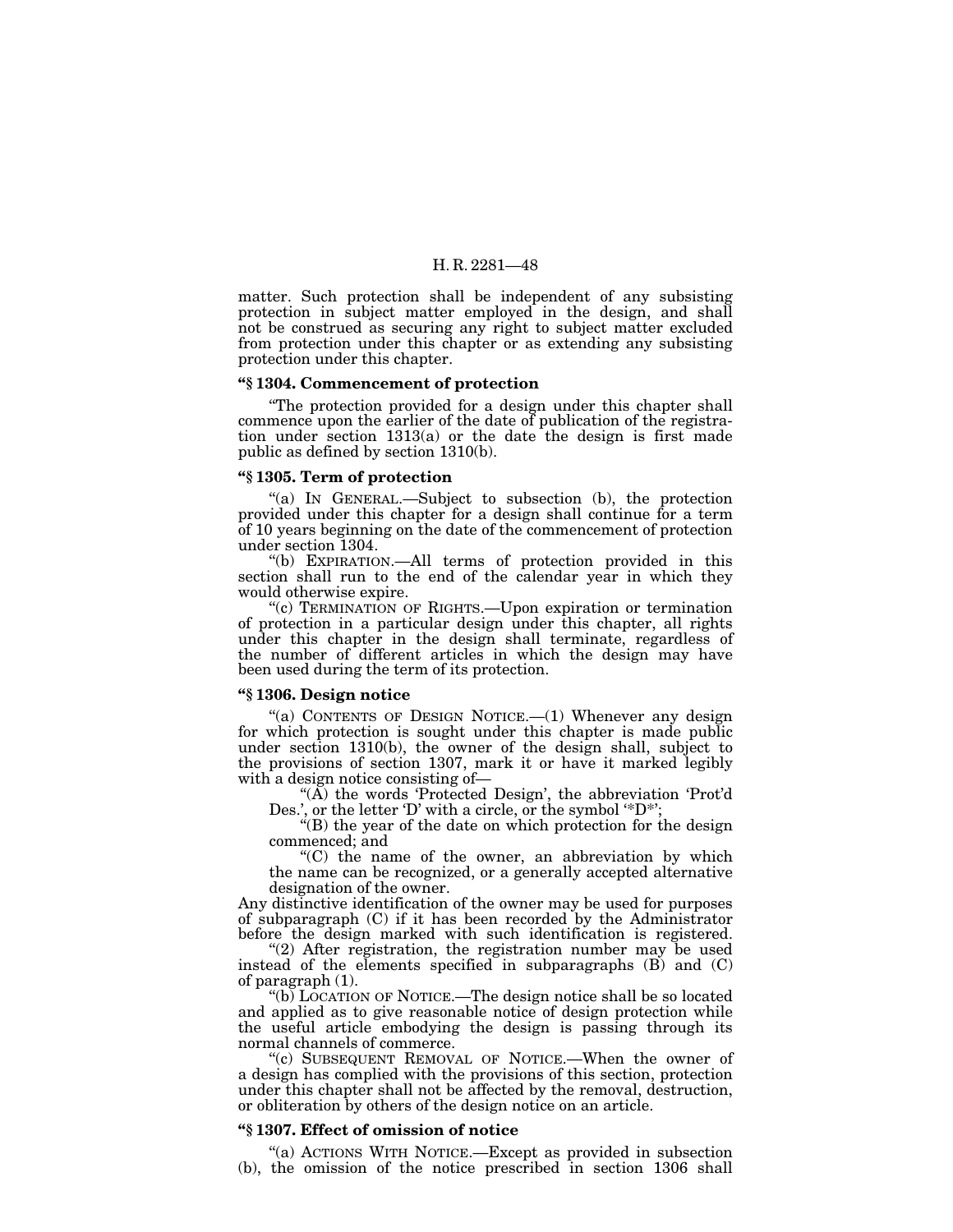matter. Such protection shall be independent of any subsisting protection in subject matter employed in the design, and shall not be construed as securing any right to subject matter excluded from protection under this chapter or as extending any subsisting protection under this chapter.

#### **''§ 1304. Commencement of protection**

''The protection provided for a design under this chapter shall commence upon the earlier of the date of publication of the registration under section 1313(a) or the date the design is first made public as defined by section 1310(b).

#### **''§ 1305. Term of protection**

''(a) IN GENERAL.—Subject to subsection (b), the protection provided under this chapter for a design shall continue for a term of 10 years beginning on the date of the commencement of protection under section 1304.

''(b) EXPIRATION.—All terms of protection provided in this section shall run to the end of the calendar year in which they would otherwise expire.

''(c) TERMINATION OF RIGHTS.—Upon expiration or termination of protection in a particular design under this chapter, all rights under this chapter in the design shall terminate, regardless of the number of different articles in which the design may have been used during the term of its protection.

#### **''§ 1306. Design notice**

"(a) CONTENTS OF DESIGN NOTICE. $-(1)$  Whenever any design for which protection is sought under this chapter is made public under section 1310(b), the owner of the design shall, subject to the provisions of section 1307, mark it or have it marked legibly with a design notice consisting of—

" $(\overrightarrow{A})$  the words 'Protected Design', the abbreviation 'Prot'd Des.', or the letter 'D' with a circle, or the symbol '\*D\*';

"(B) the year of the date on which protection for the design commenced; and

 $C$ ) the name of the owner, an abbreviation by which the name can be recognized, or a generally accepted alternative designation of the owner.

Any distinctive identification of the owner may be used for purposes of subparagraph (C) if it has been recorded by the Administrator before the design marked with such identification is registered.

"(2) After registration, the registration number may be used instead of the elements specified in subparagraphs  $(B)$  and  $(C)$ of paragraph (1).

"(b) LOCATION OF NOTICE.—The design notice shall be so located and applied as to give reasonable notice of design protection while the useful article embodying the design is passing through its normal channels of commerce.

"(c) SUBSEQUENT REMOVAL OF NOTICE.—When the owner of a design has complied with the provisions of this section, protection under this chapter shall not be affected by the removal, destruction, or obliteration by others of the design notice on an article.

#### **''§ 1307. Effect of omission of notice**

''(a) ACTIONS WITH NOTICE.—Except as provided in subsection (b), the omission of the notice prescribed in section 1306 shall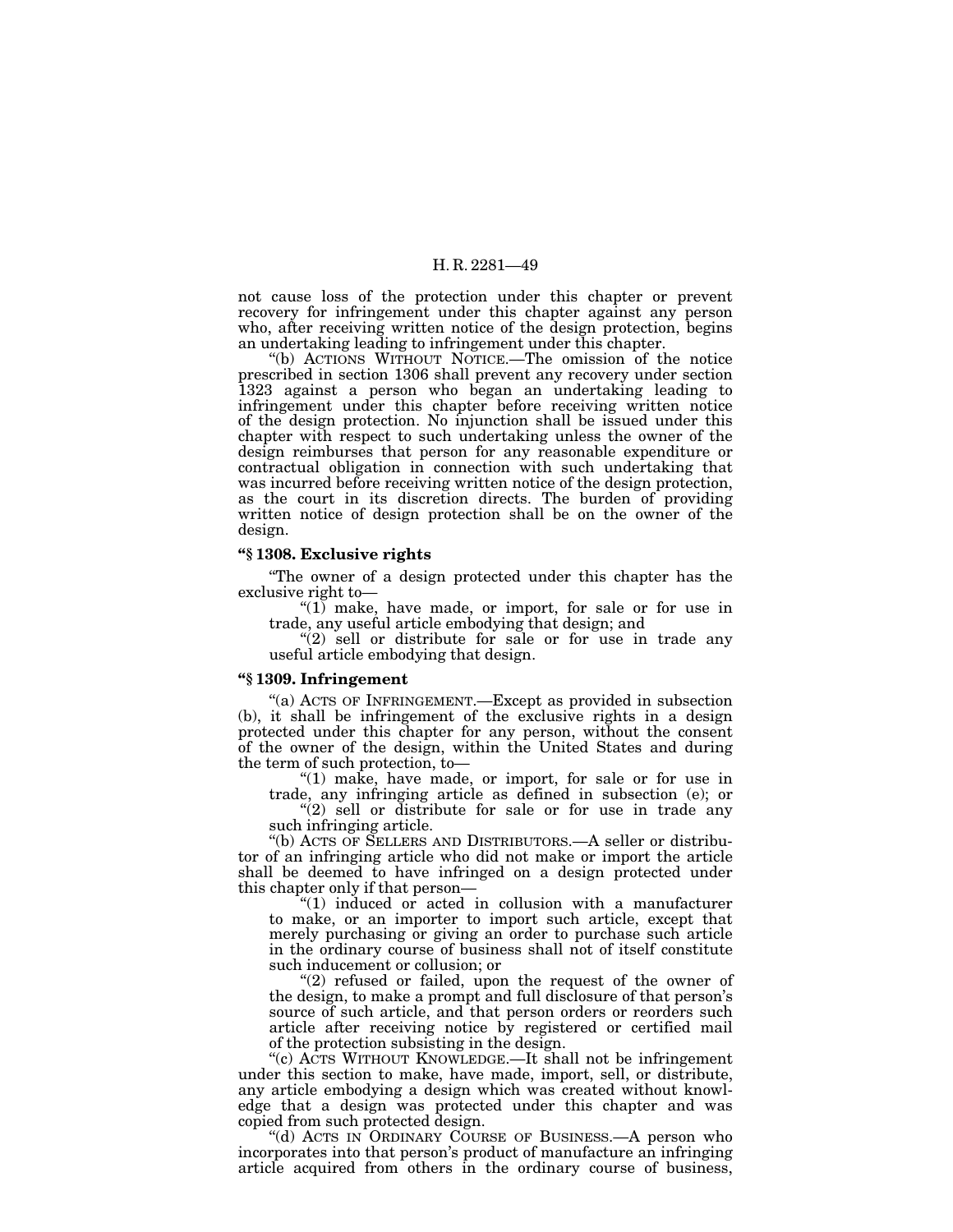not cause loss of the protection under this chapter or prevent recovery for infringement under this chapter against any person who, after receiving written notice of the design protection, begins an undertaking leading to infringement under this chapter.

''(b) ACTIONS WITHOUT NOTICE.—The omission of the notice prescribed in section 1306 shall prevent any recovery under section 1323 against a person who began an undertaking leading to infringement under this chapter before receiving written notice of the design protection. No injunction shall be issued under this chapter with respect to such undertaking unless the owner of the design reimburses that person for any reasonable expenditure or contractual obligation in connection with such undertaking that was incurred before receiving written notice of the design protection, as the court in its discretion directs. The burden of providing written notice of design protection shall be on the owner of the design.

#### **''§ 1308. Exclusive rights**

''The owner of a design protected under this chapter has the exclusive right to—

''(1) make, have made, or import, for sale or for use in trade, any useful article embodying that design; and

 $'(2)$  sell or distribute for sale or for use in trade any useful article embodying that design.

#### **''§ 1309. Infringement**

''(a) ACTS OF INFRINGEMENT.—Except as provided in subsection (b), it shall be infringement of the exclusive rights in a design protected under this chapter for any person, without the consent of the owner of the design, within the United States and during the term of such protection, to—

''(1) make, have made, or import, for sale or for use in trade, any infringing article as defined in subsection (e); or

"(2) sell or distribute for sale or for use in trade any such infringing article.

''(b) ACTS OF SELLERS AND DISTRIBUTORS.—A seller or distributor of an infringing article who did not make or import the article shall be deemed to have infringed on a design protected under this chapter only if that person—

" $(1)$  induced or acted in collusion with a manufacturer to make, or an importer to import such article, except that merely purchasing or giving an order to purchase such article in the ordinary course of business shall not of itself constitute such inducement or collusion; or

"(2) refused or failed, upon the request of the owner of the design, to make a prompt and full disclosure of that person's source of such article, and that person orders or reorders such article after receiving notice by registered or certified mail of the protection subsisting in the design.

''(c) ACTS WITHOUT KNOWLEDGE.—It shall not be infringement under this section to make, have made, import, sell, or distribute, any article embodying a design which was created without knowledge that a design was protected under this chapter and was copied from such protected design.

"(d) ACTS IN ORDINARY COURSE OF BUSINESS.—A person who incorporates into that person's product of manufacture an infringing article acquired from others in the ordinary course of business,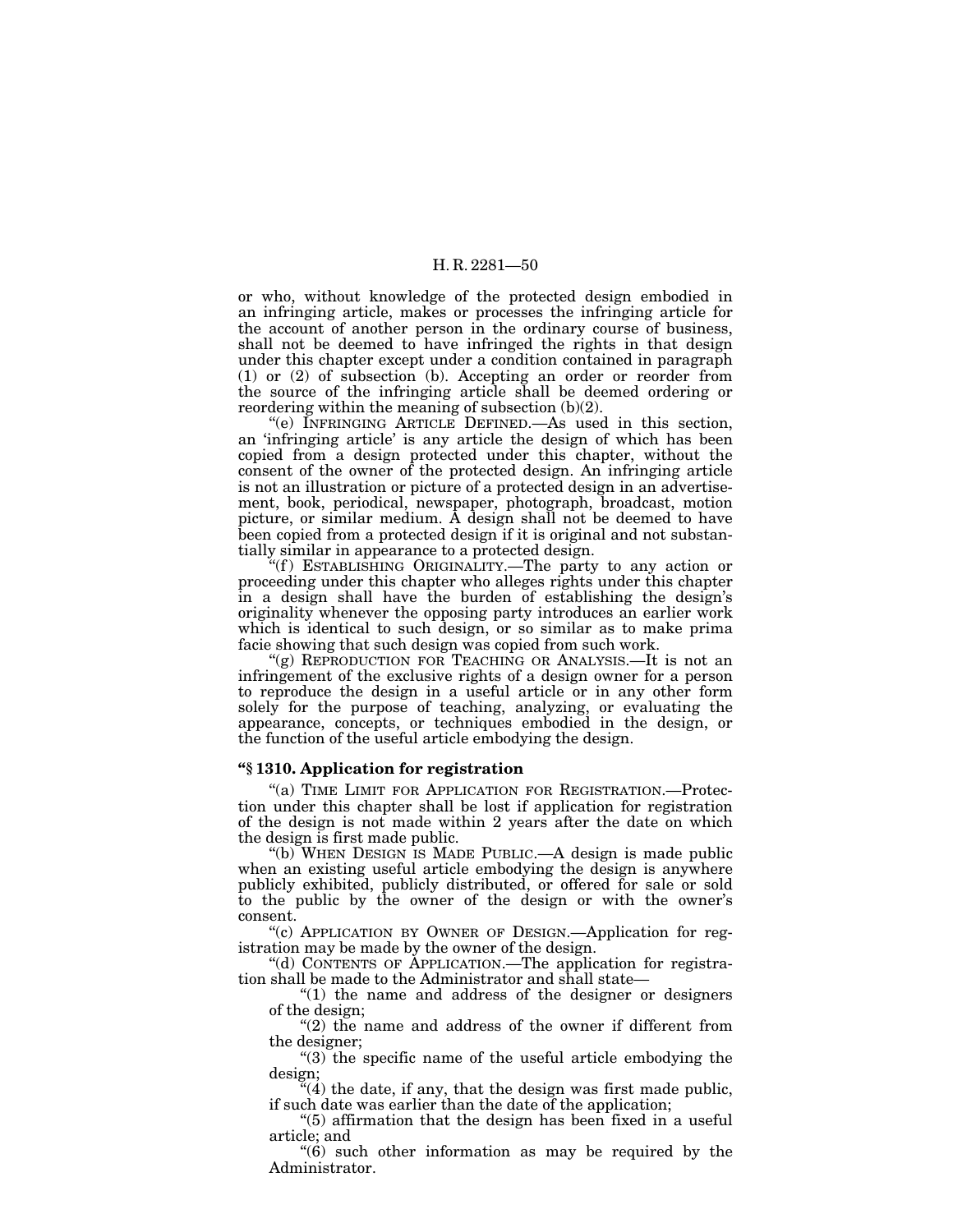or who, without knowledge of the protected design embodied in an infringing article, makes or processes the infringing article for the account of another person in the ordinary course of business, shall not be deemed to have infringed the rights in that design under this chapter except under a condition contained in paragraph (1) or (2) of subsection (b). Accepting an order or reorder from the source of the infringing article shall be deemed ordering or reordering within the meaning of subsection (b)(2).

''(e) INFRINGING ARTICLE DEFINED.—As used in this section, an 'infringing article' is any article the design of which has been copied from a design protected under this chapter, without the consent of the owner of the protected design. An infringing article is not an illustration or picture of a protected design in an advertisement, book, periodical, newspaper, photograph, broadcast, motion picture, or similar medium. A design shall not be deemed to have been copied from a protected design if it is original and not substantially similar in appearance to a protected design.

"(f) ESTABLISHING ORIGINALITY.—The party to any action or proceeding under this chapter who alleges rights under this chapter in a design shall have the burden of establishing the design's originality whenever the opposing party introduces an earlier work which is identical to such design, or so similar as to make prima facie showing that such design was copied from such work.

''(g) REPRODUCTION FOR TEACHING OR ANALYSIS.—It is not an infringement of the exclusive rights of a design owner for a person to reproduce the design in a useful article or in any other form solely for the purpose of teaching, analyzing, or evaluating the appearance, concepts, or techniques embodied in the design, or the function of the useful article embodying the design.

#### **''§ 1310. Application for registration**

''(a) TIME LIMIT FOR APPLICATION FOR REGISTRATION.—Protection under this chapter shall be lost if application for registration of the design is not made within 2 years after the date on which the design is first made public.

(b) WHEN DESIGN IS MADE PUBLIC.—A design is made public when an existing useful article embodying the design is anywhere publicly exhibited, publicly distributed, or offered for sale or sold to the public by the owner of the design or with the owner's consent.

''(c) APPLICATION BY OWNER OF DESIGN.—Application for registration may be made by the owner of the design.

''(d) CONTENTS OF APPLICATION.—The application for registration shall be made to the Administrator and shall state—

" $(1)$  the name and address of the designer or designers" of the design;

" $(2)$  the name and address of the owner if different from the designer;

"(3) the specific name of the useful article embodying the design;

"(4) the date, if any, that the design was first made public, if such date was earlier than the date of the application;

''(5) affirmation that the design has been fixed in a useful article; and

''(6) such other information as may be required by the Administrator.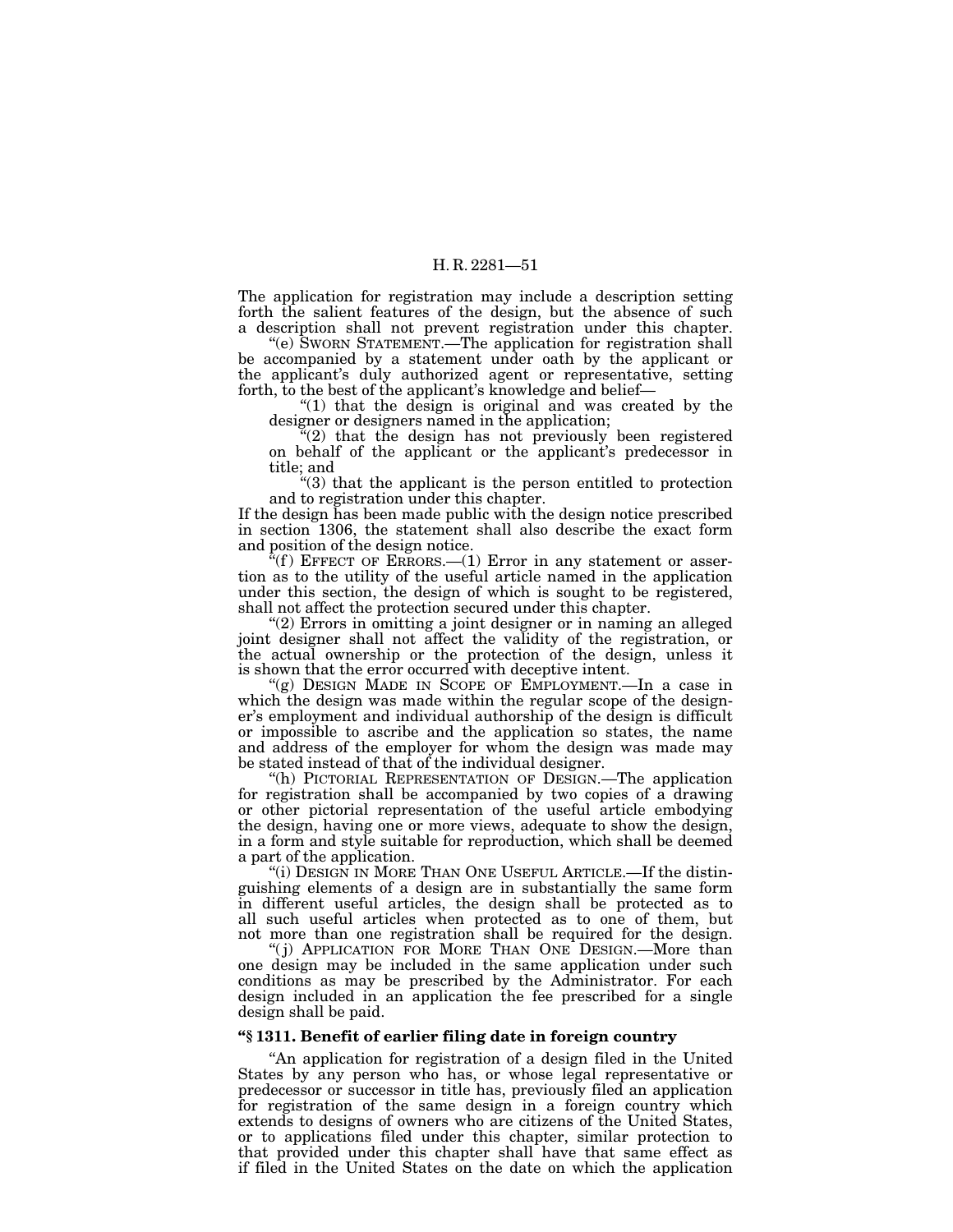The application for registration may include a description setting forth the salient features of the design, but the absence of such a description shall not prevent registration under this chapter.

"(e) SWORN STATEMENT.—The application for registration shall be accompanied by a statement under oath by the applicant or the applicant's duly authorized agent or representative, setting forth, to the best of the applicant's knowledge and belief—

" $(1)$  that the design is original and was created by the designer or designers named in the application;

 $\tilde{f}(2)$  that the design has not previously been registered on behalf of the applicant or the applicant's predecessor in title; and

''(3) that the applicant is the person entitled to protection and to registration under this chapter.

If the design has been made public with the design notice prescribed in section 1306, the statement shall also describe the exact form and position of the design notice.

 $f(f)$  EFFECT OF ERRORS.—(1) Error in any statement or assertion as to the utility of the useful article named in the application under this section, the design of which is sought to be registered, shall not affect the protection secured under this chapter.

''(2) Errors in omitting a joint designer or in naming an alleged joint designer shall not affect the validity of the registration, or the actual ownership or the protection of the design, unless it is shown that the error occurred with deceptive intent.

"(g) DESIGN MADE IN SCOPE OF EMPLOYMENT.—In a case in which the design was made within the regular scope of the designer's employment and individual authorship of the design is difficult or impossible to ascribe and the application so states, the name and address of the employer for whom the design was made may be stated instead of that of the individual designer.

''(h) PICTORIAL REPRESENTATION OF DESIGN.—The application for registration shall be accompanied by two copies of a drawing or other pictorial representation of the useful article embodying the design, having one or more views, adequate to show the design, in a form and style suitable for reproduction, which shall be deemed a part of the application.

"(i) DESIGN IN MORE THAN ONE USEFUL ARTICLE.—If the distinguishing elements of a design are in substantially the same form in different useful articles, the design shall be protected as to all such useful articles when protected as to one of them, but not more than one registration shall be required for the design.

"(j) APPLICATION FOR MORE THAN ONE DESIGN.—More than one design may be included in the same application under such conditions as may be prescribed by the Administrator. For each design included in an application the fee prescribed for a single design shall be paid.

#### **''§ 1311. Benefit of earlier filing date in foreign country**

''An application for registration of a design filed in the United States by any person who has, or whose legal representative or predecessor or successor in title has, previously filed an application for registration of the same design in a foreign country which extends to designs of owners who are citizens of the United States, or to applications filed under this chapter, similar protection to that provided under this chapter shall have that same effect as if filed in the United States on the date on which the application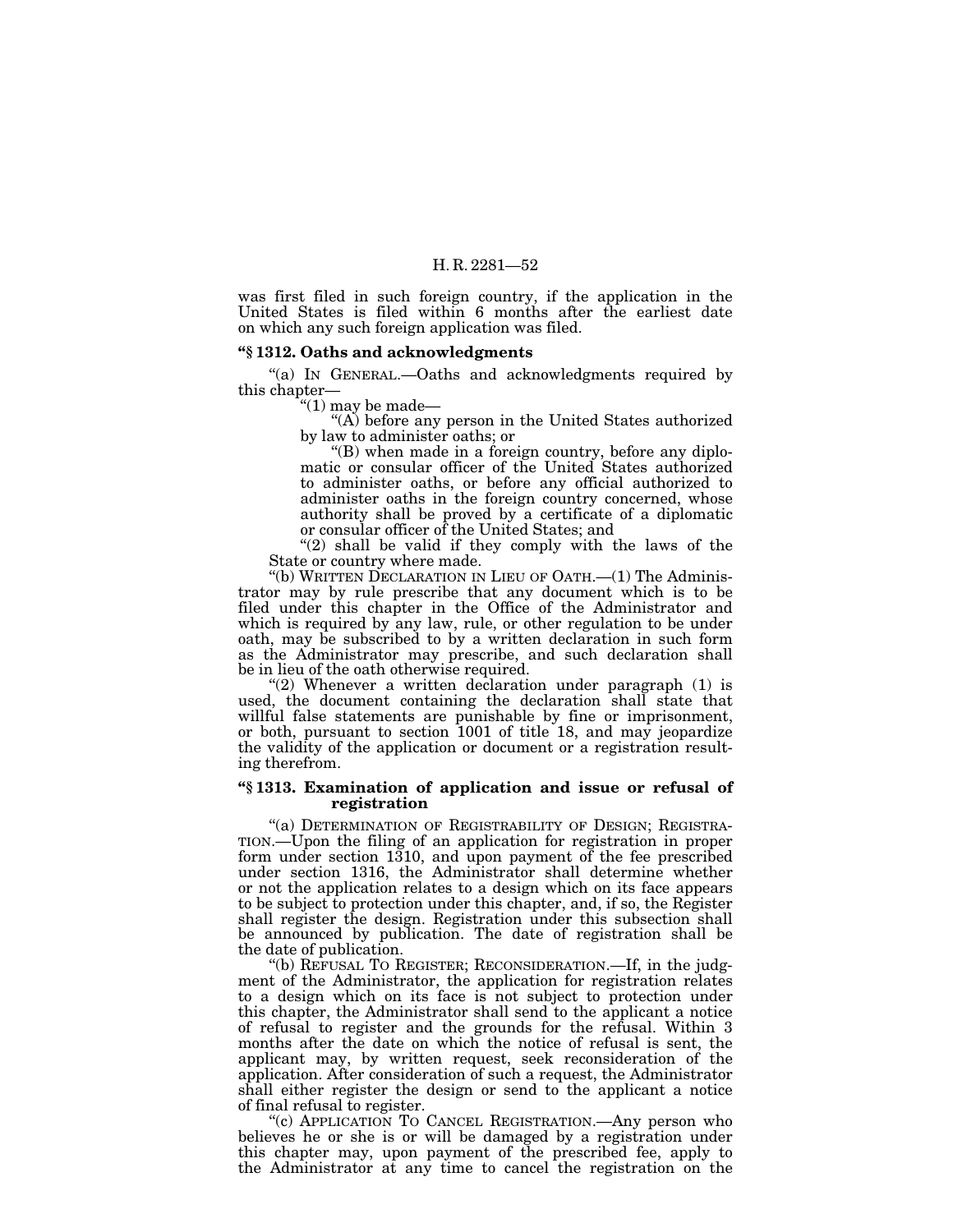was first filed in such foreign country, if the application in the United States is filed within 6 months after the earliest date on which any such foreign application was filed.

#### **''§ 1312. Oaths and acknowledgments**

''(a) IN GENERAL.—Oaths and acknowledgments required by this chapter—

''(1) may be made—

''(A) before any person in the United States authorized by law to administer oaths; or

''(B) when made in a foreign country, before any diplomatic or consular officer of the United States authorized to administer oaths, or before any official authorized to administer oaths in the foreign country concerned, whose authority shall be proved by a certificate of a diplomatic or consular officer of the United States; and

" $(2)$  shall be valid if they comply with the laws of the State or country where made.

''(b) WRITTEN DECLARATION IN LIEU OF OATH.—(1) The Administrator may by rule prescribe that any document which is to be filed under this chapter in the Office of the Administrator and which is required by any law, rule, or other regulation to be under oath, may be subscribed to by a written declaration in such form as the Administrator may prescribe, and such declaration shall be in lieu of the oath otherwise required.

"(2) Whenever a written declaration under paragraph (1) is used, the document containing the declaration shall state that willful false statements are punishable by fine or imprisonment, or both, pursuant to section 1001 of title 18, and may jeopardize the validity of the application or document or a registration resulting therefrom.

#### **''§ 1313. Examination of application and issue or refusal of registration**

''(a) DETERMINATION OF REGISTRABILITY OF DESIGN; REGISTRA- TION.—Upon the filing of an application for registration in proper form under section 1310, and upon payment of the fee prescribed under section 1316, the Administrator shall determine whether or not the application relates to a design which on its face appears to be subject to protection under this chapter, and, if so, the Register shall register the design. Registration under this subsection shall be announced by publication. The date of registration shall be the date of publication.

''(b) REFUSAL TO REGISTER; RECONSIDERATION.—If, in the judgment of the Administrator, the application for registration relates to a design which on its face is not subject to protection under this chapter, the Administrator shall send to the applicant a notice of refusal to register and the grounds for the refusal. Within 3 months after the date on which the notice of refusal is sent, the applicant may, by written request, seek reconsideration of the application. After consideration of such a request, the Administrator shall either register the design or send to the applicant a notice of final refusal to register.

"(c) APPLICATION TO CANCEL REGISTRATION.—Any person who believes he or she is or will be damaged by a registration under this chapter may, upon payment of the prescribed fee, apply to the Administrator at any time to cancel the registration on the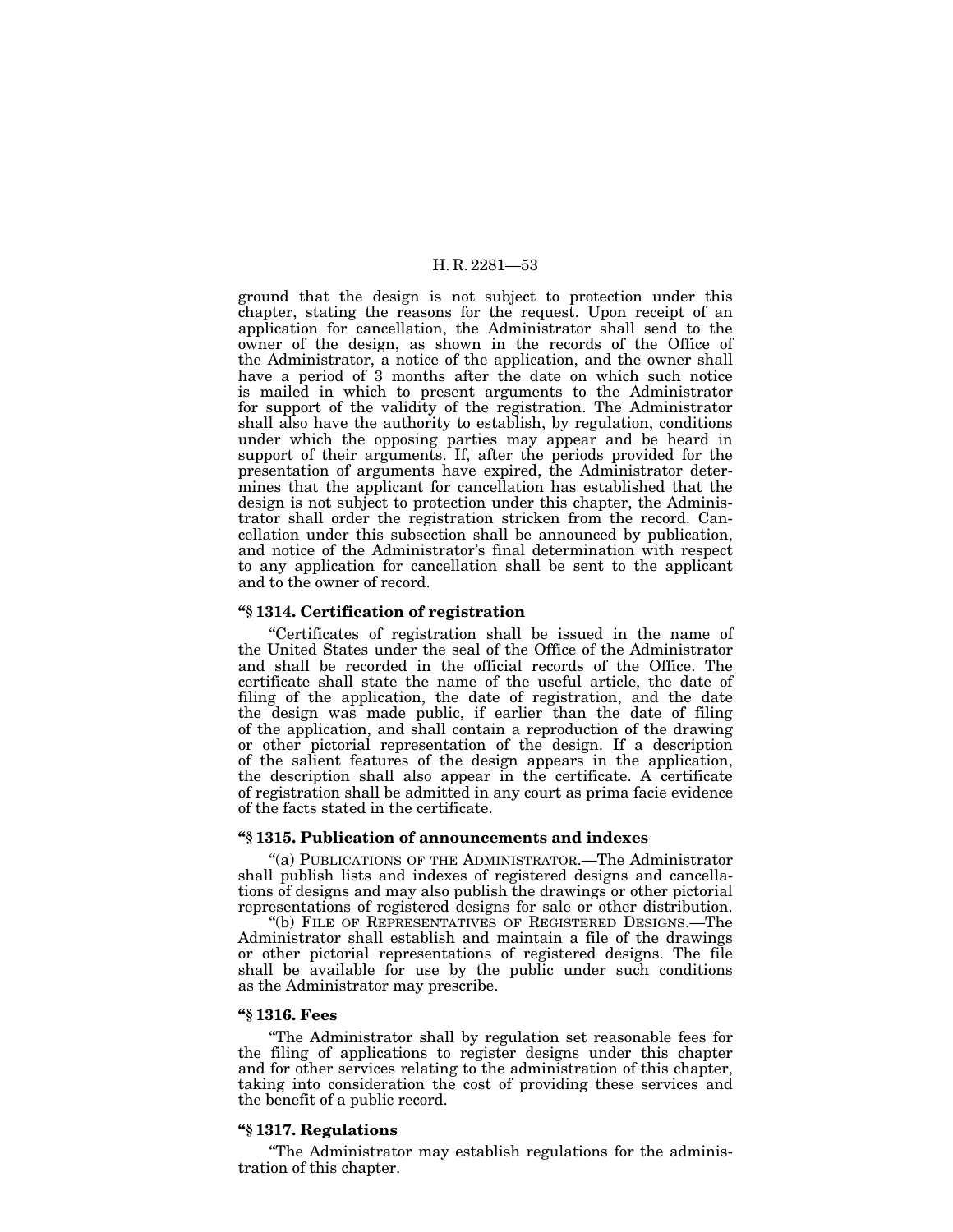ground that the design is not subject to protection under this chapter, stating the reasons for the request. Upon receipt of an application for cancellation, the Administrator shall send to the owner of the design, as shown in the records of the Office of the Administrator, a notice of the application, and the owner shall have a period of 3 months after the date on which such notice is mailed in which to present arguments to the Administrator for support of the validity of the registration. The Administrator shall also have the authority to establish, by regulation, conditions under which the opposing parties may appear and be heard in support of their arguments. If, after the periods provided for the presentation of arguments have expired, the Administrator determines that the applicant for cancellation has established that the design is not subject to protection under this chapter, the Administrator shall order the registration stricken from the record. Cancellation under this subsection shall be announced by publication, and notice of the Administrator's final determination with respect to any application for cancellation shall be sent to the applicant and to the owner of record.

#### **''§ 1314. Certification of registration**

''Certificates of registration shall be issued in the name of the United States under the seal of the Office of the Administrator and shall be recorded in the official records of the Office. The certificate shall state the name of the useful article, the date of filing of the application, the date of registration, and the date the design was made public, if earlier than the date of filing of the application, and shall contain a reproduction of the drawing or other pictorial representation of the design. If a description of the salient features of the design appears in the application, the description shall also appear in the certificate. A certificate of registration shall be admitted in any court as prima facie evidence of the facts stated in the certificate.

#### **''§ 1315. Publication of announcements and indexes**

''(a) PUBLICATIONS OF THE ADMINISTRATOR.—The Administrator shall publish lists and indexes of registered designs and cancellations of designs and may also publish the drawings or other pictorial representations of registered designs for sale or other distribution.

''(b) FILE OF REPRESENTATIVES OF REGISTERED DESIGNS.—The Administrator shall establish and maintain a file of the drawings or other pictorial representations of registered designs. The file shall be available for use by the public under such conditions as the Administrator may prescribe.

#### **''§ 1316. Fees**

''The Administrator shall by regulation set reasonable fees for the filing of applications to register designs under this chapter and for other services relating to the administration of this chapter, taking into consideration the cost of providing these services and the benefit of a public record.

#### **''§ 1317. Regulations**

''The Administrator may establish regulations for the administration of this chapter.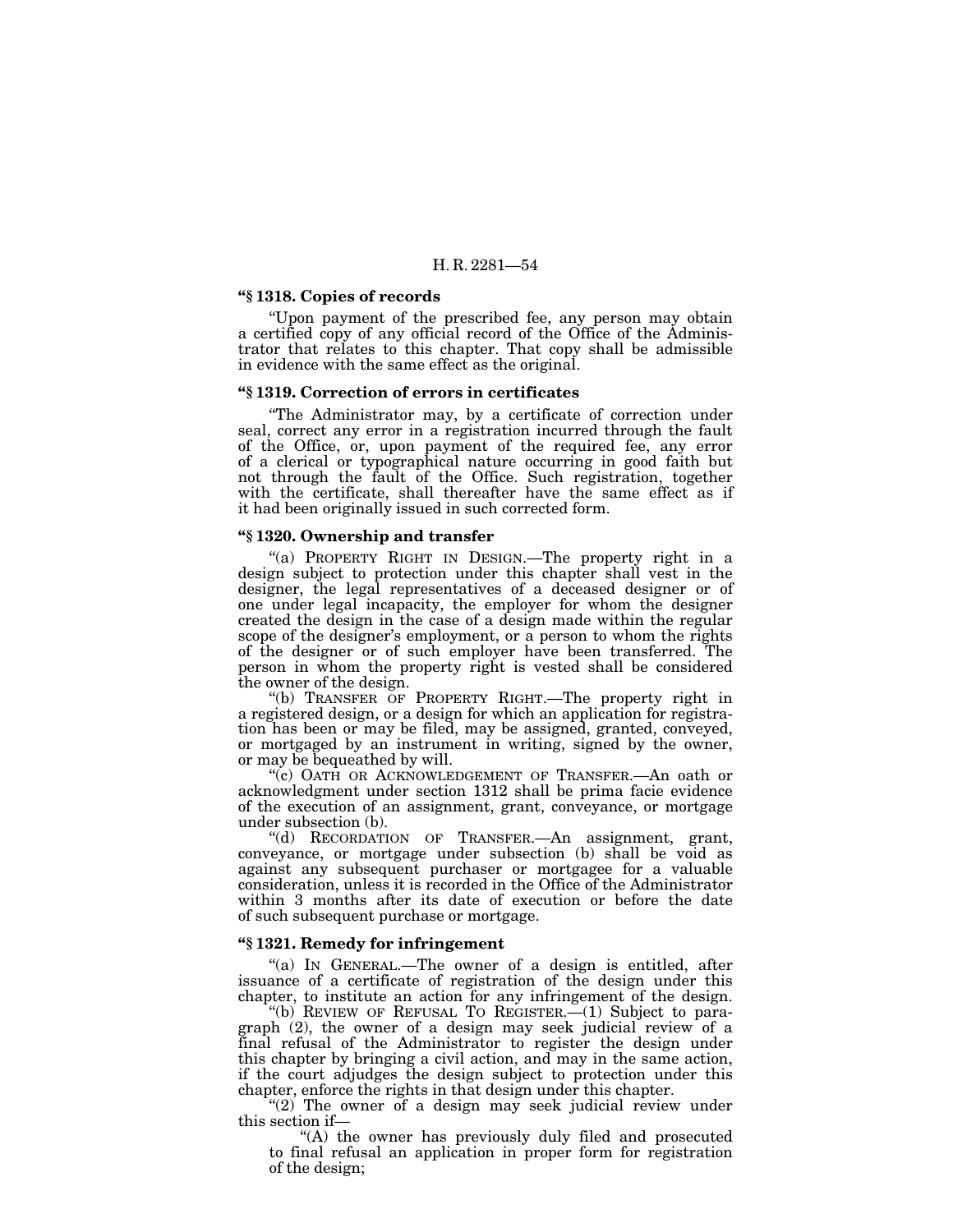#### **''§ 1318. Copies of records**

''Upon payment of the prescribed fee, any person may obtain a certified copy of any official record of the Office of the Administrator that relates to this chapter. That copy shall be admissible in evidence with the same effect as the original.

#### **''§ 1319. Correction of errors in certificates**

''The Administrator may, by a certificate of correction under seal, correct any error in a registration incurred through the fault of the Office, or, upon payment of the required fee, any error of a clerical or typographical nature occurring in good faith but not through the fault of the Office. Such registration, together with the certificate, shall thereafter have the same effect as if it had been originally issued in such corrected form.

#### **''§ 1320. Ownership and transfer**

"(a) PROPERTY RIGHT IN DESIGN.—The property right in a design subject to protection under this chapter shall vest in the designer, the legal representatives of a deceased designer or of one under legal incapacity, the employer for whom the designer created the design in the case of a design made within the regular scope of the designer's employment, or a person to whom the rights of the designer or of such employer have been transferred. The person in whom the property right is vested shall be considered the owner of the design.

''(b) TRANSFER OF PROPERTY RIGHT.—The property right in a registered design, or a design for which an application for registration has been or may be filed, may be assigned, granted, conveyed, or mortgaged by an instrument in writing, signed by the owner, or may be bequeathed by will.

''(c) OATH OR ACKNOWLEDGEMENT OF TRANSFER.—An oath or acknowledgment under section 1312 shall be prima facie evidence of the execution of an assignment, grant, conveyance, or mortgage under subsection (b).

''(d) RECORDATION OF TRANSFER.—An assignment, grant, conveyance, or mortgage under subsection (b) shall be void as against any subsequent purchaser or mortgagee for a valuable consideration, unless it is recorded in the Office of the Administrator within 3 months after its date of execution or before the date of such subsequent purchase or mortgage.

# **''§ 1321. Remedy for infringement**

''(a) IN GENERAL.—The owner of a design is entitled, after issuance of a certificate of registration of the design under this chapter, to institute an action for any infringement of the design.

''(b) REVIEW OF REFUSAL TO REGISTER.—(1) Subject to paragraph (2), the owner of a design may seek judicial review of a final refusal of the Administrator to register the design under this chapter by bringing a civil action, and may in the same action, if the court adjudges the design subject to protection under this chapter, enforce the rights in that design under this chapter.

" $(2)$  The owner of a design may seek judicial review under this section if—

"(A) the owner has previously duly filed and prosecuted to final refusal an application in proper form for registration of the design;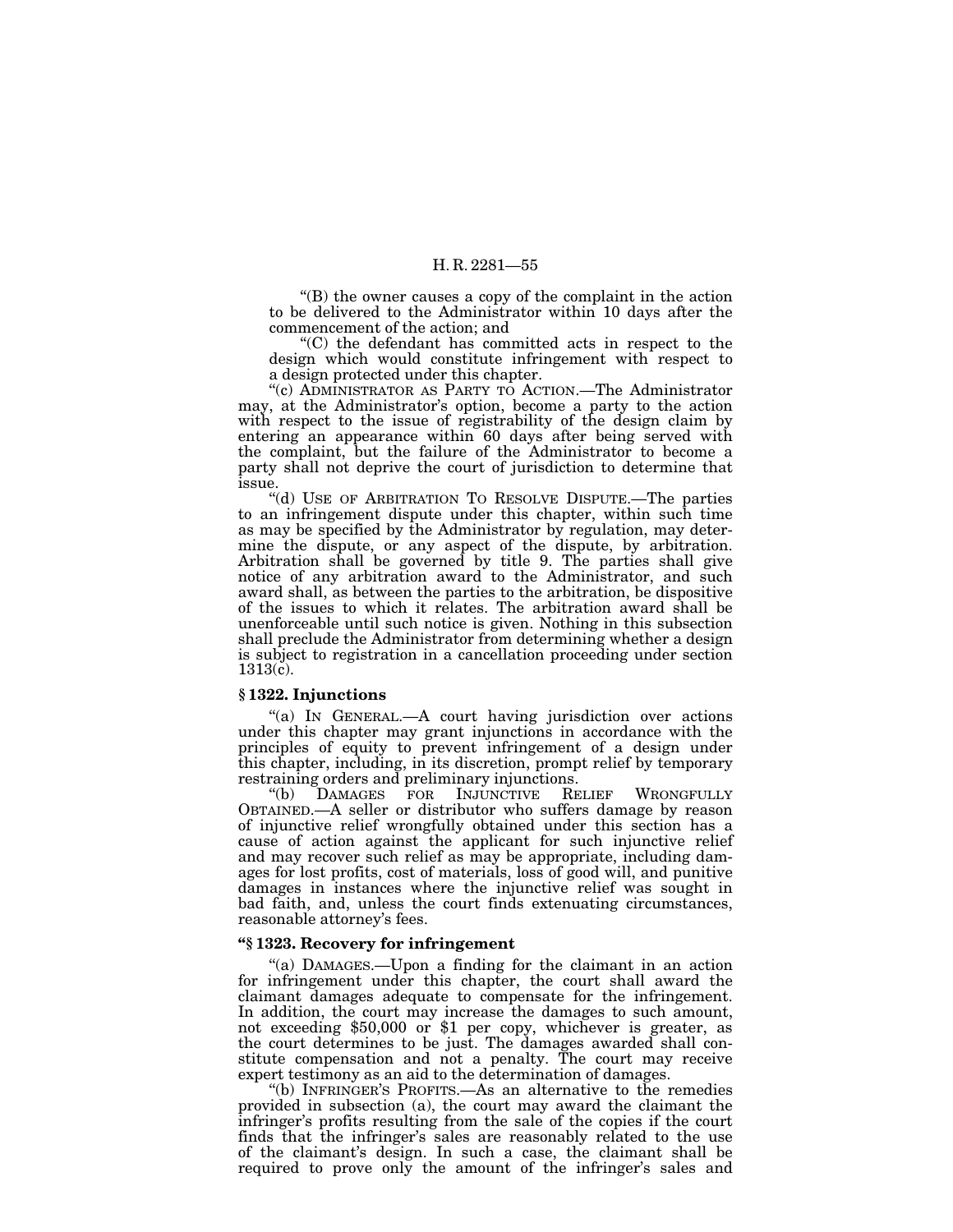''(B) the owner causes a copy of the complaint in the action to be delivered to the Administrator within 10 days after the commencement of the action; and

''(C) the defendant has committed acts in respect to the design which would constitute infringement with respect to a design protected under this chapter.

''(c) ADMINISTRATOR AS PARTY TO ACTION.—The Administrator may, at the Administrator's option, become a party to the action with respect to the issue of registrability of the design claim by entering an appearance within 60 days after being served with the complaint, but the failure of the Administrator to become a party shall not deprive the court of jurisdiction to determine that issue.

''(d) USE OF ARBITRATION TO RESOLVE DISPUTE.—The parties to an infringement dispute under this chapter, within such time as may be specified by the Administrator by regulation, may determine the dispute, or any aspect of the dispute, by arbitration. Arbitration shall be governed by title 9. The parties shall give notice of any arbitration award to the Administrator, and such award shall, as between the parties to the arbitration, be dispositive of the issues to which it relates. The arbitration award shall be unenforceable until such notice is given. Nothing in this subsection shall preclude the Administrator from determining whether a design is subject to registration in a cancellation proceeding under section 1313(c).

#### **§ 1322. Injunctions**

''(a) IN GENERAL.—A court having jurisdiction over actions under this chapter may grant injunctions in accordance with the principles of equity to prevent infringement of a design under this chapter, including, in its discretion, prompt relief by temporary restraining orders and preliminary injunctions.<br>
"(b) DAMAGES FOR INJUNCTIVE RELIEF

INJUNCTIVE RELIEF WRONGFULLY OBTAINED.—A seller or distributor who suffers damage by reason of injunctive relief wrongfully obtained under this section has a cause of action against the applicant for such injunctive relief and may recover such relief as may be appropriate, including damages for lost profits, cost of materials, loss of good will, and punitive damages in instances where the injunctive relief was sought in bad faith, and, unless the court finds extenuating circumstances, reasonable attorney's fees.

### **''§ 1323. Recovery for infringement**

"(a) DAMAGES.—Upon a finding for the claimant in an action for infringement under this chapter, the court shall award the claimant damages adequate to compensate for the infringement. In addition, the court may increase the damages to such amount, not exceeding \$50,000 or \$1 per copy, whichever is greater, as the court determines to be just. The damages awarded shall constitute compensation and not a penalty. The court may receive expert testimony as an aid to the determination of damages.

''(b) INFRINGER'S PROFITS.—As an alternative to the remedies provided in subsection (a), the court may award the claimant the infringer's profits resulting from the sale of the copies if the court finds that the infringer's sales are reasonably related to the use of the claimant's design. In such a case, the claimant shall be required to prove only the amount of the infringer's sales and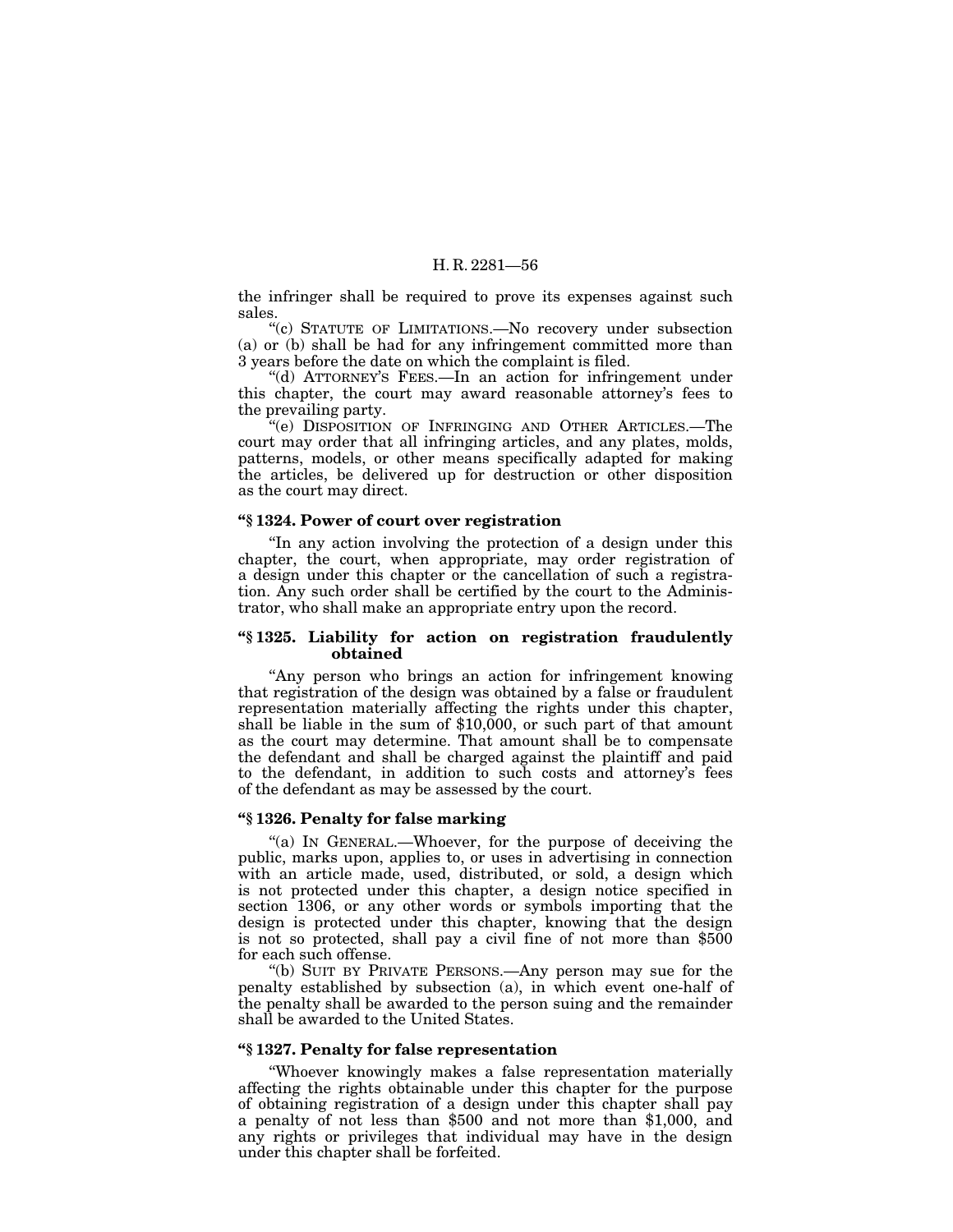the infringer shall be required to prove its expenses against such sales.

''(c) STATUTE OF LIMITATIONS.—No recovery under subsection (a) or (b) shall be had for any infringement committed more than 3 years before the date on which the complaint is filed.

''(d) ATTORNEY'S FEES.—In an action for infringement under this chapter, the court may award reasonable attorney's fees to the prevailing party.

''(e) DISPOSITION OF INFRINGING AND OTHER ARTICLES.—The court may order that all infringing articles, and any plates, molds, patterns, models, or other means specifically adapted for making the articles, be delivered up for destruction or other disposition as the court may direct.

### **''§ 1324. Power of court over registration**

''In any action involving the protection of a design under this chapter, the court, when appropriate, may order registration of a design under this chapter or the cancellation of such a registration. Any such order shall be certified by the court to the Administrator, who shall make an appropriate entry upon the record.

#### **''§ 1325. Liability for action on registration fraudulently obtained**

"Any person who brings an action for infringement knowing that registration of the design was obtained by a false or fraudulent representation materially affecting the rights under this chapter, shall be liable in the sum of \$10,000, or such part of that amount as the court may determine. That amount shall be to compensate the defendant and shall be charged against the plaintiff and paid to the defendant, in addition to such costs and attorney's fees of the defendant as may be assessed by the court.

#### **''§ 1326. Penalty for false marking**

"(a) In GENERAL.—Whoever, for the purpose of deceiving the public, marks upon, applies to, or uses in advertising in connection with an article made, used, distributed, or sold, a design which is not protected under this chapter, a design notice specified in section 1306, or any other words or symbols importing that the design is protected under this chapter, knowing that the design is not so protected, shall pay a civil fine of not more than \$500 for each such offense.

''(b) SUIT BY PRIVATE PERSONS.—Any person may sue for the penalty established by subsection (a), in which event one-half of the penalty shall be awarded to the person suing and the remainder shall be awarded to the United States.

#### **''§ 1327. Penalty for false representation**

''Whoever knowingly makes a false representation materially affecting the rights obtainable under this chapter for the purpose of obtaining registration of a design under this chapter shall pay a penalty of not less than \$500 and not more than \$1,000, and any rights or privileges that individual may have in the design under this chapter shall be forfeited.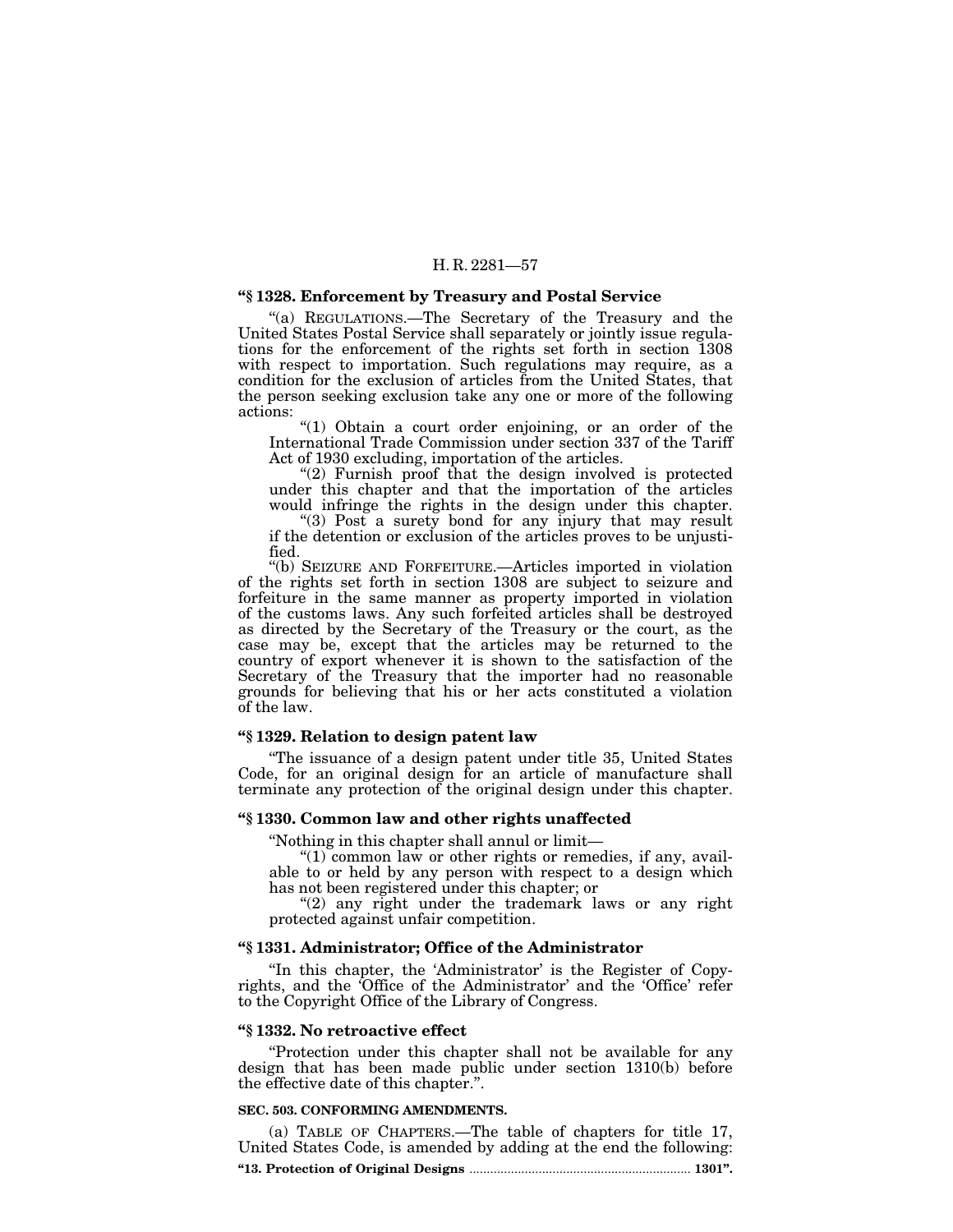#### **''§ 1328. Enforcement by Treasury and Postal Service**

''(a) REGULATIONS.—The Secretary of the Treasury and the United States Postal Service shall separately or jointly issue regulations for the enforcement of the rights set forth in section 1308 with respect to importation. Such regulations may require, as a condition for the exclusion of articles from the United States, that the person seeking exclusion take any one or more of the following actions:

(1) Obtain a court order enjoining, or an order of the International Trade Commission under section 337 of the Tariff Act of 1930 excluding, importation of the articles.

"(2) Furnish proof that the design involved is protected under this chapter and that the importation of the articles would infringe the rights in the design under this chapter.

"(3) Post a surety bond for any injury that may result if the detention or exclusion of the articles proves to be unjustified.

''(b) SEIZURE AND FORFEITURE.—Articles imported in violation of the rights set forth in section 1308 are subject to seizure and forfeiture in the same manner as property imported in violation of the customs laws. Any such forfeited articles shall be destroyed as directed by the Secretary of the Treasury or the court, as the case may be, except that the articles may be returned to the country of export whenever it is shown to the satisfaction of the Secretary of the Treasury that the importer had no reasonable grounds for believing that his or her acts constituted a violation of the law.

# **''§ 1329. Relation to design patent law**

''The issuance of a design patent under title 35, United States Code, for an original design for an article of manufacture shall terminate any protection of the original design under this chapter.

# **''§ 1330. Common law and other rights unaffected**

''Nothing in this chapter shall annul or limit—

" $(1)$  common law or other rights or remedies, if any, available to or held by any person with respect to a design which has not been registered under this chapter; or

"(2) any right under the trademark laws or any right protected against unfair competition.

# **''§ 1331. Administrator; Office of the Administrator**

"In this chapter, the 'Administrator' is the Register of Copyrights, and the 'Office of the Administrator' and the 'Office' refer to the Copyright Office of the Library of Congress.

#### **''§ 1332. No retroactive effect**

''Protection under this chapter shall not be available for any design that has been made public under section 1310(b) before the effective date of this chapter.''.

#### **SEC. 503. CONFORMING AMENDMENTS.**

(a) TABLE OF CHAPTERS.—The table of chapters for title 17, United States Code, is amended by adding at the end the following: **''13. Protection of Original Designs** ................................................................ **1301''.**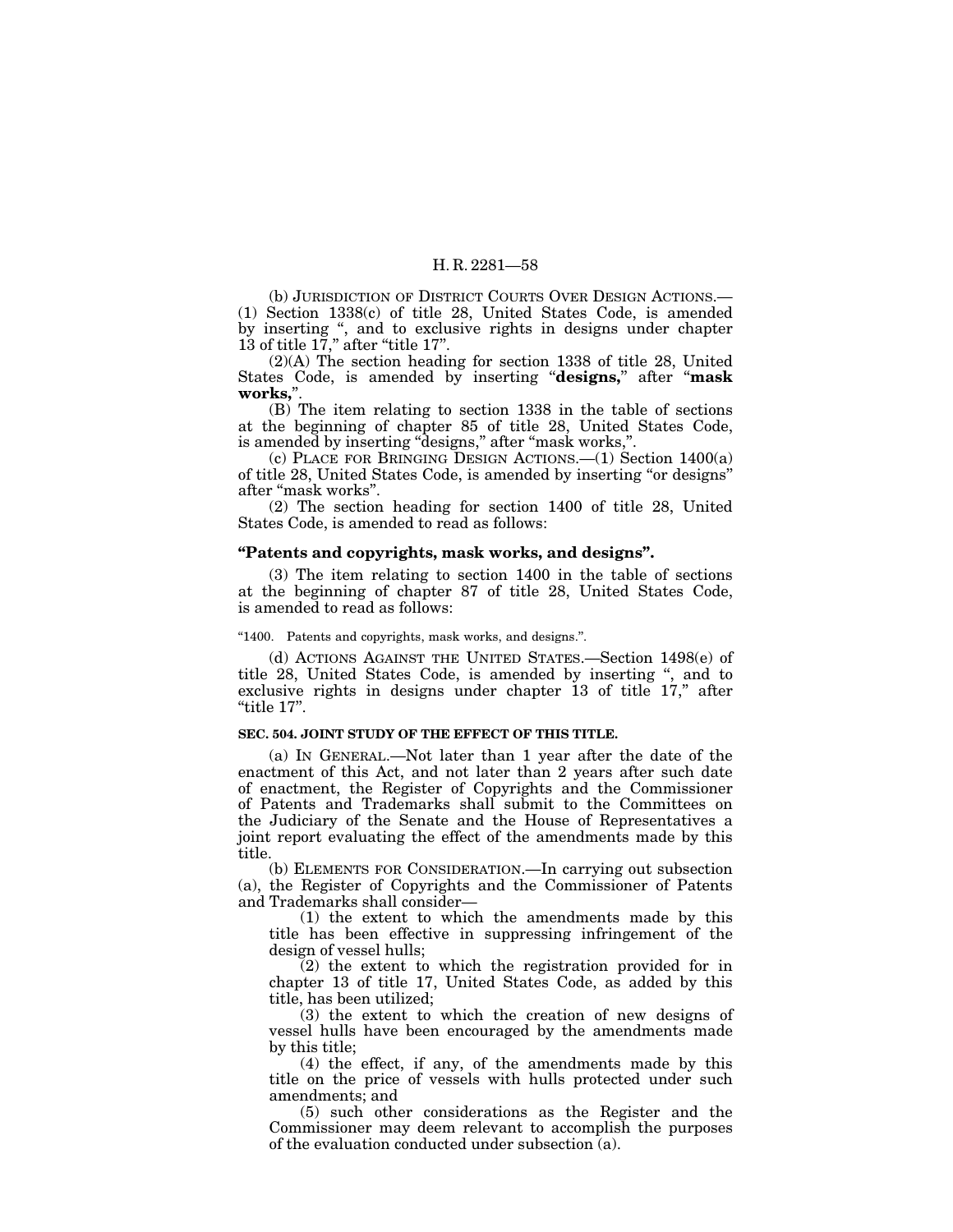(b) JURISDICTION OF DISTRICT COURTS OVER DESIGN ACTIONS.— (1) Section 1338(c) of title 28, United States Code, is amended by inserting ", and to exclusive rights in designs under chapter 13 of title 17," after "title 17".

(2)(A) The section heading for section 1338 of title 28, United States Code, is amended by inserting ''**designs,**'' after ''**mask works,**''.

(B) The item relating to section 1338 in the table of sections at the beginning of chapter 85 of title 28, United States Code, is amended by inserting ''designs,'' after ''mask works,''.

(c) PLACE FOR BRINGING DESIGN ACTIONS.—(1) Section 1400(a) of title 28, United States Code, is amended by inserting ''or designs'' after ''mask works''.

(2) The section heading for section 1400 of title 28, United States Code, is amended to read as follows:

#### **''Patents and copyrights, mask works, and designs''.**

(3) The item relating to section 1400 in the table of sections at the beginning of chapter 87 of title 28, United States Code, is amended to read as follows:

#### ''1400. Patents and copyrights, mask works, and designs.''.

(d) ACTIONS AGAINST THE UNITED STATES.—Section 1498(e) of title 28, United States Code, is amended by inserting ", and to exclusive rights in designs under chapter 13 of title 17," after ''title 17''.

#### **SEC. 504. JOINT STUDY OF THE EFFECT OF THIS TITLE.**

(a) IN GENERAL.—Not later than 1 year after the date of the enactment of this Act, and not later than 2 years after such date of enactment, the Register of Copyrights and the Commissioner of Patents and Trademarks shall submit to the Committees on the Judiciary of the Senate and the House of Representatives a joint report evaluating the effect of the amendments made by this title.

(b) ELEMENTS FOR CONSIDERATION.—In carrying out subsection (a), the Register of Copyrights and the Commissioner of Patents and Trademarks shall consider—

(1) the extent to which the amendments made by this title has been effective in suppressing infringement of the design of vessel hulls;

(2) the extent to which the registration provided for in chapter 13 of title 17, United States Code, as added by this title, has been utilized;

(3) the extent to which the creation of new designs of vessel hulls have been encouraged by the amendments made by this title;

(4) the effect, if any, of the amendments made by this title on the price of vessels with hulls protected under such amendments; and

(5) such other considerations as the Register and the Commissioner may deem relevant to accomplish the purposes of the evaluation conducted under subsection  $\overline{a}$ ).